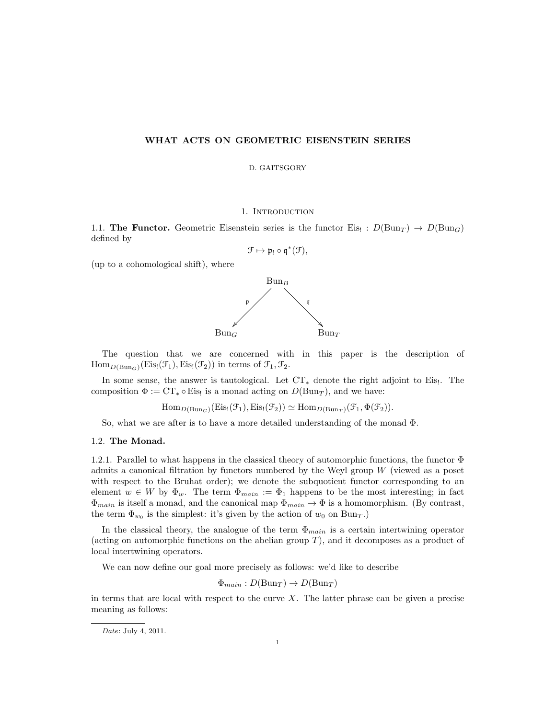## WHAT ACTS ON GEOMETRIC EISENSTEIN SERIES

#### D. GAITSGORY

## 1. INTRODUCTION

1.1. The Functor. Geometric Eisenstein series is the functor Eis! :  $D(\text{Bun}_T) \to D(\text{Bun}_G)$ defined by

$$
\mathcal{F}\mapsto \mathfrak{p}_!\circ \mathfrak{q}^*(\mathcal{F}),
$$

(up to a cohomological shift), where



The question that we are concerned with in this paper is the description of  $\text{Hom}_{D(\text{Bun}_G)}(\text{Eis}_{1}(\mathcal{F}_{1}), \text{Eis}_{1}(\mathcal{F}_{2}))$  in terms of  $\mathcal{F}_{1}, \mathcal{F}_{2}$ .

In some sense, the answer is tautological. Let  $CT_*$  denote the right adjoint to Eis!. The composition  $\Phi := \mathbf{CT}_* \circ \mathbf{E}$  is a monad acting on  $D(\mathbf{Bun}_T)$ , and we have:

 $\text{Hom}_{D(\text{Bun}_G)}(\text{Eis}_{1}(\mathcal{F}_1), \text{Eis}_{1}(\mathcal{F}_2)) \simeq \text{Hom}_{D(\text{Bun}_T)}(\mathcal{F}_1, \Phi(\mathcal{F}_2)).$ 

So, what we are after is to have a more detailed understanding of the monad Φ.

## 1.2. The Monad.

1.2.1. Parallel to what happens in the classical theory of automorphic functions, the functor  $\Phi$ admits a canonical filtration by functors numbered by the Weyl group  $W$  (viewed as a poset with respect to the Bruhat order); we denote the subquotient functor corresponding to an element  $w \in W$  by  $\Phi_w$ . The term  $\Phi_{main} := \Phi_1$  happens to be the most interesting; in fact  $\Phi_{main}$  is itself a monad, and the canonical map  $\Phi_{main} \to \Phi$  is a homomorphism. (By contrast, the term  $\Phi_{w_0}$  is the simplest: it's given by the action of  $w_0$  on  $\text{Bun}_T$ .)

In the classical theory, the analogue of the term  $\Phi_{main}$  is a certain intertwining operator (acting on automorphic functions on the abelian group  $T$ ), and it decomposes as a product of local intertwining operators.

We can now define our goal more precisely as follows: we'd like to describe

 $\Phi_{main}: D(\text{Bun}_T) \to D(\text{Bun}_T)$ 

in terms that are local with respect to the curve  $X$ . The latter phrase can be given a precise meaning as follows:

Date: July 4, 2011.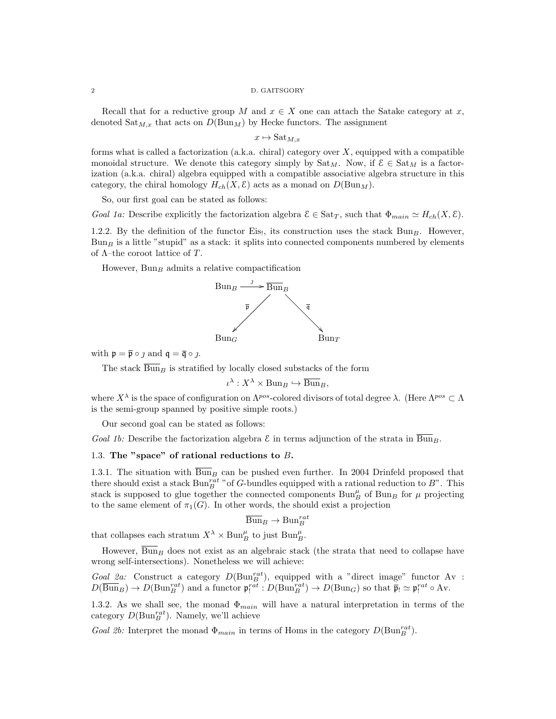Recall that for a reductive group M and  $x \in X$  one can attach the Satake category at x, denoted  $\text{Sat}_{M,x}$  that acts on  $D(\text{Bun}_M)$  by Hecke functors. The assignment

 $x \mapsto Sat_{M,x}$ 

forms what is called a factorization (a.k.a. chiral) category over  $X$ , equipped with a compatible monoidal structure. We denote this category simply by  $\text{Sat}_{M}$ . Now, if  $\mathcal{E} \in \text{Sat}_{M}$  is a factorization (a.k.a. chiral) algebra equipped with a compatible associative algebra structure in this category, the chiral homology  $H_{ch}(X, \mathcal{E})$  acts as a monad on  $D(\text{Bun}_M)$ .

So, our first goal can be stated as follows:

Goal 1a: Describe explicitly the factorization algebra  $\mathcal{E} \in \text{Sat}_T$ , such that  $\Phi_{main} \simeq H_{ch}(X, \mathcal{E})$ .

1.2.2. By the definition of the functor Eis!, its construction uses the stack  $Bun_B$ . However,  $Bun<sub>B</sub>$  is a little "stupid" as a stack: it splits into connected components numbered by elements of  $\Lambda$ –the coroot lattice of T.

However,  $Bun_B$  admits a relative compactification



with  $\mathfrak{p} = \overline{\mathfrak{p}} \circ \jmath$  and  $\mathfrak{q} = \overline{\mathfrak{q}} \circ \jmath$ .

The stack  $\overline{\text{Bun}}_B$  is stratified by locally closed substacks of the form

$$
\iota^\lambda: X^\lambda \times \operatorname{Bun}_B \hookrightarrow \overline{\operatorname{Bun}}_B,
$$

where  $X^{\lambda}$  is the space of configuration on  $\Lambda^{pos}$ -colored divisors of total degree  $\lambda$ . (Here  $\Lambda^{pos} \subset \Lambda$ is the semi-group spanned by positive simple roots.)

Our second goal can be stated as follows:

Goal 1b: Describe the factorization algebra  $\mathcal E$  in terms adjunction of the strata in  $\overline{\text{Bun}}_B$ .

## 1.3. The "space" of rational reductions to B.

1.3.1. The situation with  $\overline{Bun}_B$  can be pushed even further. In 2004 Drinfeld proposed that there should exist a stack  $Bun_B^{rat}$  " of G-bundles equipped with a rational reduction to  $B$ ". This stack is supposed to glue together the connected components  $\text{Bun}_{B}^{\mu}$  of  $\text{Bun}_{B}$  for  $\mu$  projecting to the same element of  $\pi_1(G)$ . In other words, the should exist a projection

$$
\overline{{\operatorname{Bun}}}_B \to {\operatorname{Bun}}^{rat}_B
$$

that collapses each stratum  $X^{\lambda} \times \text{Bun}_{B}^{\mu}$  to just  $\text{Bun}_{B}^{\mu}$ .

However,  $\overline{Bun}_B$  does not exist as an algebraic stack (the strata that need to collapse have wrong self-intersections). Nonetheless we will achieve:

Goal 2a: Construct a category  $D(\text{Bun}_B^{rat})$ , equipped with a "direct image" functor Av :  $D(\overline{\text{Bun}}_B) \to D(\text{Bun}_B^{rat})$  and a functor  $\mathfrak{p}_!^{rat}: D(\text{Bun}_B^{rat}) \to D(\text{Bun}_G)$  so that  $\overline{\mathfrak{p}}_! \simeq \mathfrak{p}_!^{rat} \circ \text{Av}.$ 

1.3.2. As we shall see, the monad  $\Phi_{main}$  will have a natural interpretation in terms of the category  $D(\text{Bun}_B^{rat})$ . Namely, we'll achieve

Goal 2b: Interpret the monad  $\Phi_{main}$  in terms of Homs in the category  $D(\text{Bun}_B^{rat})$ .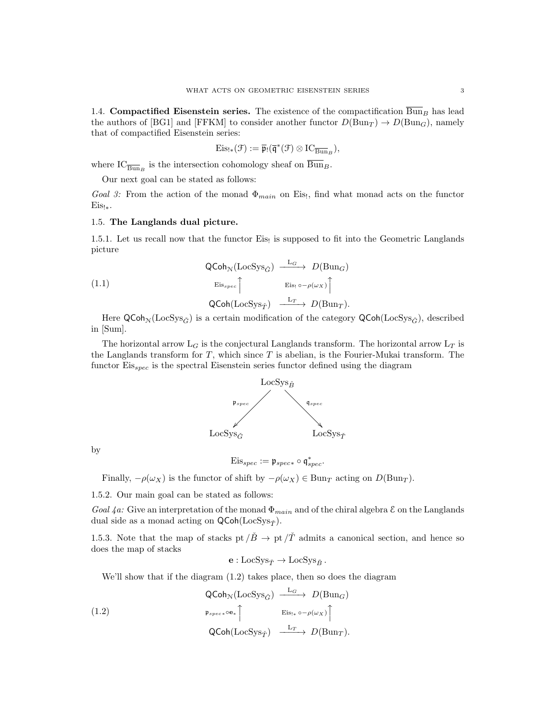1.4. Compactified Eisenstein series. The existence of the compactification  $\overline{Bun}_B$  has lead the authors of [BG1] and [FFKM] to consider another functor  $D(\text{Bun}_T) \to D(\text{Bun}_G)$ , namely that of compactified Eisenstein series:

$$
\mathrm{Eis}_{!*}(\mathcal{F}):=\overline{\mathfrak{p}}_!(\overline{\mathfrak{q}}^*(\mathcal{F})\otimes\mathrm{IC}_{\overline{\mathrm{Bun}}_B}),
$$

where  $IC_{\overline{\mathrm{Bun}}_B}$  is the intersection cohomology sheaf on Bun<sub>B</sub>.

Our next goal can be stated as follows:

Goal 3: From the action of the monad  $\Phi_{main}$  on Eis!, find what monad acts on the functor Eis!∗.

### 1.5. The Langlands dual picture.

1.5.1. Let us recall now that the functor Eis! is supposed to fit into the Geometric Langlands picture

(1.1)  
\n
$$
\begin{array}{ccc}\n\text{QCoh}_{\mathcal{N}}(\text{LocSys}_{\check{G}}) & \xrightarrow{L_G} & D(\text{Bun}_G) \\
\text{Eis}_{spec} \uparrow & & \text{Eis}_{!} \circ -\rho(\omega_X) \uparrow \\
\text{QCoh}(\text{LocSys}_{\check{T}}) & \xrightarrow{L_T} & D(\text{Bun}_T).\n\end{array}
$$

Here  $\mathsf{QCoh}_{\mathcal{N}}(\mathrm{LocSys}_{\check{G}})$  is a certain modification of the category  $\mathsf{QCoh}(\mathrm{LocSys}_{\check{G}})$ , described in [Sum].

The horizontal arrow  $L_G$  is the conjectural Langlands transform. The horizontal arrow  $L_T$  is the Langlands transform for  $T$ , which since  $T$  is abelian, is the Fourier-Mukai transform. The functor  $Eis_{spec}$  is the spectral Eisenstein series functor defined using the diagram



by

$$
\mathrm{Eis}_{spec} := \mathfrak{p}_{spec*} \circ \mathfrak{q}_{spec}^*.
$$

Finally,  $-\rho(\omega_X)$  is the functor of shift by  $-\rho(\omega_X) \in \text{Bun}_T$  acting on  $D(\text{Bun}_T)$ .

1.5.2. Our main goal can be stated as follows:

Goal  $4a$ : Give an interpretation of the monad  $\Phi_{main}$  and of the chiral algebra  $\mathcal E$  on the Langlands dual side as a monad acting on  $\mathsf{QCoh}(\mathsf{LocSys}_{\check{\mathcal{T}}}).$ 

1.5.3. Note that the map of stacks pt  $\overrightarrow{B} \rightarrow$  pt  $\overrightarrow{T}$  admits a canonical section, and hence so does the map of stacks

$$
\mathbf{e}: \mathrm{LocSys}_{\check T} \to \mathrm{LocSys}_{\check B}\,.
$$

We'll show that if the diagram (1.2) takes place, then so does the diagram

(1.2)  
\n
$$
\begin{array}{ccc}\n\text{QCoh}_{\mathcal{N}}(\text{LocSys}_{\check{G}}) & \xrightarrow{\mathcal{L}_G} & D(\text{Bun}_G) \\
\downarrow^{\mathfrak{p}_{spec \ast}} \text{Oe}_{*} & \xrightarrow{\mathcal{E}_{\text{IS}_{\ast} \circ -\rho(\omega_{X})}} \uparrow \\
\text{QCoh}(\text{LocSys}_{\check{T}}) & \xrightarrow{\mathcal{L}_T} & D(\text{Bun}_T).\n\end{array}
$$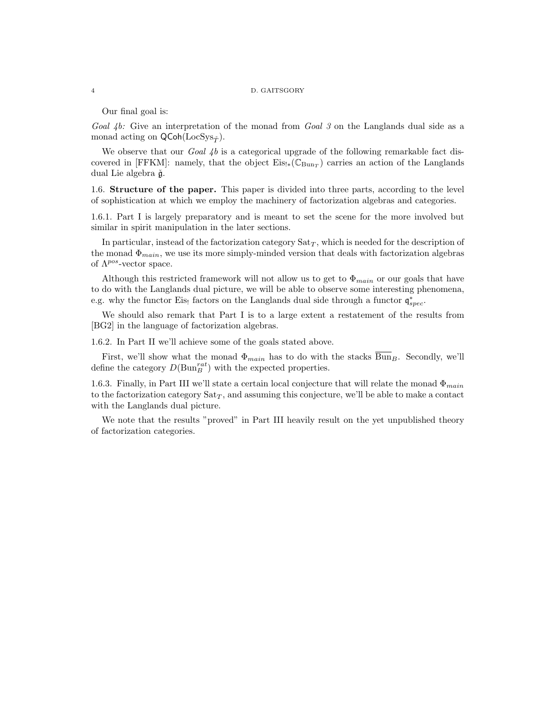#### 4 D. GAITSGORY

Our final goal is:

Goal  $4b$ : Give an interpretation of the monad from Goal 3 on the Langlands dual side as a monad acting on  $\mathsf{QCoh}(\mathrm{LocSys}_{\check{\mathcal{T}}}).$ 

We observe that our Goal  $\mu$  is a categorical upgrade of the following remarkable fact discovered in [FFKM]: namely, that the object  $Eis_{!*}(\mathbb{C}_{Bun_T})$  carries an action of the Langlands dual Lie algebra  $\check{\mathfrak{g}}$ .

1.6. Structure of the paper. This paper is divided into three parts, according to the level of sophistication at which we employ the machinery of factorization algebras and categories.

1.6.1. Part I is largely preparatory and is meant to set the scene for the more involved but similar in spirit manipulation in the later sections.

In particular, instead of the factorization category  $\text{Sat}_{T}$ , which is needed for the description of the monad  $\Phi_{main}$ , we use its more simply-minded version that deals with factorization algebras of  $\Lambda^{pos}$ -vector space.

Although this restricted framework will not allow us to get to  $\Phi_{main}$  or our goals that have to do with the Langlands dual picture, we will be able to observe some interesting phenomena, e.g. why the functor Eis! factors on the Langlands dual side through a functor  $\mathfrak{q}_{spec}^*$ .

We should also remark that Part I is to a large extent a restatement of the results from [BG2] in the language of factorization algebras.

1.6.2. In Part II we'll achieve some of the goals stated above.

First, we'll show what the monad  $\Phi_{main}$  has to do with the stacks  $\overline{Bun}_B$ . Secondly, we'll define the category  $D(\text{Bun}_{B}^{rat})$  with the expected properties.

1.6.3. Finally, in Part III we'll state a certain local conjecture that will relate the monad  $\Phi_{main}$ to the factorization category  $\text{Sat}_T$ , and assuming this conjecture, we'll be able to make a contact with the Langlands dual picture.

We note that the results "proved" in Part III heavily result on the yet unpublished theory of factorization categories.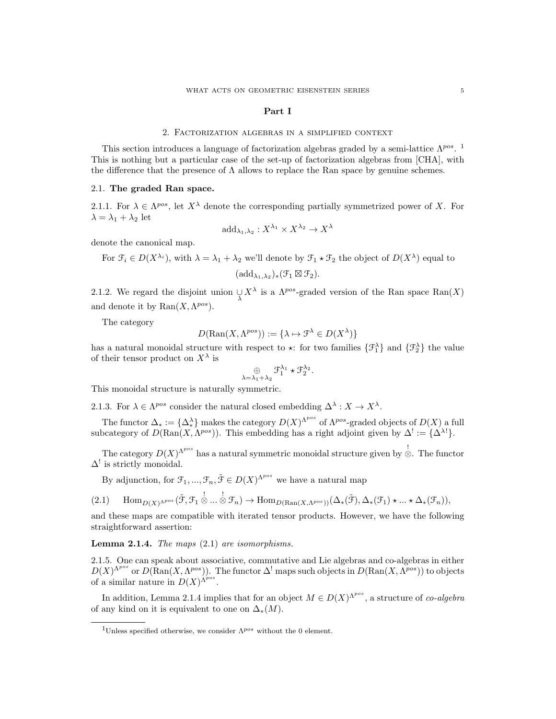#### Part I

## 2. Factorization algebras in a simplified context

This section introduces a language of factorization algebras graded by a semi-lattice  $\Lambda^{pos}$ . <sup>1</sup> This is nothing but a particular case of the set-up of factorization algebras from [CHA], with the difference that the presence of  $\Lambda$  allows to replace the Ran space by genuine schemes.

## 2.1. The graded Ran space.

2.1.1. For  $\lambda \in \Lambda^{pos}$ , let  $X^{\lambda}$  denote the corresponding partially symmetrized power of X. For  $\lambda = \lambda_1 + \lambda_2$  let

$$
\mathrm{add}_{\lambda_1,\lambda_2}: X^{\lambda_1} \times X^{\lambda_2} \to X^{\lambda}
$$

denote the canonical map.

For 
$$
\mathcal{F}_i \in D(X^{\lambda_i})
$$
, with  $\lambda = \lambda_1 + \lambda_2$  we'll denote by  $\mathcal{F}_1 \star \mathcal{F}_2$  the object of  $D(X^{\lambda})$  equal to  $(\text{add}_{\lambda_1, \lambda_2})_*(\mathcal{F}_1 \boxtimes \mathcal{F}_2)$ .

2.1.2. We regard the disjoint union  $\bigcup_{\lambda} X^{\lambda}$  is a  $\Lambda^{pos}$ -graded version of the Ran space  $\text{Ran}(X)$ and denote it by  $\text{Ran}(X, \Lambda^{pos}).$ 

The category

$$
D(\text{Ran}(X, \Lambda^{pos})) := {\lambda \mapsto \mathcal{F}^{\lambda} \in D(X^{\lambda})}
$$

has a natural monoidal structure with respect to  $\star$ : for two families  $\{\mathcal{F}_1^{\lambda}\}\$  and  $\{\mathcal{F}_2^{\lambda}\}\$  the value of their tensor product on  $X^{\lambda}$  is

$$
\mathop{\oplus}\limits_{\lambda=\lambda_1+\lambda_2}\mathfrak{F}_1^{\lambda_1}\star\mathfrak{F}_2^{\lambda_2}
$$

.

This monoidal structure is naturally symmetric.

2.1.3. For  $\lambda \in \Lambda^{pos}$  consider the natural closed embedding  $\Delta^{\lambda}: X \to X^{\lambda}$ .

The functor  $\Delta_* := {\Delta^{\lambda}_*}$  makes the category  $D(X)^{\Lambda^{pos}}$  of  $\Lambda^{pos}$ -graded objects of  $D(X)$  a full subcategory of  $D(\text{Ran}(X, \Lambda^{pos}))$ . This embedding has a right adjoint given by  $\Delta^! := {\{\Delta^{\lambda!}\}}$ .

The category  $D(X)^{\Lambda^{pos}}$  has a natural symmetric monoidal structure given by  $\stackrel{!}{\otimes}$ . The functor  $\Delta^!$  is strictly monoidal.

By adjunction, for  $\mathfrak{F}_1, ..., \mathfrak{F}_n, \tilde{\mathfrak{F}} \in D(X)^{\Lambda^{pos}}$  we have a natural map

$$
(2.1) \quad \operatorname{Hom}_{D(X)^{\Lambda^{pos}}}(\tilde{\mathcal{F}},\mathcal{F}_1 \overset{!}{\otimes} \dots \overset{!}{\otimes} \mathcal{F}_n) \to \operatorname{Hom}_{D(\operatorname{Ran}(X,\Lambda^{pos}))}(\Delta_{*}(\tilde{\mathcal{F}}),\Delta_{*}(\mathcal{F}_1) \star \dots \star \Delta_{*}(\mathcal{F}_n)),
$$

and these maps are compatible with iterated tensor products. However, we have the following straightforward assertion:

**Lemma 2.1.4.** The maps  $(2.1)$  are isomorphisms.

2.1.5. One can speak about associative, commutative and Lie algebras and co-algebras in either  $D(X)^{\Lambda^{pos}}$  or  $D(\text{Ran}(X, \Lambda^{pos}))$ . The functor  $\Delta^!$  maps such objects in  $D(\text{Ran}(X, \Lambda^{pos}))$  to objects of a similar nature in  $D(X)$ <sup> $\Lambda^{pos}$ </sup>.

In addition, Lemma 2.1.4 implies that for an object  $M \in D(X)^{\Lambda^{pos}}$ , a structure of co-algebra of any kind on it is equivalent to one on  $\Delta_*(M)$ .

<sup>&</sup>lt;sup>1</sup>Unless specified otherwise, we consider  $\Lambda^{pos}$  without the 0 element.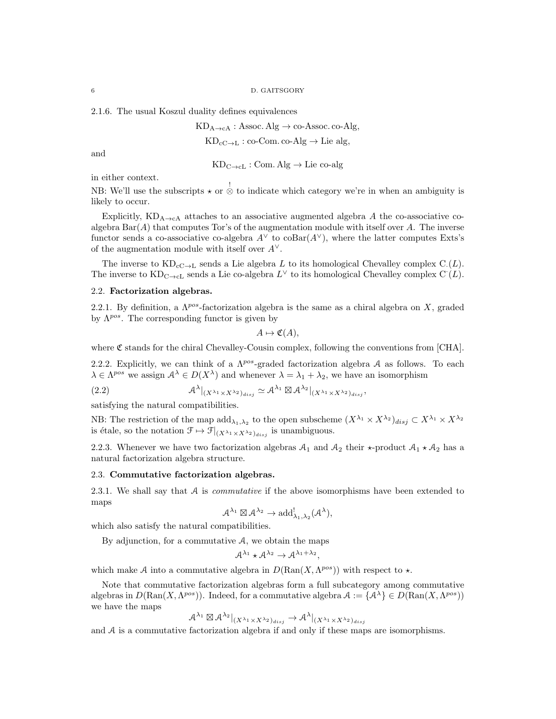2.1.6. The usual Koszul duality defines equivalences

 $KD_{A\rightarrow cA}:$  Assoc. Alg  $\rightarrow$  co-Assoc. co-Alg,

$$
KD_{cC \rightarrow L}: co\text{-}Com.\, co\text{-}Alg \rightarrow Lie\, alg,
$$

and

 $KD_{C\rightarrow cL} : Com. Alg \rightarrow Lie co-alg$ 

in either context.

NB: We'll use the subscripts  $\star$  or  $\stackrel{!}{\otimes}$  to indicate which category we're in when an ambiguity is likely to occur.

Explicitly,  $KD_{A\rightarrow cA}$  attaches to an associative augmented algebra A the co-associative coalgebra  $Bar(A)$  that computes Tor's of the augmentation module with itself over A. The inverse functor sends a co-associative co-algebra  $A^{\vee}$  to  $\text{coBar}(A^{\vee})$ , where the latter computes Exts's of the augmentation module with itself over  $A^{\vee}$ .

The inverse to  $KD_{cC \to L}$  sends a Lie algebra L to its homological Chevalley complex C.(L). The inverse to  $\text{KD}_{\text{C}\to\text{cL}}$  sends a Lie co-algebra  $L^{\vee}$  to its homological Chevalley complex  $\text{C}^{\cdot}(L)$ .

#### 2.2. Factorization algebras.

2.2.1. By definition, a  $\Lambda^{pos}$ -factorization algebra is the same as a chiral algebra on X, graded by  $\Lambda^{pos}$ . The corresponding functor is given by

$$
A \mapsto \mathfrak{C}(A),
$$

where  $\mathfrak C$  stands for the chiral Chevalley-Cousin complex, following the conventions from [CHA].

2.2.2. Explicitly, we can think of a  $\Lambda^{pos}$ -graded factorization algebra A as follows. To each  $\lambda \in \Lambda^{pos}$  we assign  $\mathcal{A}^{\lambda} \in D(X^{\lambda})$  and whenever  $\lambda = \lambda_1 + \lambda_2$ , we have an isomorphism

(2.2) 
$$
\mathcal{A}^{\lambda}|_{(X^{\lambda_1}\times X^{\lambda_2})_{disj}} \simeq \mathcal{A}^{\lambda_1} \boxtimes \mathcal{A}^{\lambda_2}|_{(X^{\lambda_1}\times X^{\lambda_2})_{disj}},
$$

satisfying the natural compatibilities.

NB: The restriction of the map  $\text{add}_{\lambda_1,\lambda_2}$  to the open subscheme  $(X^{\lambda_1} \times X^{\lambda_2})_{disj} \subset X^{\lambda_1} \times X^{\lambda_2}$ is étale, so the notation  $\mathcal{F} \mapsto \mathcal{F}|_{(X^{\lambda_1} \times X^{\lambda_2})_{disj}}$  is unambiguous.

2.2.3. Whenever we have two factorization algebras  $A_1$  and  $A_2$  their  $\star$ -product  $A_1 \star A_2$  has a natural factorization algebra structure.

## 2.3. Commutative factorization algebras.

2.3.1. We shall say that  $A$  is *commutative* if the above isomorphisms have been extended to maps

$$
\mathcal{A}^{\lambda_1} \boxtimes \mathcal{A}^{\lambda_2} \to \mathrm{add}^!_{\lambda_1, \lambda_2}(\mathcal{A}^{\lambda}),
$$

which also satisfy the natural compatibilities.

By adjunction, for a commutative  $A$ , we obtain the maps

$$
\mathcal{A}^{\lambda_1} \star \mathcal{A}^{\lambda_2} \to \mathcal{A}^{\lambda_1 + \lambda_2},
$$

which make A into a commutative algebra in  $D(\text{Ran}(X, \Lambda^{pos}))$  with respect to  $\star$ .

Note that commutative factorization algebras form a full subcategory among commutative algebras in  $D(\text{Ran}(X, \Lambda^{pos}))$ . Indeed, for a commutative algebra  $\mathcal{A} := {\{\mathcal{A}^{\lambda}\}\in D(\text{Ran}(X, \Lambda^{pos}))}$ we have the maps

$$
\mathcal{A}^{\lambda_1} \boxtimes \mathcal{A}^{\lambda_2}|_{(X^{\lambda_1} \times X^{\lambda_2})_{disj}} \to \mathcal{A}^{\lambda}|_{(X^{\lambda_1} \times X^{\lambda_2})_{disj}}
$$

and  $A$  is a commutative factorization algebra if and only if these maps are isomorphisms.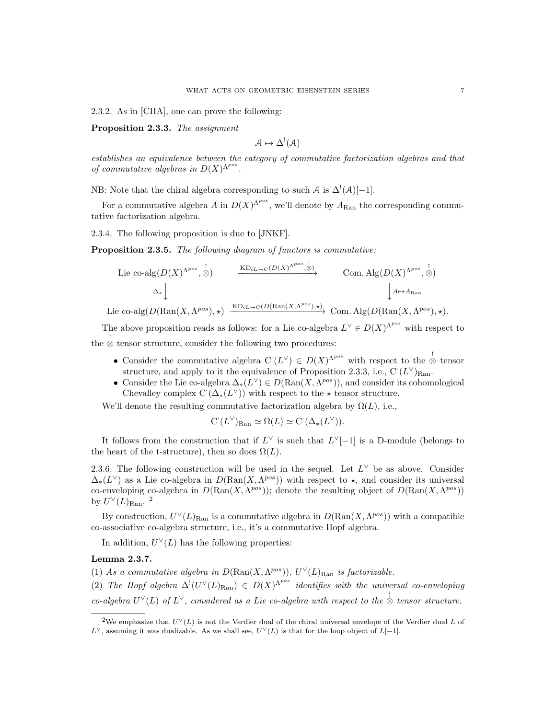2.3.2. As in [CHA], one can prove the following:

Proposition 2.3.3. The assignment

$$
\mathcal{A} \mapsto \Delta^!(\mathcal{A})
$$

establishes an equivalence between the category of commutative factorization algebras and that of commutative algebras in  $D(X)^{\Lambda^{pos}}$ .

NB: Note that the chiral algebra corresponding to such A is  $\Delta^!(\mathcal{A})[-1]$ .

For a commutative algebra A in  $D(X)^{\Lambda^{pos}}$ , we'll denote by  $A_{\text{Ran}}$  the corresponding commutative factorization algebra.

2.3.4. The following proposition is due to [JNKF].

Proposition 2.3.5. The following diagram of functors is commutative:

Lie co-alg
$$
(D(X)^{\Lambda^{pos}}, \stackrel{!}{\otimes})
$$
  $\xrightarrow{\text{KD}_{cL \to C}(D(X)^{\Lambda^{pos}}, \stackrel{!}{\otimes})}$  Com. Alg $(D(X)^{\Lambda^{pos}}, \stackrel{!}{\otimes})$   
 $\Delta_*$   $\downarrow$   $A \mapsto A_{\text{Ran}}$   $\downarrow$   $A \mapsto A_{\text{Ran}}$ 

Lie co-alg $(D(\text{Ran}(X, \Lambda^{pos}), \star))$  $\xrightarrow{\text{KD}_{\text{cL}\to\text{C}}(D(\text{Ran}(X, \Lambda^{pos}), \star))}$  Com. Alg( $D(\text{Ran}(X, \Lambda^{pos}), \star)$ ).

The above proposition reads as follows: for a Lie co-algebra  $L^{\vee} \in D(X)^{\Lambda^{pos}}$  with respect to the  $\stackrel{!}{\otimes}$  tensor structure, consider the following two procedures:

- Consider the commutative algebra  $C(L^{\vee}) \in D(X)^{\Lambda^{pos}}$  with respect to the  $\stackrel{!}{\otimes}$  tensor structure, and apply to it the equivalence of Proposition 2.3.3, i.e.,  $C(L^{\vee})_{\text{Ran}}$ .
- Consider the Lie co-algebra  $\Delta_*(L^{\vee}) \in D(\text{Ran}(X, \Lambda^{pos}))$ , and consider its cohomological Chevalley complex  $C(\Delta_*(L^{\vee}))$  with respect to the  $\star$  tensor structure.

We'll denote the resulting commutative factorization algebra by  $\Omega(L)$ , i.e.,

$$
\mathcal{C}^{\cdot}(L^{\vee})_{\operatorname{Ran}} \simeq \Omega(L) \simeq \mathcal{C}^{\cdot}(\Delta_{*}(L^{\vee})).
$$

It follows from the construction that if  $L^{\vee}$  is such that  $L^{\vee}[-1]$  is a D-module (belongs to the heart of the t-structure), then so does  $\Omega(L)$ .

2.3.6. The following construction will be used in the sequel. Let  $L^{\vee}$  be as above. Consider  $\Delta_*(L^{\vee})$  as a Lie co-algebra in  $D(\text{Ran}(X, \Lambda^{pos}))$  with respect to  $\star$ , and consider its universal co-enveloping co-algebra in  $D(\text{Ran}(X, \Lambda^{pos}))$ ; denote the resulting object of  $D(\text{Ran}(X, \Lambda^{pos}))$ by  $U^{\vee}(L)_{\text{Ran}}$ .<sup>2</sup>

By construction,  $U^{\vee}(L)_{\text{Ran}}$  is a commutative algebra in  $D(\text{Ran}(X, \Lambda^{pos}))$  with a compatible co-associative co-algebra structure, i.e., it's a commutative Hopf algebra.

In addition,  $U^{\vee}(L)$  has the following properties:

## Lemma 2.3.7.

(1) As a commutative algebra in  $D(\text{Ran}(X, \Lambda^{pos}))$ ,  $U^{\vee}(L)_{\text{Ran}}$  is factorizable.

(2) The Hopf algebra  $\Delta^!(U^{\vee}(L)_{\text{Ran}}) \in D(X)^{\Lambda^{pos}}$  identifies with the universal co-enveloping co-algebra  $U^{\vee}(L)$  of  $L^{\vee}$ , considered as a Lie co-algebra with respect to the  $\stackrel{!}{\otimes}$  tensor structure.

<sup>&</sup>lt;sup>2</sup>We emphasize that  $U^{\vee}(L)$  is not the Verdier dual of the chiral universal envelope of the Verdier dual L of  $L^{\vee}$ , assuming it was dualizable. As we shall see,  $U^{\vee}(L)$  is that for the loop object of  $L[-1]$ .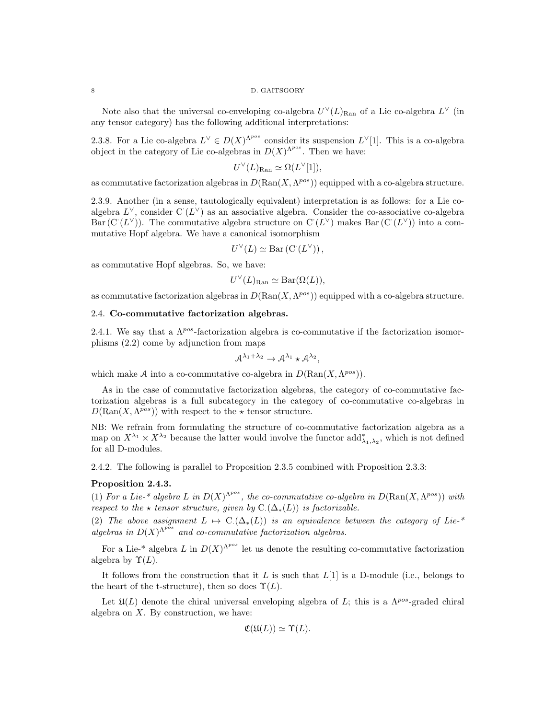#### 8 D. GAITSGORY

Note also that the universal co-enveloping co-algebra  $U^{\vee}(L)_{\text{Ran}}$  of a Lie co-algebra  $L^{\vee}$  (in any tensor category) has the following additional interpretations:

2.3.8. For a Lie co-algebra  $L^{\vee} \in D(X)^{\Lambda^{pos}}$  consider its suspension  $L^{\vee}[1]$ . This is a co-algebra object in the category of Lie co-algebras in  $D(X)^{\Lambda^{pos}}$ . Then we have:

$$
U^{\vee}(L)_{\text{Ran}} \simeq \Omega(L^{\vee}[1]),
$$

as commutative factorization algebras in  $D(\text{Ran}(X, \Lambda^{pos}))$  equipped with a co-algebra structure.

2.3.9. Another (in a sense, tautologically equivalent) interpretation is as follows: for a Lie coalgebra  $L^{\vee}$ , consider C $(L^{\vee})$  as an associative algebra. Consider the co-associative co-algebra Bar  $(C(L^{\vee}))$ . The commutative algebra structure on  $C(L^{\vee})$  makes Bar  $(C(L^{\vee}))$  into a commutative Hopf algebra. We have a canonical isomorphism

$$
U^{\vee}(L) \simeq \text{Bar}\left(\mathrm{C}^{\cdot}(L^{\vee})\right),
$$

as commutative Hopf algebras. So, we have:

$$
U^{\vee}(L)_{\text{Ran}} \simeq \text{Bar}(\Omega(L)),
$$

as commutative factorization algebras in  $D(\text{Ran}(X, \Lambda^{pos}))$  equipped with a co-algebra structure.

## 2.4. Co-commutative factorization algebras.

2.4.1. We say that a  $\Lambda^{pos}$ -factorization algebra is co-commutative if the factorization isomorphisms (2.2) come by adjunction from maps

$$
\mathcal{A}^{\lambda_1+\lambda_2}\to \mathcal{A}^{\lambda_1}\star \mathcal{A}^{\lambda_2},
$$

which make A into a co-commutative co-algebra in  $D(\text{Ran}(X, \Lambda^{pos}))$ .

As in the case of commutative factorization algebras, the category of co-commutative factorization algebras is a full subcategory in the category of co-commutative co-algebras in  $D(\text{Ran}(X, \Lambda^{pos}))$  with respect to the  $\star$  tensor structure.

NB: We refrain from formulating the structure of co-commutative factorization algebra as a map on  $X^{\lambda_1} \times X^{\lambda_2}$  because the latter would involve the functor  $\text{add}^*_{\lambda_1,\lambda_2}$ , which is not defined for all D-modules.

2.4.2. The following is parallel to Proposition 2.3.5 combined with Proposition 2.3.3:

## Proposition 2.4.3.

(1) For a Lie-\* algebra L in  $D(X)^{\Lambda^{pos}}$ , the co-commutative co-algebra in  $D(\text{Ran}(X, \Lambda^{pos}))$  with respect to the  $\star$  tensor structure, given by C.( $\Delta_*(L)$ ) is factorizable.

(2) The above assignment  $L \mapsto C(\Delta_*(L))$  is an equivalence between the category of Lie-\* algebras in  $D(X)^{\Lambda^{p\tilde{o}s}}$  and co-commutative factorization algebras.

For a Lie-\* algebra L in  $D(X)^{\Lambda^{pos}}$  let us denote the resulting co-commutative factorization algebra by  $\Upsilon(L)$ .

It follows from the construction that it L is such that  $L[1]$  is a D-module (i.e., belongs to the heart of the t-structure), then so does  $\Upsilon(L)$ .

Let  $\mathfrak{U}(L)$  denote the chiral universal enveloping algebra of L; this is a  $\Lambda^{pos}$ -graded chiral algebra on  $X$ . By construction, we have:

$$
\mathfrak{C}(\mathfrak{U}(L)) \simeq \Upsilon(L).
$$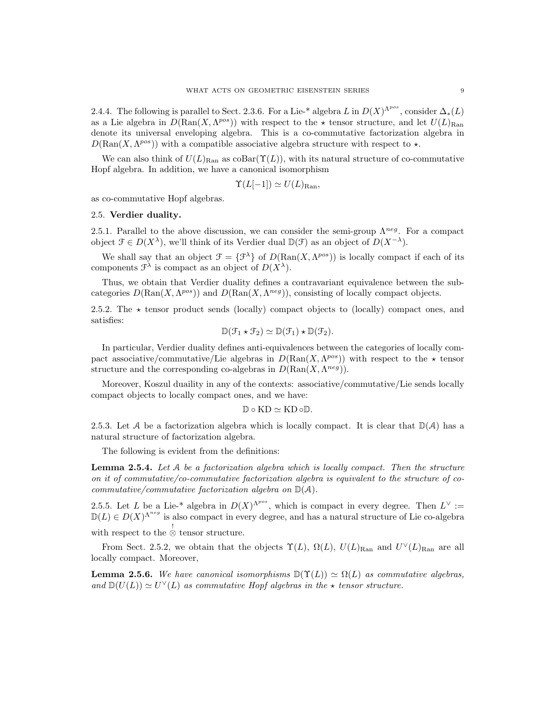2.4.4. The following is parallel to Sect. 2.3.6. For a Lie-\* algebra L in  $D(X)^{\Lambda^{pos}}$ , consider  $\Delta_*(L)$ as a Lie algebra in  $D(\text{Ran}(X, \Lambda^{pos}))$  with respect to the  $\star$  tensor structure, and let  $U(L)_{\text{Ran}}$ denote its universal enveloping algebra. This is a co-commutative factorization algebra in  $D(\text{Ran}(X, \Lambda^{pos}))$  with a compatible associative algebra structure with respect to  $\star$ .

We can also think of  $U(L)_{\text{Ran}}$  as  $\text{coBar}(\Upsilon(L))$ , with its natural structure of co-commutative Hopf algebra. In addition, we have a canonical isomorphism

$$
\Upsilon(L[-1]) \simeq U(L)_{\text{Ran}},
$$

as co-commutative Hopf algebras.

## 2.5. Verdier duality.

2.5.1. Parallel to the above discussion, we can consider the semi-group  $\Lambda^{neg}$ . For a compact object  $\mathcal{F} \in D(X^{\lambda})$ , we'll think of its Verdier dual  $\mathbb{D}(\mathcal{F})$  as an object of  $D(X^{-\lambda})$ .

We shall say that an object  $\mathcal{F} = {\mathcal{F}^{\lambda}}$  of  $D(\text{Ran}(X, \Lambda^{pos}))$  is locally compact if each of its components  $\mathcal{F}^{\lambda}$  is compact as an object of  $D(X^{\lambda})$ .

Thus, we obtain that Verdier duality defines a contravariant equivalence between the subcategories  $D(\text{Ran}(X, \Lambda^{pos}))$  and  $D(\text{Ran}(X, \Lambda^{neg}))$ , consisting of locally compact objects.

2.5.2. The  $\star$  tensor product sends (locally) compact objects to (locally) compact ones, and satisfies:

$$
\mathbb{D}(\mathcal{F}_1 \star \mathcal{F}_2) \simeq \mathbb{D}(\mathcal{F}_1) \star \mathbb{D}(\mathcal{F}_2).
$$

In particular, Verdier duality defines anti-equivalences between the categories of locally compact associative/commutative/Lie algebras in  $D(\text{Ran}(X, \Lambda^{pos}))$  with respect to the  $\star$  tensor structure and the corresponding co-algebras in  $D(\text{Ran}(X, \Lambda^{neg}))$ .

Moreover, Koszul duaility in any of the contexts: associative/commutative/Lie sends locally compact objects to locally compact ones, and we have:

$$
\mathbb{D}\circ\mathrm{KD}\simeq\mathrm{KD}\circ\mathbb{D}.
$$

2.5.3. Let A be a factorization algebra which is locally compact. It is clear that  $\mathbb{D}(\mathcal{A})$  has a natural structure of factorization algebra.

The following is evident from the definitions:

**Lemma 2.5.4.** Let  $A$  be a factorization algebra which is locally compact. Then the structure on it of commutative/co-commutative factorization algebra is equivalent to the structure of cocommutative/commutative factorization algebra on  $\mathbb{D}(\mathcal{A})$ .

2.5.5. Let L be a Lie-\* algebra in  $D(X)^{\Lambda^{pos}}$ , which is compact in every degree. Then  $L^{\vee}$  :=  $D(L) \in D(X)^{\Lambda^{neg}}$  is also compact in every degree, and has a natural structure of Lie co-algebra

with respect to the  $\stackrel{!}{\otimes}$  tensor structure.

From Sect. 2.5.2, we obtain that the objects  $\Upsilon(L)$ ,  $\Omega(L)$ ,  $U(L)_{\text{Ran}}$  and  $U^{\vee}(L)_{\text{Ran}}$  are all locally compact. Moreover,

**Lemma 2.5.6.** We have canonical isomorphisms  $\mathbb{D}(\Upsilon(L)) \simeq \Omega(L)$  as commutative algebras, and  $\mathbb{D}(U(L)) \simeq U^{\vee}(L)$  as commutative Hopf algebras in the  $\star$  tensor structure.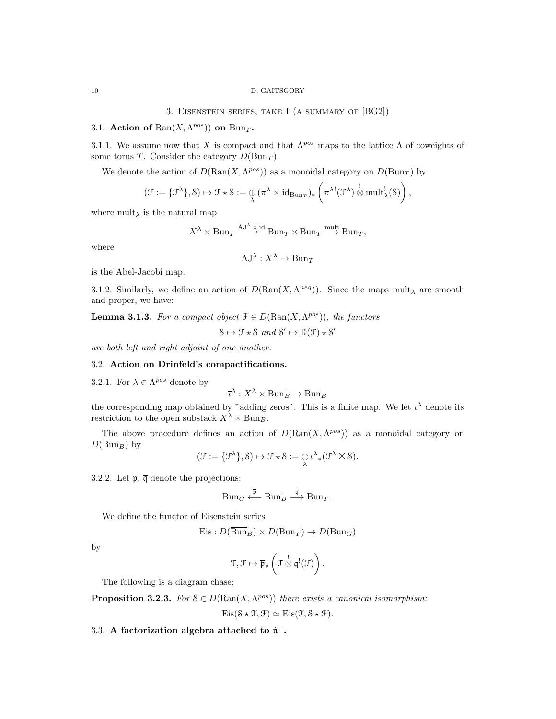3. Eisenstein series, take I (a summary of [BG2])

# 3.1. Action of  $\text{Ran}(X, \Lambda^{pos})$  on  $\text{Bun}_T$ .

3.1.1. We assume now that X is compact and that  $\Lambda^{pos}$  maps to the lattice  $\Lambda$  of coweights of some torus T. Consider the category  $D(\text{Bun}_T)$ .

We denote the action of  $D(\text{Ran}(X, \Lambda^{pos}))$  as a monoidal category on  $D(\text{Bun}_T)$  by

$$
(\mathcal{F} := {\{\mathcal{F}^{\lambda}\}, \delta) \mapsto \mathcal{F} \star \delta := \underset{\lambda}{\oplus} (\pi^{\lambda} \times id_{\mathrm{Bun}_T})_* \left( \pi^{\lambda!}(\mathcal{F}^{\lambda}) \overset{!}{\otimes} \mathrm{mult}_{\lambda}^!(\delta) \right),
$$

where  $\text{mult}_{\lambda}$  is the natural map

$$
X^{\lambda} \times \text{Bun}_T \xrightarrow{\text{AJ}^{\lambda} \times \text{id}} \text{Bun}_T \times \text{Bun}_T \xrightarrow{\text{mult}} \text{Bun}_T,
$$

where

$$
AJ^{\lambda}: X^{\lambda} \to Bun_T
$$

is the Abel-Jacobi map.

3.1.2. Similarly, we define an action of  $D(\text{Ran}(X, \Lambda^{neg}))$ . Since the maps mult<sub>λ</sub> are smooth and proper, we have:

**Lemma 3.1.3.** For a compact object  $\mathcal{F} \in D(\text{Ran}(X, \Lambda^{pos}))$ , the functors

 $S \mapsto \mathcal{F} \star S$  and  $S' \mapsto \mathbb{D}(\mathcal{F}) \star S'$ 

are both left and right adjoint of one another.

# 3.2. Action on Drinfeld's compactifications.

3.2.1. For  $\lambda \in \Lambda^{pos}$  denote by

$$
\overline{\iota}^{\lambda}: X^{\lambda} \times \overline{\operatorname{Bun}}_B \to \overline{\operatorname{Bun}}_B
$$

the corresponding map obtained by "adding zeros". This is a finite map. We let  $\iota^{\lambda}$  denote its restriction to the open substack  $X^{\lambda} \times \text{Bun}_B$ .

The above procedure defines an action of  $D(\text{Ran}(X, \Lambda^{pos}))$  as a monoidal category on  $D(\overline{\text{Bun}}_B)$  by

$$
(\mathcal{F} := \{\mathcal{F}^{\lambda}\}, \mathcal{S}) \mapsto \mathcal{F} \star \mathcal{S} := \bigoplus_{\lambda} \bar{\iota}^{\lambda} \ast (\mathcal{F}^{\lambda} \boxtimes \mathcal{S}).
$$

3.2.2. Let  $\bar{\mathfrak{p}}, \bar{\mathfrak{q}}$  denote the projections:

$$
\mathrm{Bun}_G \stackrel{\overline{\mathfrak p}}{\longleftarrow} \overline{\mathrm{Bun}}_B \stackrel{\overline{\mathfrak q}}{\longrightarrow} \mathrm{Bun}_T \, .
$$

We define the functor of Eisenstein series

Eis: 
$$
D(\overline{Bun}_B) \times D(Bun_T) \to D(Bun_G)
$$

by

$$
\mathfrak{T},\mathfrak{F}\mapsto\overline{\mathfrak{p}}_*\left(\mathfrak{T}\overset{!}{\otimes}\overline{\mathfrak{q}}^!(\mathfrak{F})\right).
$$

The following is a diagram chase:

**Proposition 3.2.3.** For  $S \in D(\text{Ran}(X, \Lambda^{pos}))$  there exists a canonical isomorphism:

$$
Eis(\mathcal{S} \star \mathcal{T}, \mathcal{F}) \simeq Eis(\mathcal{T}, \mathcal{S} \star \mathcal{F}).
$$

3.3. A factorization algebra attached to  $\check{\mathfrak{n}}^-$ .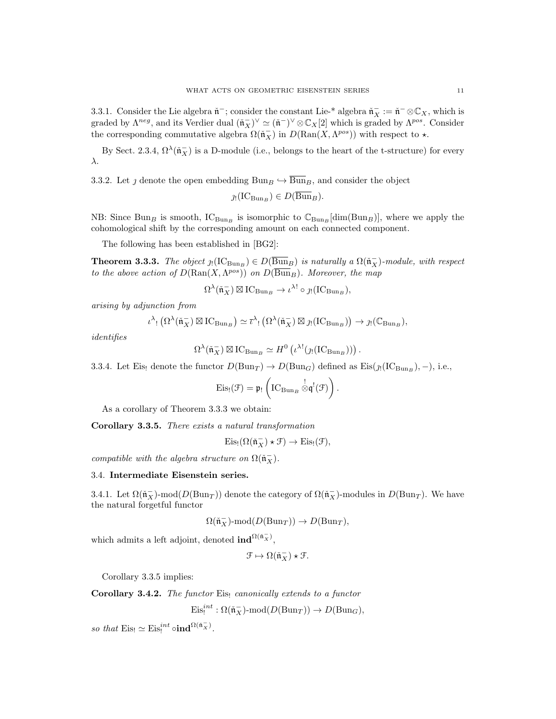3.3.1. Consider the Lie algebra  $\check{\mathfrak{n}}^-$ ; consider the constant Lie-\* algebra  $\check{\mathfrak{n}}^-_X := \check{\mathfrak{n}}^- \otimes \mathbb{C}_X$ , which is graded by  $\Lambda^{neg}$ , and its Verdier dual  $(\tilde{\mathfrak{n}}_X^-)^{\vee} \simeq (\tilde{\mathfrak{n}}^-)^{\vee} \otimes \mathbb{C}_X[2]$  which is graded by  $\Lambda^{pos}$ . Consider the corresponding commutative algebra  $\Omega(\tilde{\mathfrak{n}}_X^-)$  in  $D(\text{Ran}(X, \Lambda^{pos}))$  with respect to  $\star$ .

By Sect. 2.3.4,  $\Omega^{\lambda}(\tilde{\mathfrak{n}}_X^-)$  is a D-module (i.e., belongs to the heart of the t-structure) for every λ.

3.3.2. Let *j* denote the open embedding Bun<sub>B</sub>  $\rightarrow$  Bun<sub>B</sub>, and consider the object

$$
\jmath_! (IC_{\text{Bun}_B}) \in D(\text{Bun}_B).
$$

NB: Since Bun<sub>B</sub> is smooth,  $IC_{\text{Bun}_B}$  is isomorphic to  $C_{\text{Bun}_B}$  [dim(Bun<sub>B</sub>)], where we apply the cohomological shift by the corresponding amount on each connected component.

The following has been established in [BG2]:

**Theorem 3.3.3.** The object  $\jmath_1(\text{IC}_{\text{Bun}_B}) \in D(\overline{\text{Bun}}_B)$  is naturally a  $\Omega(\tilde{\mathfrak{n}}_X^-)$ -module, with respect to the above action of  $D(\text{Ran}(X, \Lambda^{pos}))$  on  $D(\overline{Bun}_B)$ . Moreover, the map

$$
\Omega^{\lambda}(\check{\mathfrak{n}}_X^-) \boxtimes \mathrm{IC}_{\mathrm{Bun}_B} \to \iota^{\lambda!} \circ \jmath! (\mathrm{IC}_{\mathrm{Bun}_B}),
$$

arising by adjunction from

$$
\iota^{\lambda} \colon (\Omega^{\lambda}(\check{\mathfrak{n}}_X^-) \boxtimes \mathrm{IC}_{\mathrm{Bun}_B}) \simeq \bar{\iota}^{\lambda} \colon (\Omega^{\lambda}(\check{\mathfrak{n}}_X^-) \boxtimes \jmath \colon (\mathrm{IC}_{\mathrm{Bun}_B})) \to \jmath \colon (\mathbb{C}_{\mathrm{Bun}_B}),
$$

identifies

$$
\Omega^{\lambda}(\check{\mathfrak{n}}_X^-) \boxtimes \mathrm{IC}_{\mathrm{Bun}_B} \simeq H^0\left(\iota^{\lambda!}(\jmath_! (\mathrm{IC}_{\mathrm{Bun}_B}))\right).
$$

3.3.4. Let Eis! denote the functor  $D(\text{Bun}_T) \to D(\text{Bun}_G)$  defined as  $\text{Eis}(j_!(\text{IC}_{\text{Bun}_B}), -)$ , i.e.,

$$
\mathrm{Eis}_{!}(\mathcal{F})=\mathfrak{p}_{!}\left({\mathrm{IC}_{\mathrm{Bun}_B}}\overset{!}{\otimes}\mathfrak{q}^!(\mathcal{F})\right).
$$

As a corollary of Theorem 3.3.3 we obtain:

Corollary 3.3.5. There exists a natural transformation

$$
\mathrm{Eis}_! (\Omega(\check{\mathfrak{n}}_X^-) \star \mathcal{F}) \to \mathrm{Eis}_! (\mathcal{F}),
$$

compatible with the algebra structure on  $\Omega(\tilde{\mathfrak{n}}_X^-)$ .

## 3.4. Intermediate Eisenstein series.

3.4.1. Let  $\Omega(\tilde{\mathfrak{n}}_X^-)$ -mod $(D(\text{Bun}_T))$  denote the category of  $\Omega(\tilde{\mathfrak{n}}_X^-)$ -modules in  $D(\text{Bun}_T)$ . We have the natural forgetful functor

$$
\Omega(\mathfrak{\check{n}}_X^-)\text{-}\mathrm{mod}(D(\mathrm{Bun}_T))\to D(\mathrm{Bun}_T),
$$

which admits a left adjoint, denoted  $\text{ind}^{\Omega(\tilde{n}_X^-)}$ ,

$$
\mathcal{F} \mapsto \Omega(\check{\mathfrak{n}}_X^-)\star \mathcal{F}.
$$

Corollary 3.3.5 implies:

**Corollary 3.4.2.** The functor Eise canonically extends to a functor

$$
\mathrm{Eis}_!^{int}: \Omega(\tilde{\mathfrak{n}}_X^-)\text{-mod}(D(\mathrm{Bun}_T))\to D(\mathrm{Bun}_G),
$$

so that  $\mathrm{Eis}_{!} \simeq \mathrm{Eis}_{!}^{int} \circ \mathrm{ind}^{\Omega(\tilde{n}_{X}^{-})}.$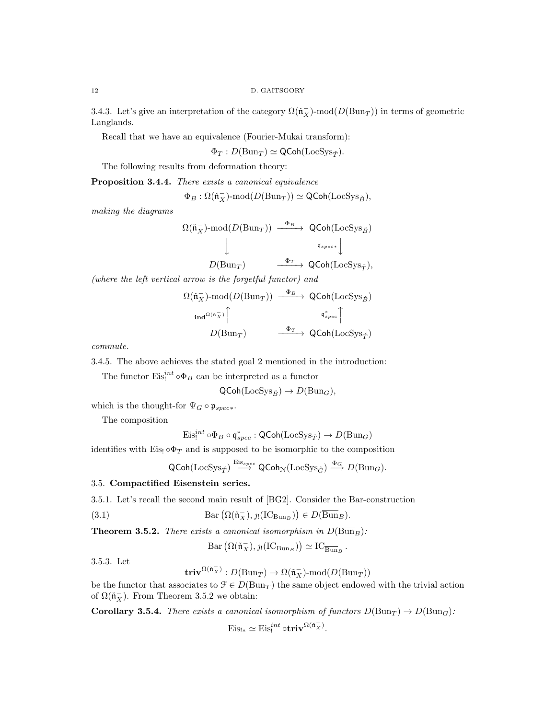3.4.3. Let's give an interpretation of the category  $\Omega(\tilde{\mathfrak{n}}_X^-)$ -mod $(D(\text{Bun}_T))$  in terms of geometric Langlands.

Recall that we have an equivalence (Fourier-Mukai transform):

 $\Phi_T : D(\text{Bun}_T) \simeq \text{QCoh}(\text{LocSys}_{\tilde{T}}).$ 

The following results from deformation theory:

Proposition 3.4.4. There exists a canonical equivalence

$$
\Phi_B: \Omega(\tilde{{\mathfrak{n}}}_X^-)\text{-mod}(D(\mathrm{Bun}_T)) \simeq \operatorname{\mathsf{QCoh}}(\mathrm{LocSys}_{\check{B}}),
$$

making the diagrams

$$
\Omega(\tilde{\mathfrak{n}}_X^-)\text{-mod}(D(\text{Bun}_T)) \xrightarrow{\Phi_B} \text{QCoh}(\text{LocSys}_{\check{B}})
$$
  

$$
\downarrow \qquad \qquad \downarrow \qquad \qquad \downarrow
$$
  

$$
D(\text{Bun}_T) \xrightarrow{\Phi_T} \text{QCoh}(\text{LocSys}_{\check{T}}),
$$

(where the left vertical arrow is the forgetful functor) and

$$
\Omega(\tilde{\mathfrak{n}}_X^-)\text{-mod}(D(\text{Bun}_T)) \xrightarrow{\Phi_B} \text{QCoh}(\text{LocSys}_{\tilde{B}})
$$
  

$$
\text{ind}^{\Omega(\tilde{\mathfrak{n}}_X^-)} \upharpoonright \text{grad}^{\Phi_{\text{free}}}
$$
  

$$
D(\text{Bun}_T) \xrightarrow{\Phi_T} \text{QCoh}(\text{LocSys}_{\tilde{T}})
$$

commute.

3.4.5. The above achieves the stated goal 2 mentioned in the introduction:

The functor  $\mathrm{Eis}^{int}_{!} \circ \Phi_B$  can be interpreted as a functor

$$
\mathsf{QCoh}(\mathrm{LocSys}_{\check{B}}) \to D(\mathrm{Bun}_G),
$$

which is the thought-for  $\Psi_G \circ \mathfrak{p}_{spec*}$ .

The composition

$$
\mathrm{Eis}^{int}_!\circ \Phi_B\circ \mathfrak{q}^*_{spec} : \mathsf{QCoh}(\mathrm{LocSys}_{\check{T}}) \to D(\mathrm{Bun}_G)
$$

identifies with Eis!  $\circ \Phi_T$  and is supposed to be isomorphic to the composition

$$
\mathsf{QCoh}(\mathrm{LocSys}_{\check T}) \stackrel{\mathrm{Eis}_{spec}}{\longrightarrow} \mathsf{QCoh}_{\mathcal{N}}(\mathrm{LocSys}_{\check G}) \stackrel{\Phi_G}{\longrightarrow} D(\mathrm{Bun}_G).
$$

## 3.5. Compactified Eisenstein series.

3.5.1. Let's recall the second main result of [BG2]. Consider the Bar-construction

(3.1) 
$$
Bar\left(\Omega(\tilde{\mathfrak{n}}_X^-), \jmath_!(\text{IC}_{\text{Bun}_B})\right) \in D(\overline{\text{Bun}}_B).
$$

**Theorem 3.5.2.** There exists a canonical isomorphism in  $D(\overline{Bun}_B)$ :

$$
\mathrm{Bar}\left(\Omega(\tilde{\mathfrak{n}}_X^-), \jmath_! (\mathrm{IC}_{\mathrm{Bun}_B})\right) \simeq \mathrm{IC}_{\overline{\mathrm{Bun}}_B}^-.
$$

3.5.3. Let

$$
\mathbf{triv}^{\Omega(\check{\mathfrak{n}}_X^-)}: D(\mathrm{Bun}_T) \rightarrow \Omega(\check{\mathfrak{n}}_X^-)\text{-}\mathrm{mod}(D(\mathrm{Bun}_T))
$$

be the functor that associates to  $\mathcal{F} \in D(\text{Bun}_T)$  the same object endowed with the trivial action of  $\Omega(\tilde{\mathfrak{n}}_X^-)$ . From Theorem 3.5.2 we obtain:

**Corollary 3.5.4.** There exists a canonical isomorphism of functors  $D(\text{Bun}_T) \to D(\text{Bun}_G)$ :

 $\mathrm{Eis}_{!*} \simeq \mathrm{Eis}_{!}^{int} \circ \mathbf{triv}^{\Omega(\tilde{\mathfrak{n}}_X^-)}.$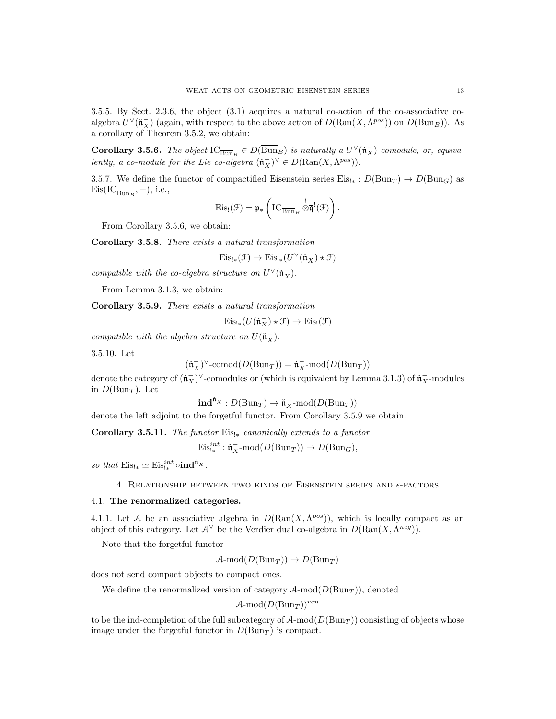**Corollary 3.5.6.** The object  $\text{IC}_{\overline{Bun}_B} \in D(\overline{Bun}_B)$  is naturally a  $U^{\vee}(\tilde{\mathfrak{n}}_X^-)$ -comodule, or, equivalently, a co-module for the Lie co-algebra  $(\tilde{\mathfrak{n}}_X^-)^{\vee} \in D(\text{Ran}(X, \Lambda^{pos}))$ .

3.5.7. We define the functor of compactified Eisenstein series  $Eis_{!*}: D(\text{Bun}_T) \to D(\text{Bun}_G)$  as  $\mathrm{Eis}(\mathrm{IC}_{\overline{\mathrm{Bun}}_B}, -), \text{ i.e.,}$ 

$$
\mathrm{Eis}_!(\mathcal{F}) = \overline{\mathfrak{p}}_* \left( \mathrm{IC}_{\overline{\mathrm{Bun}}_B} \overset{!}{\otimes} \overline{\mathfrak{q}}^!(\mathcal{F}) \right).
$$

From Corollary 3.5.6, we obtain:

Corollary 3.5.8. There exists a natural transformation

$$
\mathrm{Eis}_{!*}(\mathcal{F}) \to \mathrm{Eis}_{!*}(U^\vee(\check{\mathfrak{n}}_X^-)\star \mathcal{F})
$$

compatible with the co-algebra structure on  $U^{\vee}(\tilde{\mathfrak{n}}_X^-)$ .

From Lemma 3.1.3, we obtain:

Corollary 3.5.9. There exists a natural transformation

$$
\mathrm{Eis}_{!*}(U(\check{\mathfrak{n}}_X^-)\star\mathfrak{F})\to \mathrm{Eis}_{!}(\mathfrak{F})
$$

compatible with the algebra structure on  $U(\tilde{\mathfrak{n}}_X^-)$ .

3.5.10. Let

$$
(\check{\mathfrak{n}}_X^-)^{\vee}\text{-comod}(D(\mathrm{Bun}_T))=\check{\mathfrak{n}}_X^- \text{-mod}(D(\mathrm{Bun}_T))
$$

denote the category of  $(\tilde{\mathfrak{n}}_X^-)^\vee$ -comodules or (which is equivalent by Lemma 3.1.3) of  $\tilde{\mathfrak{n}}_X^-$ -modules in  $D(\text{Bun}_T)$ . Let

 $\text{ind}^{\tilde{\mathfrak{n}}_X^-}:D(\text{Bun}_T)\to \tilde{\mathfrak{n}}_X^- \text{mod}(D(\text{Bun}_T))$ 

denote the left adjoint to the forgetful functor. From Corollary 3.5.9 we obtain:

Corollary 3.5.11. The functor  $Eis_{!*}$  canonically extends to a functor

 $\mathrm{Eis}_{!*}^{int} : \mathfrak{n}_X^- \text{-mod}(D(\mathrm{Bun}_T)) \to D(\mathrm{Bun}_G),$ 

so that  $\mathrm{Eis}_{!*} \simeq \mathrm{Eis}_{!*}^{int} \circ \mathbf{ind}^{\tilde{\mathfrak{n}}_X}.$ 

4. RELATIONSHIP BETWEEN TWO KINDS OF EISENSTEIN SERIES AND  $\epsilon$ -FACTORS

## 4.1. The renormalized categories.

4.1.1. Let A be an associative algebra in  $D(\text{Ran}(X, \Lambda^{pos}))$ , which is locally compact as an object of this category. Let  $\mathcal{A}^{\vee}$  be the Verdier dual co-algebra in  $D(\text{Ran}(X, \Lambda^{neg}))$ .

Note that the forgetful functor

$$
A\text{-mod}(D(\text{Bun}_T)) \to D(\text{Bun}_T)
$$

does not send compact objects to compact ones.

We define the renormalized version of category  $A\text{-mod}(D(\text{Bun}_T))$ , denoted

 $\mathcal{A}\text{-mod}(D(\text{Bun}_T))^{ren}$ 

to be the ind-completion of the full subcategory of  $A$ -mod $(D(Bun<sub>T</sub>))$  consisting of objects whose image under the forgetful functor in  $D(\text{Bun}_T)$  is compact.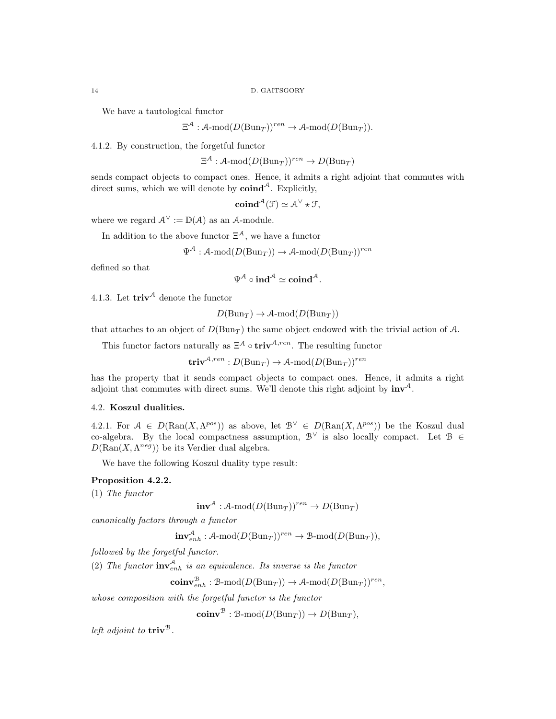We have a tautological functor

$$
\Xi^{\mathcal{A}} : \mathcal{A}\text{-mod}(D(\mathrm{Bun}_T))^{ren} \to \mathcal{A}\text{-mod}(D(\mathrm{Bun}_T)).
$$

4.1.2. By construction, the forgetful functor

 $\Xi^{\mathcal{A}} : \mathcal{A}\text{-mod}(D(\mathrm{Bun}_T))^{ren} \to D(\mathrm{Bun}_T)$ 

sends compact objects to compact ones. Hence, it admits a right adjoint that commutes with direct sums, which we will denote by  $\mathbf{coind}^{\mathcal{A}}$ . Explicitly,

$$
\mathbf{coind}^{\mathcal{A}}(\mathcal{F}) \simeq \mathcal{A}^{\vee} \star \mathcal{F},
$$

where we regard  $\mathcal{A}^{\vee} := \mathbb{D}(\mathcal{A})$  as an  $\mathcal{A}$ -module.

In addition to the above functor  $\Xi^{\mathcal{A}}$ , we have a functor

 $\Psi^{\mathcal{A}} : \mathcal{A}\text{-mod}(D(\mathrm{Bun}_T)) \to \mathcal{A}\text{-mod}(D(\mathrm{Bun}_T))^{ren}$ 

defined so that

$$
\Psi^{\mathcal{A}}\circ \mathbf{ind}^{\mathcal{A}} \simeq \mathbf{coind}^{\mathcal{A}}.
$$

4.1.3. Let  $\mathbf{triv}^{\mathcal{A}}$  denote the functor

 $D(Bun_T) \to \mathcal{A}\text{-mod}(D(Bun_T))$ 

that attaches to an object of  $D(\text{Bun}_T)$  the same object endowed with the trivial action of A.

This functor factors naturally as  $\Xi^{\mathcal{A}} \circ \mathbf{triv}^{\mathcal{A},ren}$ . The resulting functor

 $\mathbf{triv}^{\mathcal{A},ren}:D(\mathrm{Bun}_T)\to\mathcal{A}\text{-mod}(D(\mathrm{Bun}_T))^{ren}$ 

has the property that it sends compact objects to compact ones. Hence, it admits a right adjoint that commutes with direct sums. We'll denote this right adjoint by  $inv^{\mathcal{A}}$ .

## 4.2. Koszul dualities.

4.2.1. For  $A \in D(\text{Ran}(X, \Lambda^{pos}))$  as above, let  $\mathcal{B}^{\vee} \in D(\text{Ran}(X, \Lambda^{pos}))$  be the Koszul dual co-algebra. By the local compactness assumption,  $\mathcal{B}^{\vee}$  is also locally compact. Let  $\mathcal{B} \in$  $D(\text{Ran}(X, \Lambda^{neg}))$  be its Verdier dual algebra.

We have the following Koszul duality type result:

# Proposition 4.2.2.

(1) The functor

 $inv^{\mathcal{A}} : \mathcal{A}\text{-mod}(D(\text{Bun}_T))^{ren} \to D(\text{Bun}_T)$ 

canonically factors through a functor

$$
\mathbf{inv}_{enh}^{\mathcal{A}} : \mathcal{A}\text{-mod}(D(\mathrm{Bun}_T))^{ren} \to \mathcal{B}\text{-mod}(D(\mathrm{Bun}_T)),
$$

followed by the forgetful functor.

(2) The functor  $\text{inv}_{enh}^{\mathcal{A}}$  is an equivalence. Its inverse is the functor

 $\mathbf{coinv}_{enh}^{B} : \mathcal{B}\text{-mod}(D(\mathrm{Bun}_T)) \to \mathcal{A}\text{-mod}(D(\mathrm{Bun}_T))^{ren},$ 

whose composition with the forgetful functor is the functor

 $\mathbf{coinv}^{\mathcal{B}} : \mathcal{B}\text{-mod}(D(\mathrm{Bun}_T)) \to D(\mathrm{Bun}_T),$ 

left adjoint to  $\mathbf{triv}^{\mathcal{B}}$ .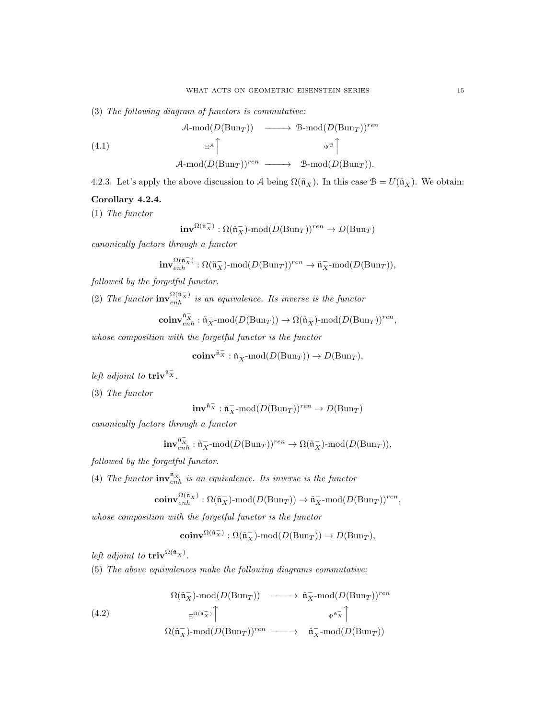(3) The following diagram of functors is commutative:

(4.1)  
\n
$$
\begin{array}{ccc}\n\mathcal{A}\text{-mod}(D(\text{Bun}_T)) & \longrightarrow & \mathcal{B}\text{-mod}(D(\text{Bun}_T))^{ren} \\
\equiv^{\mathcal{A}} \upharpoonright & \psi^{\mathcal{B}} \upharpoonright \\
\mathcal{A}\text{-mod}(D(\text{Bun}_T))^{ren} & \longrightarrow & \mathcal{B}\text{-mod}(D(\text{Bun}_T)).\n\end{array}
$$

4.2.3. Let's apply the above discussion to A being  $\Omega(\tilde{\mathfrak{n}}_X^-)$ . In this case  $\mathcal{B} = U(\tilde{\mathfrak{n}}_X^-)$ . We obtain:

## Corollary 4.2.4.

(1) The functor

$$
\mathbf{inv}^{\Omega(\tilde{\mathfrak{n}}_X^-)} : \Omega(\tilde{\mathfrak{n}}_X^-)\text{-mod}(D(\mathrm{Bun}_T))^{ren} \to D(\mathrm{Bun}_T)
$$

canonically factors through a functor

$$
\mathbf{inv}^{\Omega(\tilde{\mathfrak{n}}_X^-)}_{enh} : \Omega(\tilde{\mathfrak{n}}_X^-)\text{-}\mathrm{mod}(D(\mathrm{Bun}_T))^{ren} \rightarrow \tilde{\mathfrak{n}}_X^- \text{-}\mathrm{mod}(D(\mathrm{Bun}_T)),
$$

followed by the forgetful functor.

(2) The functor  $\mathbf{inv}_{enh}^{\Omega(\tilde{\mathfrak{n}}_X^-)}$  is an equivalence. Its inverse is the functor

$$
\mathbf{coinv}^{\check{\mathfrak{n}}_{{}_R}^{\smash{-}}}\colon\check{\mathfrak{n}}_X^{\smash{-}}\text{-}\mathrm{mod}(D(\mathrm{Bun}_T))\to\Omega(\check{\mathfrak{n}}_X^{\smash{-}})\text{-}\mathrm{mod}(D(\mathrm{Bun}_T))^{ren},
$$

whose composition with the forgetful functor is the functor

$$
\mathbf{coinv}^{\check{\mathfrak{n}}_X^-}:\check{\mathfrak{n}}_X^- \textbf{-mod}(D(\mathrm{Bun}_T)) \to D(\mathrm{Bun}_T),
$$

left adjoint to  $\mathrm{triv}^{\tilde{\mathfrak{n}}_X^-}$ .

(3) The functor

$$
\mathbf{inv}^{\check{\mathfrak{n}}_X^-}:\check{\mathfrak{n}}_X^-{\operatorname{-mod}}(D(\mathrm{Bun}_T))^{ren}\to D(\mathrm{Bun}_T)
$$

canonically factors through a functor

$$
\mathbf{inv}^{\check{\mathfrak{n}}_X^-}_{enh}: \check{\mathfrak{n}}_X^- \text{-mod}(D(\mathrm{Bun}_T))^{ren} \rightarrow \Omega(\check{\mathfrak{n}}_X^-)\text{-mod}(D(\mathrm{Bun}_T)),
$$

followed by the forgetful functor.

(4) The functor  $\mathbf{inv}_{enh}^{\tilde{n}_{\overline{X}}}$  is an equivalence. Its inverse is the functor

$$
\mathbf{coinv}^{\Omega(\check{\mathfrak{n}}_X^-)}_{enh} : \Omega(\check{\mathfrak{n}}_X^-)\text{-}\mathrm{mod}(D(\mathrm{Bun}_T)) \rightarrow \check{\mathfrak{n}}_X^- \text{-}\mathrm{mod}(D(\mathrm{Bun}_T))^{ren},
$$

whose composition with the forgetful functor is the functor

$$
\mathbf{coinv}^{\Omega(\check{\mathfrak{n}}_X^-)}: \Omega(\check{\mathfrak{n}}_X^-)\text{-mod}(D(\mathrm{Bun}_T))\rightarrow D(\mathrm{Bun}_T),
$$

left adjoint to  $\mathrm{triv}^{\Omega(\tilde{n}_X^-)}$ .

(5) The above equivalences make the following diagrams commutative:

(4.2)  
\n
$$
\Omega(\tilde{\mathfrak{n}}_X^-)\text{-mod}(D(\text{Bun}_T)) \longrightarrow \tilde{\mathfrak{n}}_X^- \text{-mod}(D(\text{Bun}_T))^{ren}
$$
\n
$$
\xrightarrow{\Xi^{\Omega(\tilde{\mathfrak{n}}_X^-)}} \uparrow \qquad \qquad \Psi^{\tilde{\mathfrak{n}}_X^-} \uparrow
$$
\n
$$
\Omega(\tilde{\mathfrak{n}}_X^-)\text{-mod}(D(\text{Bun}_T))^{ren} \longrightarrow \tilde{\mathfrak{n}}_X^- \text{-mod}(D(\text{Bun}_T))
$$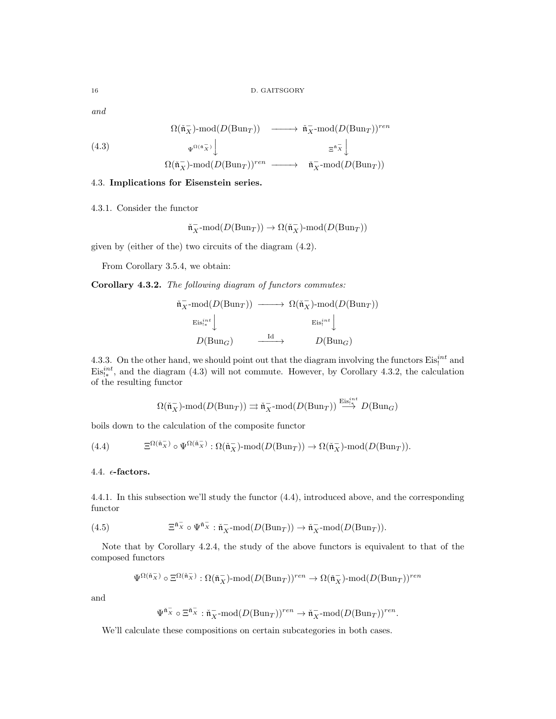and

(4.3)  
\n
$$
\Omega(\tilde{\mathfrak{n}}_X^-)\text{-mod}(D(\text{Bun}_T)) \longrightarrow \tilde{\mathfrak{n}}_X^- \text{-mod}(D(\text{Bun}_T))^{ren}
$$
\n
$$
\xrightarrow{\Psi^{\Omega(\tilde{\mathfrak{n}}_X^-)}} \downarrow^{\Xi^{\tilde{\mathfrak{n}}_X^-}} \downarrow^{\Xi^{\tilde{\mathfrak{n}}_X^-}}
$$
\n
$$
\Omega(\tilde{\mathfrak{n}}_X^-)\text{-mod}(D(\text{Bun}_T))^{ren} \longrightarrow \tilde{\mathfrak{n}}_X^- \text{-mod}(D(\text{Bun}_T))
$$

### 4.3. Implications for Eisenstein series.

4.3.1. Consider the functor

$$
\check{\mathfrak{n}}_X^- \text{-mod}(D(\mathrm{Bun}_T)) \to \Omega(\check{\mathfrak{n}}_X^-)\text{-mod}(D(\mathrm{Bun}_T))
$$

given by (either of the) two circuits of the diagram (4.2).

From Corollary 3.5.4, we obtain:

Corollary 4.3.2. The following diagram of functors commutes:

$$
\begin{array}{ccc}\n\check{\mathfrak{n}}_X^- \text{-mod}(D(\text{Bun}_T)) & \longrightarrow & \Omega(\check{\mathfrak{n}}_X^-) \text{-mod}(D(\text{Bun}_T)) \\
& \xrightarrow{\text{Eis}_{\mathfrak{j}^*}^{int}} \downarrow & & \xrightarrow{\text{Eis}_{\mathfrak{j}^*}^{int}} \downarrow \\
& & D(\text{Bun}_G) & \xrightarrow{\text{Id}} & D(\text{Bun}_G)\n\end{array}
$$

4.3.3. On the other hand, we should point out that the diagram involving the functors  $Eis_!^{int}$  and  $\mathrm{Eis}_{1*}^{int}$ , and the diagram (4.3) will not commute. However, by Corollary 4.3.2, the calculation of the resulting functor

$$
\Omega(\check{{\mathfrak n}}_X^-)\operatorname{\!-mod}\nolimits(D({\operatorname{Bun}}_T))\rightrightarrows\check{{\mathfrak n}}_X^- \operatorname{\!-mod}\nolimits(D({\operatorname{Bun}}_T))\stackrel{{\operatorname{Eis}}_1^{int}}\longrightarrow\!\!\!\!\!\!\!\!\!\!\!D({\operatorname{Bun}}_G)
$$

boils down to the calculation of the composite functor

(4.4) 
$$
\Xi^{\Omega(\tilde{\mathfrak{n}}_X^-)} \circ \Psi^{\Omega(\tilde{\mathfrak{n}}_X^-)} : \Omega(\tilde{\mathfrak{n}}_X^-)\text{-mod}(D(\mathrm{Bun}_T)) \to \Omega(\tilde{\mathfrak{n}}_X^-)\text{-mod}(D(\mathrm{Bun}_T)).
$$

## 4.4.  $\epsilon$ -factors.

4.4.1. In this subsection we'll study the functor (4.4), introduced above, and the corresponding functor

(4.5) 
$$
\Xi^{\tilde{\mathfrak{n}}_X} \circ \Psi^{\tilde{\mathfrak{n}}_X} : \tilde{\mathfrak{n}}_X^- \text{-mod}(D(\text{Bun}_T)) \to \tilde{\mathfrak{n}}_X^- \text{-mod}(D(\text{Bun}_T)).
$$

Note that by Corollary 4.2.4, the study of the above functors is equivalent to that of the composed functors

$$
\Psi^{\Omega(\|\mathbf{x}\|)}\circ \Xi^{\Omega(\|\mathbf{x}\|)}:\Omega(\|\mathbf{x}\|) \text{-}\mathrm{mod}(D(\mathrm{Bun}_T))^{ren}\rightarrow \Omega(\|\mathbf{x}\|) \text{-}\mathrm{mod}(D(\mathrm{Bun}_T))^{ren}
$$

and

$$
\Psi^{\check{\mathfrak{n}}_X^-} \circ \Xi^{\check{\mathfrak{n}}_X^-} : \check{\mathfrak{n}}_X^- \text{-mod} (D(\mathrm{Bun}_{T}))^{ren} \to \check{\mathfrak{n}}_X^- \text{-mod} (D(\mathrm{Bun}_{T}))^{ren}.
$$

We'll calculate these compositions on certain subcategories in both cases.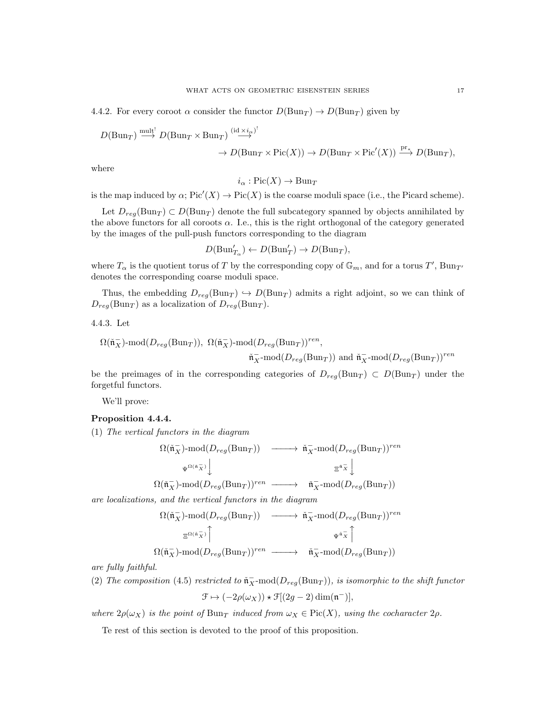4.4.2. For every coroot  $\alpha$  consider the functor  $D(\text{Bun}_T) \to D(\text{Bun}_T)$  given by

 $D(\text{Bun}_T) \stackrel{\text{mult}^{\text{!`}}}{\longrightarrow} D(\text{Bun}_T \times \text{Bun}_T) \stackrel{(\text{id} \times i_\alpha)}{\longrightarrow}$ 

$$
\to D(\mathrm{Bun}_T\times \mathrm{Pic}(X))\to D(\mathrm{Bun}_T\times \mathrm{Pic}'(X))\xrightarrow{\mathrm{pr}_{*}} D(\mathrm{Bun}_T),
$$

where

$$
i_{\alpha}: Pic(X) \rightarrow Bun_T
$$

is the map induced by  $\alpha$ ;  $Pic'(X) \to Pic(X)$  is the coarse moduli space (i.e., the Picard scheme).

Let  $D_{reg}(\text{Bun}_T) \subset D(\text{Bun}_T)$  denote the full subcategory spanned by objects annihilated by the above functors for all coroots  $\alpha$ . I.e., this is the right orthogonal of the category generated by the images of the pull-push functors corresponding to the diagram

$$
D(\text{Bun}'_{T_{\alpha}}) \leftarrow D(\text{Bun}'_{T}) \rightarrow D(\text{Bun}_{T}),
$$

where  $T_{\alpha}$  is the quotient torus of T by the corresponding copy of  $\mathbb{G}_m$ , and for a torus T',  $\text{Bun}_{T'}$ denotes the corresponding coarse moduli space.

Thus, the embedding  $D_{reg}(\text{Bun}_T) \hookrightarrow D(\text{Bun}_T)$  admits a right adjoint, so we can think of  $D_{reg}(\text{Bun}_T)$  as a localization of  $D_{reg}(\text{Bun}_T)$ .

4.4.3. Let

$$
\Omega(\tilde{\mathfrak{n}}_X^-)\text{-mod}(D_{reg}(\text{Bun}_T)), \ \Omega(\tilde{\mathfrak{n}}_X^-)\text{-mod}(D_{reg}(\text{Bun}_T))^{ren},
$$

$$
\tilde{\mathfrak{n}}_X^-\text{-mod}(D_{reg}(\text{Bun}_T)) \ \text{and} \ \tilde{\mathfrak{n}}_X^-\text{-mod}(D_{reg}(\text{Bun}_T))^{ren}
$$

be the preimages of in the corresponding categories of  $D_{reg}(\text{Bun}_T) \subset D(\text{Bun}_T)$  under the forgetful functors.

We'll prove:

## Proposition 4.4.4.

(1) The vertical functors in the diagram

$$
\Omega(\tilde{\mathfrak{n}}_X^-)\text{-mod}(D_{reg}(\text{Bun}_T)) \longrightarrow \tilde{\mathfrak{n}}_X^- \text{-mod}(D_{reg}(\text{Bun}_T))^{ren}
$$
  
\n
$$
\Psi^{\Omega(\tilde{\mathfrak{n}}_X^-)} \downarrow \qquad \qquad \Xi^{\tilde{\mathfrak{n}}_X^-} \downarrow
$$
  
\n
$$
\Omega(\tilde{\mathfrak{n}}_X^-)\text{-mod}(D_{reg}(\text{Bun}_T))^{ren} \longrightarrow \tilde{\mathfrak{n}}_X^- \text{-mod}(D_{reg}(\text{Bun}_T))
$$

are localizations, and the vertical functors in the diagram

$$
\Omega(\tilde{\mathfrak{n}}_X^-)\text{-mod}(D_{reg}(\text{Bun}_T)) \longrightarrow \tilde{\mathfrak{n}}_X^- \text{-mod}(D_{reg}(\text{Bun}_T))^{ren}
$$
  

$$
\exists^{\Omega(\tilde{\mathfrak{n}}_X^-)} \upharpoonright \qquad \qquad \Psi^{\tilde{\mathfrak{n}}_X^-} \upharpoonright
$$
  

$$
\Omega(\tilde{\mathfrak{n}}_X^-)\text{-mod}(D_{reg}(\text{Bun}_T))^{ren} \longrightarrow \tilde{\mathfrak{n}}_X^- \text{-mod}(D_{reg}(\text{Bun}_T))
$$

are fully faithful.

(2) The composition (4.5) restricted to  $\tilde{\mathfrak{n}}_X$ -mod $(D_{reg}(Bun_T))$ , is isomorphic to the shift functor

$$
\mathcal{F} \mapsto (-2\rho(\omega_X)) \star \mathcal{F}[(2g-2)\dim(\mathfrak{n}^-)],
$$

where  $2\rho(\omega_X)$  is the point of  $Bun_T$  induced from  $\omega_X \in Pic(X)$ , using the cocharacter  $2\rho$ .

Te rest of this section is devoted to the proof of this proposition.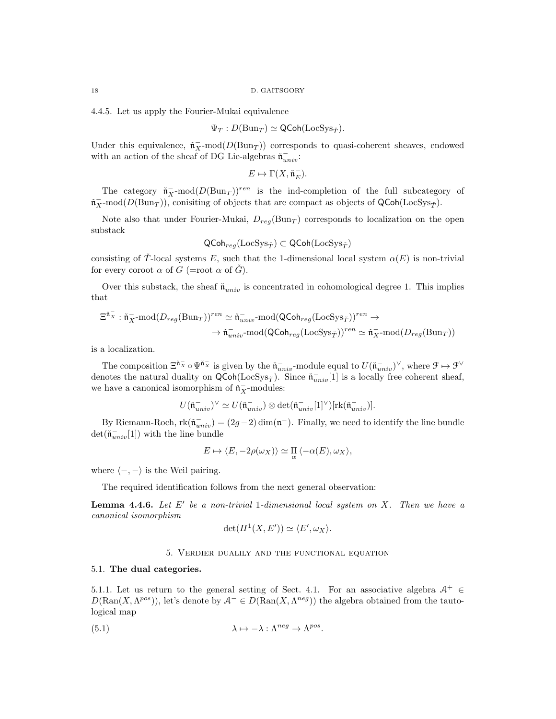4.4.5. Let us apply the Fourier-Mukai equivalence

$$
\Psi_T: D(\mathrm{Bun}_T) \simeq \mathsf{QCoh}(\mathrm{LocSys}_{\check{T}}).
$$

Under this equivalence,  $\tilde{\mathfrak{n}}_X^-$ -mod $(D(\text{Bun}_T))$  corresponds to quasi-coherent sheaves, endowed with an action of the sheaf of DG Lie-algebras  $\tilde{\mathfrak{n}}_{univ}^-$ :

$$
E\mapsto \Gamma(X,\mathfrak{\check{n}}_E^-).
$$

The category  $\tilde{\mathfrak{n}}_X^-$ -mod $(D(\text{Bun}_T))^{ren}$  is the ind-completion of the full subcategory of  $\tilde{\mathfrak{n}}_X^-$ -mod $(D(\text{Bun}_T))$ , conisiting of objects that are compact as objects of QCoh(LocSys<sub>T</sub><sup>\*</sup>).

Note also that under Fourier-Mukai,  $D_{reg}(\text{Bun}_T)$  corresponds to localization on the open substack

$$
\mathsf{QCoh}_{reg}(\mathrm{LocSys}_{\check{T}}) \subset \mathsf{QCoh}(\mathrm{LocSys}_{\check{T}})
$$

consisting of T-local systems E, such that the 1-dimensional local system  $\alpha(E)$  is non-trivial for every coroot  $\alpha$  of  $G$  (=root  $\alpha$  of  $\tilde{G}$ ).

Over this substack, the sheaf  $\tilde{\mathfrak{n}}_{univ}^-$  is concentrated in cohomological degree 1. This implies that

$$
\begin{aligned} \Xi^{\check{\mathfrak{n}}_X^-}\colon\check{\mathfrak{n}}_X^-{\textrm{-mod}}(D_{reg}(\mathrm{Bun}_T))^{ren}&\simeq\check{\mathfrak{n}}_{univ}^-{\textrm{-mod}}(\mathsf{QCoh}_{reg}(\mathrm{LocSys}_{\check{T}}))^{ren}&\to\\ &\to\check{\mathfrak{n}}_{univ}^-{\textrm{-mod}}(\mathsf{QCoh}_{reg}(\mathrm{LocSys}_{\check{T}}))^{ren}&\simeq\check{\mathfrak{n}}_X^-{\textrm{-mod}}(D_{reg}(\mathrm{Bun}_T))\end{aligned}
$$

is a localization.

The composition  $\Xi^{\tilde{n}_{X}} \circ \Psi^{\tilde{n}_{X}}$  is given by the  $\tilde{\mathfrak{n}}_{univ}^-$ -module equal to  $U(\tilde{\mathfrak{n}}_{univ}^-)^{\vee}$ , where  $\mathfrak{F} \mapsto \mathfrak{F}^{\vee}$ denotes the natural duality on  $\mathsf{QCoh}(\text{LocSys}_{\check{T}})$ . Since  $\check{n}_{univ}^{-}[1]$  is a locally free coherent sheaf, we have a canonical isomorphism of  $\tilde{\mathfrak{n}}_X^-$ -modules:

$$
U(\check{\mathfrak{n}}_{univ}^-)^{\vee} \simeq U(\check{\mathfrak{n}}_{univ}^-) \otimes \det(\check{\mathfrak{n}}_{univ}^- [1]^{\vee})[\operatorname{rk}(\check{\mathfrak{n}}_{univ}^-)].
$$

By Riemann-Roch,  $rk(\tilde{\mathfrak{n}}_{univ}^-) = (2g-2) \dim(\mathfrak{n}^-)$ . Finally, we need to identify the line bundle  $\det(\tilde{\mathfrak{n}}_{univ}^{-}[1])$  with the line bundle

$$
E \mapsto \langle E, -2\rho(\omega_X) \rangle \simeq \prod_{\alpha} \langle -\alpha(E), \omega_X \rangle,
$$

where  $\langle -, - \rangle$  is the Weil pairing.

The required identification follows from the next general observation:

**Lemma 4.4.6.** Let  $E'$  be a non-trivial 1-dimensional local system on  $X$ . Then we have a canonical isomorphism

$$
\det(H^1(X, E')) \simeq \langle E', \omega_X \rangle.
$$

## 5. Verdier dualily and the functional equation

#### 5.1. The dual categories.

5.1.1. Let us return to the general setting of Sect. 4.1. For an associative algebra  $\mathcal{A}^+$   $\in$  $D(\text{Ran}(X, \Lambda^{pos}))$ , let's denote by  $\mathcal{A}^- \in D(\text{Ran}(X, \Lambda^{neg}))$  the algebra obtained from the tautological map

(5.1) 
$$
\lambda \mapsto -\lambda : \Lambda^{neg} \to \Lambda^{pos}.
$$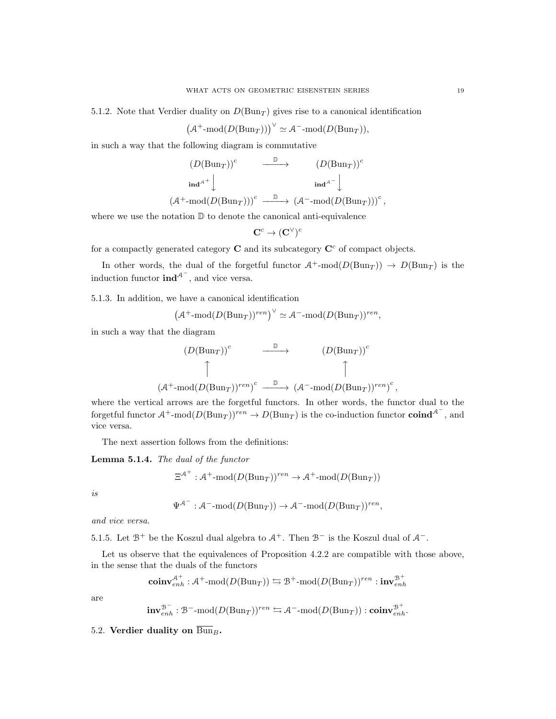5.1.2. Note that Verdier duality on  $D(\text{Bun}_T)$  gives rise to a canonical identification

$$
(A^+\text{-mod}(D(\text{Bun}_T)))^{\vee} \simeq A^-\text{-mod}(D(\text{Bun}_T)),
$$

in such a way that the following diagram is commutative

$$
(D(\text{Bun}_T))^c \xrightarrow{\mathbb{D}} (D(\text{Bun}_T))^c
$$
  
\n
$$
\text{ind}^{A^+}\downarrow \text{ind}^{A^-}\downarrow \text{ind}^{A^-}\downarrow
$$
  
\n
$$
(\mathcal{A}^+\text{-mod}(D(\text{Bun}_T)))^c \xrightarrow{\mathbb{D}} (\mathcal{A}^-\text{-mod}(D(\text{Bun}_T)))^c,
$$

where we use the notation  $\mathbb D$  to denote the canonical anti-equivalence

$$
\mathbf{C}^c\to (\mathbf{C}^\vee)^c
$$

for a compactly generated category  $C$  and its subcategory  $C<sup>c</sup>$  of compact objects.

In other words, the dual of the forgetful functor  $A^+$ -mod $(D(\text{Bun}_T)) \to D(\text{Bun}_T)$  is the induction functor  $\text{ind}^{\mathcal{A}^-}$ , and vice versa.

5.1.3. In addition, we have a canonical identification

$$
\left(\mathcal{A}^+\text{-mod}(D(\text{Bun}_T))^{ren}\right)^{\vee} \simeq \mathcal{A}^-\text{-mod}(D(\text{Bun}_T))^{ren},
$$

in such a way that the diagram

$$
(D(\text{Bun}_T))^c \xrightarrow{\mathbb{D}} (D(\text{Bun}_T))^c
$$
  

$$
\uparrow \qquad \qquad (\uparrow \qquad \qquad (\text{Bun}_T))^c
$$
  

$$
(\mathcal{A}^+\text{-mod}(D(\text{Bun}_T))^{ren})^c \xrightarrow{\mathbb{D}} (\mathcal{A}^-\text{-mod}(D(\text{Bun}_T))^{ren})^c
$$

where the vertical arrows are the forgetful functors. In other words, the functor dual to the forgetful functor  $\mathcal{A}^+$ -mod $(D(\text{Bun}_T))^{ren} \to D(\text{Bun}_T)$  is the co-induction functor  $\text{coind}^{\mathcal{A}^-}$ , and vice versa.

The next assertion follows from the definitions:

Lemma 5.1.4. The dual of the functor

$$
\Xi^{\mathcal{A}^+} : \mathcal{A}^+\text{-mod}(D(\mathrm{Bun}_T))^{ren} \to \mathcal{A}^+\text{-mod}(D(\mathrm{Bun}_T))
$$

is

$$
\Psi^{\mathcal{A}^-} : \mathcal{A}^- \text{-mod}(D(\mathrm{Bun}_T)) \to \mathcal{A}^- \text{-mod}(D(\mathrm{Bun}_T))^{ren},
$$

and vice versa.

5.1.5. Let  $\mathcal{B}^+$  be the Koszul dual algebra to  $\mathcal{A}^+$ . Then  $\mathcal{B}^-$  is the Koszul dual of  $\mathcal{A}^-$ .

Let us observe that the equivalences of Proposition 4.2.2 are compatible with those above, in the sense that the duals of the functors

$$
\mathbf{coinv}_{enh}^{\mathcal{A}^+} : \mathcal{A}^+\text{-mod}(D(\mathrm{Bun}_T)) \leftrightarrows \mathcal{B}^+\text{-mod}(D(\mathrm{Bun}_T))^{ren} : \mathbf{inv}_{enh}^{\mathcal{B}^+}
$$

are

$$
\mathbf{inv}_{enh}^{\mathcal{B}^-}:\mathcal{B}^-\text{-mod}(D(\mathrm{Bun}_T))^{ren}\leftrightarrows \mathcal{A}^-\text{-mod}(D(\mathrm{Bun}_T)):\mathbf{coinv}_{enh}^{\mathcal{B}^+}.
$$

5.2. Verdier duality on  $\overline{\text{Bun}}_B$ .

,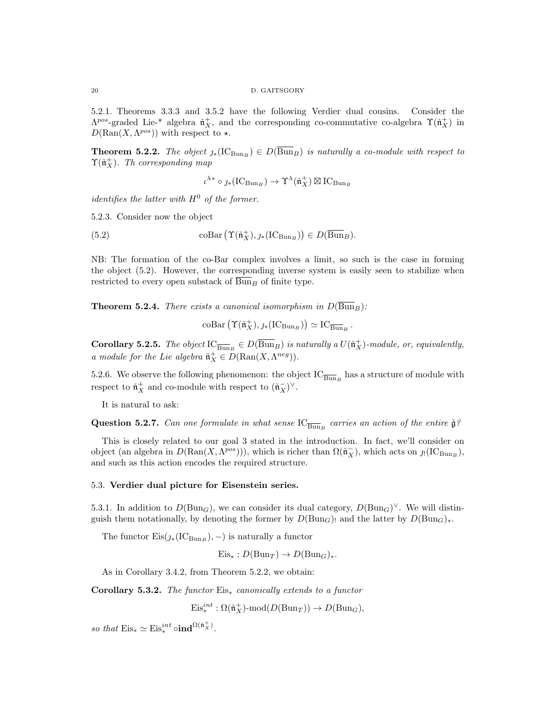5.2.1. Theorems 3.3.3 and 3.5.2 have the following Verdier dual cousins. Consider the  $\Lambda^{pos}$ -graded Lie-<sup>\*</sup> algebra  $\tilde{\mathfrak{n}}_X^+$ , and the corresponding co-commutative co-algebra  $\Upsilon(\tilde{\mathfrak{n}}_X^+)$  in  $D(\text{Ran}(X, \Lambda^{pos}))$  with respect to  $\star$ .

**Theorem 5.2.2.** The object  $j_*(IC_{Bun_B}) \in D(\overline{Bun}_B)$  is naturally a co-module with respect to  $\Upsilon(\check{\mathfrak{n}}_X^+)$ . Th corresponding map

$$
\iota^{\lambda*} \circ \jmath_{*}(\mathrm{IC}_{\operatorname{Bun}_B}) \to \Upsilon^{\lambda}(\check{\mathfrak{n}}_X^+) \boxtimes \mathrm{IC}_{\operatorname{Bun}_B}
$$

identifies the latter with  $H^0$  of the former.

5.2.3. Consider now the object

(5.2) 
$$
\operatorname{coBar}(\Upsilon(\mathfrak{n}_X^+), \jmath_*(\mathrm{IC}_{\operatorname{Bun}_B})) \in D(\overline{\operatorname{Bun}}_B).
$$

NB: The formation of the co-Bar complex involves a limit, so such is the case in forming the object (5.2). However, the corresponding inverse system is easily seen to stabilize when restricted to every open substack of  $\overline{\text{Bun}}_B$  of finite type.

**Theorem 5.2.4.** There exists a canonical isomorphism in  $D(\overline{Bun}_B)$ :

 $\mathrm{coBar}(\Upsilon(\check{\mathfrak{n}}_X^+), \jmath_*(\mathrm{IC}_{\mathrm{Bun}_B})) \simeq \mathrm{IC}_{\overline{\mathrm{Bun}}_B}$ .

**Corollary 5.2.5.** The object  $\text{IC}_{\overline{Bun}_B} \in D(\overline{Bun}_B)$  is naturally a  $U(\tilde{n}_X^+)$ -module, or, equivalently, a module for the Lie algebra  $\check{\mathfrak{n}}_X^+ \in D(\text{Ran}(X, \Lambda^{neg})).$ 

5.2.6. We observe the following phenomenon: the object  $\text{IC}_{\overline{\text{Bun}}_B}$  has a structure of module with respect to  $\tilde{\mathfrak{n}}_X^+$  and co-module with respect to  $(\tilde{\mathfrak{n}}_X^-)^{\vee}$ .

It is natural to ask:

**Question 5.2.7.** Can one formulate in what sense  $\text{IC}_{\overline{\text{Bun}}_B}$  carries an action of the entire  $\check{\mathfrak{g}}$ ?

This is closely related to our goal 3 stated in the introduction. In fact, we'll consider on object (an algebra in  $D(\text{Ran}(X, \Lambda^{pos}))),$  which is richer than  $\Omega(\tilde{\mathfrak{n}}_X^-)$ , which acts on  $\jmath_!(\text{IC}_{\text{Bun}_B}),$ and such as this action encodes the required structure.

## 5.3. Verdier dual picture for Eisenstein series.

5.3.1. In addition to  $D(\text{Bun}_G)$ , we can consider its dual category,  $D(\text{Bun}_G)^{\vee}$ . We will distinguish them notationally, by denoting the former by  $D(\text{Bun}_G)$  and the latter by  $D(\text{Bun}_G)_*$ .

The functor  $\mathrm{Eis}(j_*(IC_{\text{Bun}_B}), -)$  is naturally a functor

 $Eis_* : D(Bun_T) \to D(Bun_G)_*.$ 

As in Corollary 3.4.2, from Theorem 5.2.2, we obtain:

Corollary 5.3.2. The functor  $Eis_{*}$  canonically extends to a functor

$$
\mathrm{Eis}^{int}_*: \Omega(\check{\mathfrak{n}}^+_X)\text{-}\mathrm{mod}(D(\mathrm{Bun}_T))\to D(\mathrm{Bun}_G),
$$

so that  $\mathrm{Eis}_* \simeq \mathrm{Eis}^{int}_* \circ \mathrm{ind}^{\Omega(\tilde{n}_X^+)}$ .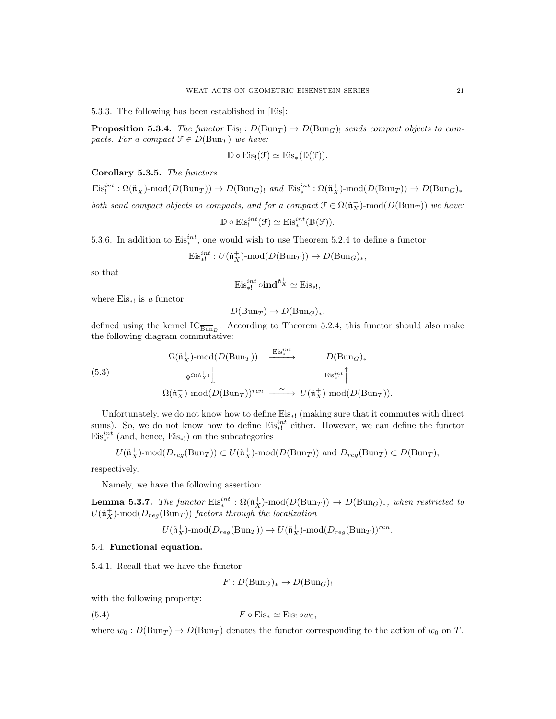5.3.3. The following has been established in [Eis]:

**Proposition 5.3.4.** The functor Eis<sub>!</sub>:  $D(\text{Bun}_T) \to D(\text{Bun}_G)$ <sub>!</sub> sends compact objects to compacts. For a compact  $\mathfrak{F} \in D(\text{Bun}_T)$  we have:

$$
\mathbb{D} \circ \mathrm{Eis}_{!}(\mathcal{F}) \simeq \mathrm{Eis}_{*}(\mathbb{D}(\mathcal{F})).
$$

## Corollary 5.3.5. The functors

 $\mathrm{Eis}_!^{int}: \Omega(\tilde{\mathfrak{n}}_X^-)\text{-mod}(D(\mathrm{Bun}_T)) \to D(\mathrm{Bun}_G)$ <sub>!</sub> and  $\mathrm{Eis}_*^{int}: \Omega(\tilde{\mathfrak{n}}_X^+) \text{-mod}(D(\mathrm{Bun}_T)) \to D(\mathrm{Bun}_G)_*$ both send compact objects to compacts, and for a compact  $\mathcal{F} \in \Omega(\tilde{\mathfrak{n}}_X^-)$ -mod $(D(\text{Bun}_T))$  we have:

$$
\mathbb{D} \circ \mathrm{Eis}_!^{int}(\mathcal{F}) \simeq \mathrm{Eis}_*^{int}(\mathbb{D}(\mathcal{F})).
$$

5.3.6. In addition to  $Eis^{int}_{*}$ , one would wish to use Theorem 5.2.4 to define a functor

$$
\mathrm{Eis}_{*!}^{\mathrm{int}}: U(\mathfrak{n}_X^+) \text{-}\mathrm{mod}(D(\mathrm{Bun}_T)) \to D(\mathrm{Bun}_G)_*,
$$

so that

$$
\mathrm{Eis}^{int}_{*!} \circ \mathbf{ind}^{\check{\mathfrak{n}}^+_X} \simeq \mathrm{Eis}_{*!},
$$

where  $Eis_{*!}$  is a functor

$$
D(\text{Bun}_T) \to D(\text{Bun}_G)_*,
$$

defined using the kernel  $IC_{\overline{Bun}_B}$ . According to Theorem 5.2.4, this functor should also make the following diagram commutative:

(5.3)  
\n
$$
\Omega(\tilde{\mathfrak{n}}_X^+) \text{-mod}(D(\text{Bun}_T)) \xrightarrow{\text{Eis}_{*}^{int}} D(\text{Bun}_G)_*
$$
\n
$$
\Psi^{\Omega(\tilde{\mathfrak{n}}_X^+)} \downarrow \qquad \text{Eis}_{*!}^{int} \uparrow
$$
\n
$$
\Omega(\tilde{\mathfrak{n}}_X^+) \text{-mod}(D(\text{Bun}_T))^{ren} \xrightarrow{\sim} U(\tilde{\mathfrak{n}}_X^+) \text{-mod}(D(\text{Bun}_T)).
$$

Unfortunately, we do not know how to define  $Eis_{*}$ ! (making sure that it commutes with direct sums). So, we do not know how to define  $Eis_{*}^{int}$  either. However, we can define the functor  $Eis_{*!}^{int}$  (and, hence,  $Eis_{*!}$ ) on the subcategories

$$
U(\tilde{\mathfrak{n}}_X^+)-\text{mod}(D_{reg}(\text{Bun}_T)) \subset U(\tilde{\mathfrak{n}}_X^+)-\text{mod}(D(\text{Bun}_T))
$$
 and  $D_{reg}(\text{Bun}_T) \subset D(\text{Bun}_T)$ ,

respectively.

Namely, we have the following assertion:

**Lemma 5.3.7.** The functor  $\text{Eis}_{*}^{int}: \Omega(\mathfrak{n}_X^+) \text{-mod}(D(\text{Bun}_T)) \to D(\text{Bun}_G)_{*}$ , when restricted to  $U(\mathfrak{n}_X^+)$ -mod $(D_{reg}(\text{Bun}_T))$  factors through the localization

$$
U(\mathfrak{n}_X^+) \text{-}\mathsf{mod}(D_{reg}(\mathrm{Bun}_T)) \to U(\mathfrak{n}_X^+) \text{-}\mathsf{mod}(D_{reg}(\mathrm{Bun}_T))^{ren}.
$$

## 5.4. Functional equation.

5.4.1. Recall that we have the functor

 $F: D(\text{Bun}_G)_* \to D(\text{Bun}_G)_!$ 

with the following property:

(5.4) 
$$
F \circ \mathrm{Eis}_* \simeq \mathrm{Eis}_! \circ w_0,
$$

where  $w_0 : D(\text{Bun}_T) \to D(\text{Bun}_T)$  denotes the functor corresponding to the action of  $w_0$  on T.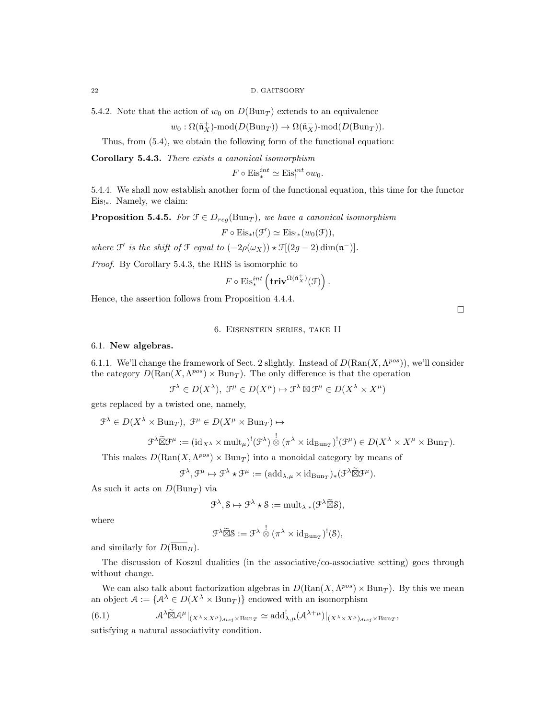5.4.2. Note that the action of  $w_0$  on  $D(\text{Bun}_T)$  extends to an equivalence

$$
w_0: \Omega(\tilde{{\mathfrak n}}_X^+) \text{-mod}(D({\operatorname{Bun}}_T)) \to \Omega(\tilde{{\mathfrak n}}_X^-) \text{-mod}(D({\operatorname{Bun}}_T)).
$$

Thus, from (5.4), we obtain the following form of the functional equation:

Corollary 5.4.3. There exists a canonical isomorphism

$$
F \circ \mathrm{Eis}_{*}^{int} \simeq \mathrm{Eis}_{!}^{int} \circ w_{0}.
$$

5.4.4. We shall now establish another form of the functional equation, this time for the functor Eis!∗. Namely, we claim:

**Proposition 5.4.5.** For  $\mathcal{F} \in D_{reg}(\text{Bun}_T)$ , we have a canonical isomorphism

 $F \circ \mathrm{Eis}_{*!}(\mathcal{F}') \simeq \mathrm{Eis}_{!*}(w_0(\mathcal{F})),$ 

where  $\mathfrak{F}'$  is the shift of  $\mathfrak{F}$  equal to  $(-2\rho(\omega_X)) \star \mathfrak{F}[(2g-2)\dim(\mathfrak{n}^-)].$ 

Proof. By Corollary 5.4.3, the RHS is isomorphic to

$$
F \circ \mathrm{Eis}^{int}_* \left( \mathbf{triv}^{\Omega(\tilde{\mathfrak{n}}_X^+)}(\mathcal{F}) \right)
$$

.

Hence, the assertion follows from Proposition 4.4.4.

## 6. Eisenstein series, take II

## 6.1. New algebras.

6.1.1. We'll change the framework of Sect. 2 slightly. Instead of  $D(\text{Ran}(X, \Lambda^{pos}))$ , we'll consider the category  $D(\text{Ran}(X, \Lambda^{pos}) \times \text{Bun}_T)$ . The only difference is that the operation

$$
\mathcal{F}^{\lambda} \in D(X^{\lambda}), \ \mathcal{F}^{\mu} \in D(X^{\mu}) \mapsto \mathcal{F}^{\lambda} \boxtimes \mathcal{F}^{\mu} \in D(X^{\lambda} \times X^{\mu})
$$

gets replaced by a twisted one, namely,

 $\mathcal{F}^{\lambda} \in D(X^{\lambda} \times \text{Bun}_T), \ \mathcal{F}^{\mu} \in D(X^{\mu} \times \text{Bun}_T) \mapsto$ 

$$
\mathcal{F}^{\lambda} \widetilde{\boxtimes} \mathcal{F}^{\mu} := (\mathrm{id}_{X^{\lambda}} \times \mathrm{mult}_{\mu})^{!} (\mathcal{F}^{\lambda}) \overset{!}{\otimes} (\pi^{\lambda} \times \mathrm{id}_{\mathrm{Bun}_{T}})^{!} (\mathcal{F}^{\mu}) \in D(X^{\lambda} \times X^{\mu} \times \mathrm{Bun}_{T}).
$$

This makes  $D(\text{Ran}(X, \Lambda^{pos}) \times \text{Bun}_T)$  into a monoidal category by means of

$$
\mathcal{F}^{\lambda}, \mathcal{F}^{\mu} \mapsto \mathcal{F}^{\lambda} \star \mathcal{F}^{\mu} := (\mathrm{add}_{\lambda,\mu} \times \mathrm{id}_{\mathrm{Bun}_{T}})_{*} (\mathcal{F}^{\lambda} \widetilde{\boxtimes} \mathcal{F}^{\mu}).
$$

As such it acts on  $D(\text{Bun}_T)$  via

$$
\mathcal{F}^{\lambda}, \mathcal{S} \mapsto \mathcal{F}^{\lambda} \star \mathcal{S} := \mathrm{mult}_{\lambda} \ast (\mathcal{F}^{\lambda} \widetilde{\boxtimes} \mathcal{S}),
$$

where

$$
\mathcal{F}^{\lambda} \widetilde{\boxtimes} \mathcal{S} := \mathcal{F}^{\lambda} \overset{!}{\otimes} (\pi^{\lambda} \times \mathrm{id}_{\mathrm{Bun}_T})^!(\mathcal{S}),
$$

and similarly for  $D(\overline{Bun}_B)$ .

The discussion of Koszul dualities (in the associative/co-associative setting) goes through without change.

We can also talk about factorization algebras in  $D(\text{Ran}(X, \Lambda^{pos}) \times \text{Bun}_T)$ . By this we mean an object  $A := \{A^{\lambda} \in D(X^{\lambda} \times \text{Bun}_T)\}\$ endowed with an isomorphism

(6.1) 
$$
\mathcal{A}^{\lambda} \widetilde{\boxtimes} \mathcal{A}^{\mu}|_{(X^{\lambda} \times X^{\mu})_{disj} \times \text{Bun}_T} \simeq \text{add}^!_{\lambda,\mu}(\mathcal{A}^{\lambda+\mu})|_{(X^{\lambda} \times X^{\mu})_{disj} \times \text{Bun}_T},
$$

satisfying a natural associativity condition.

 $\Box$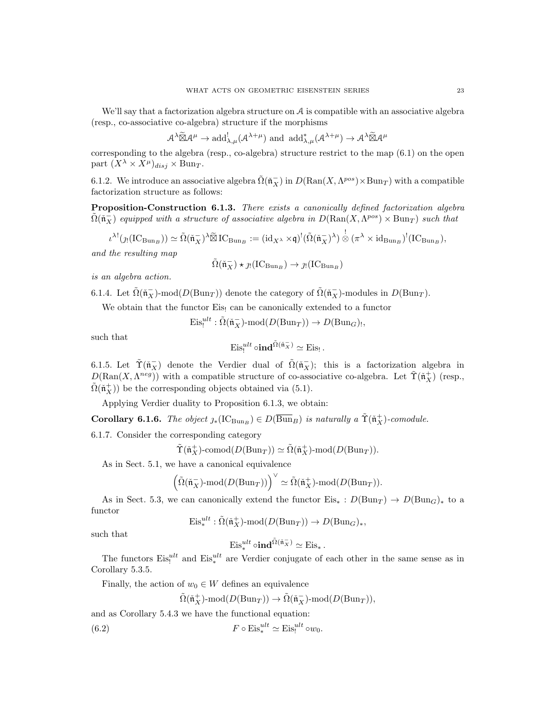We'll say that a factorization algebra structure on A is compatible with an associative algebra (resp., co-associative co-algebra) structure if the morphisms

$$
\mathcal{A}^{\lambda} \widetilde{\boxtimes} \mathcal{A}^{\mu} \to \mathrm{add}_{\lambda,\mu}^{!}(\mathcal{A}^{\lambda+\mu}) \text{ and } \mathrm{add}_{\lambda,\mu}^{*}(\mathcal{A}^{\lambda+\mu}) \to \mathcal{A}^{\lambda} \widetilde{\boxtimes} \mathcal{A}^{\mu}
$$

corresponding to the algebra (resp., co-algebra) structure restrict to the map (6.1) on the open part  $(X^{\lambda} \times X^{\mu})_{disj} \times \text{Bun}_T$ .

6.1.2. We introduce an associative algebra  $\tilde{\Omega}(\tilde{\mathfrak{n}}_X^-)$  in  $D(\text{Ran}(X, \Lambda^{pos}) \times \text{Bun}_T)$  with a compatible factorization structure as follows:

Proposition-Construction 6.1.3. There exists a canonically defined factorization algebra  $\tilde{\Omega}(\tilde{\mathfrak{n}}_X^-)$  equipped with a structure of associative algebra in  $D(\text{Ran}(X, \Lambda^{pos}) \times \text{Bun}_T)$  such that

$$
\iota^{\lambda!}(j_!(IC_{\operatorname{Bun}_B})) \simeq \tilde{\Omega}(\check{\mathfrak{n}}_X^{-})^{\lambda} \widetilde{\boxtimes} IC_{\operatorname{Bun}_B} := (\operatorname{id}_{X^{\lambda}} \times \mathfrak{q})^!(\tilde{\Omega}(\check{\mathfrak{n}}_X^{-})^{\lambda}) \overset{!}{\otimes} (\pi^{\lambda} \times \operatorname{id}_{\operatorname{Bun}_B})^!(IC_{\operatorname{Bun}_B}),
$$

and the resulting map

$$
\tilde{\Omega}(\tilde{\mathfrak{n}}_X^-)\star \jmath_! (IC_{{\operatorname{Bun}}_B})\to \jmath_! (IC_{{\operatorname{Bun}}_B})
$$

is an algebra action.

6.1.4. Let  $\tilde{\Omega}(\tilde{\mathfrak{n}}_X^-)$ -mod $(D(\text{Bun}_T))$  denote the category of  $\tilde{\Omega}(\tilde{\mathfrak{n}}_X^-)$ -modules in  $D(\text{Bun}_T)$ .

We obtain that the functor Eis! can be canonically extended to a functor

 $\mathrm{Eis}^{ult}_! : \tilde{\Omega}(\tilde{\mathfrak{n}}_X^-)\text{-mod}(D(\mathrm{Bun}_T)) \to D(\mathrm{Bun}_G)$ <sub>!</sub>,

such that

$$
\mathrm{Eis}_{!}^{ult} \circ \mathbf{ind}^{\tilde{\Omega}(\tilde{\mathfrak{n}}_X^-)} \simeq \mathrm{Eis}_{!}.
$$

6.1.5. Let  $\tilde{\Upsilon}(\tilde{\mathfrak{n}}_X^-)$  denote the Verdier dual of  $\tilde{\Omega}(\tilde{\mathfrak{n}}_X^-)$ ; this is a factorization algebra in  $D(\text{Ran}(X, \Lambda^{neg}))$  with a compatible structure of co-associative co-algebra. Let  $\tilde{\Upsilon}(\tilde{\mathfrak{n}}_X^+)$  (resp.,  $\tilde{\Omega}(\mathfrak{n}_X^+)$  be the corresponding objects obtained via (5.1).

Applying Verdier duality to Proposition 6.1.3, we obtain:

**Corollary 6.1.6.** The object  $\jmath_*(\text{IC}_{\text{Bun}_B}) \in D(\overline{\text{Bun}}_B)$  is naturally a  $\tilde{\Upsilon}(\tilde{\mathfrak{n}}_X^+)$ -comodule.

6.1.7. Consider the corresponding category

$$
\tilde{\Upsilon}(\tilde{\mathfrak{n}}_X^+) \text{-comod}(D(\mathrm{Bun}_T)) \simeq \tilde{\Omega}(\tilde{\mathfrak{n}}_X^+) \text{-mod}(D(\mathrm{Bun}_T)).
$$

As in Sect. 5.1, we have a canonical equivalence

$$
\Big(\tilde{\Omega}(\check{\mathfrak{n}}_X^-)\text{-mod}(D(\mathrm{Bun}_T))\Big)^{\vee}\simeq \tilde{\Omega}(\check{\mathfrak{n}}_X^+)\text{-mod}(D(\mathrm{Bun}_T)).
$$

As in Sect. 5.3, we can canonically extend the functor  $Eis_* : D(Bun_T) \to D(Bun_G)_*$  to a functor

$$
\mathrm{Eis}^{ult}_* : \tilde{\Omega}(\tilde{\mathfrak{n}}_X^+) \text{-}\mathrm{mod}(D(\mathrm{Bun}_T)) \to D(\mathrm{Bun}_G)_*,
$$

such that

$$
\mathrm{Eis}_{*}^{ult} \circ \mathbf{ind}^{\tilde{\Omega}(\tilde{\mathfrak{n}}_{X}^{-})} \simeq \mathrm{Eis}_{*}.
$$

The functors  $Eis_i^{ult}$  and  $Eis_*^{ult}$  are Verdier conjugate of each other in the same sense as in Corollary 5.3.5.

Finally, the action of  $w_0 \in W$  defines an equivalence

$$
\tilde{\Omega}(\tilde{\mathfrak{n}}_X^+) \text{-mod}(D(\mathrm{Bun}_T)) \to \tilde{\Omega}(\tilde{\mathfrak{n}}_X^-) \text{-mod}(D(\mathrm{Bun}_T)),
$$

and as Corollary 5.4.3 we have the functional equation:

(6.2)  $F \circ \text{Eis}_*^{ult} \simeq \text{Eis}_!^{ult} \circ w_0.$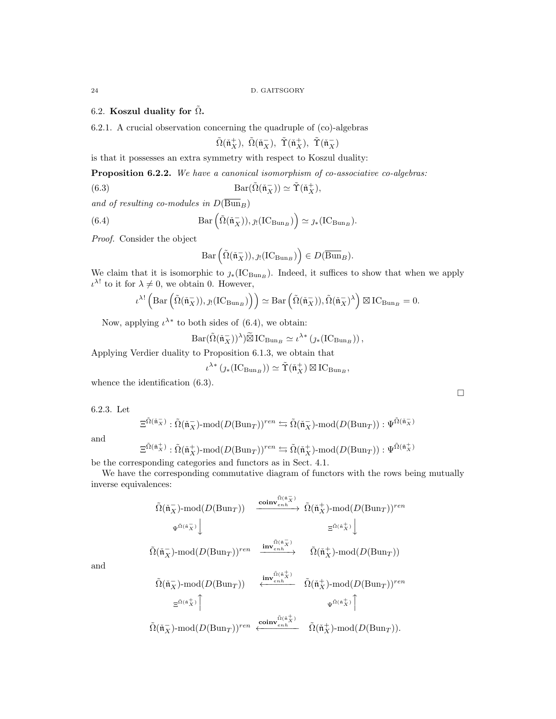# 6.2. Koszul duality for  $\tilde{\Omega}$ .

6.2.1. A crucial observation concerning the quadruple of (co)-algebras

 $\tilde{\Omega}(\mathfrak{\check{n}}_X^+), \ \tilde{\Omega}(\mathfrak{\check{n}}_X^-), \ \tilde{\Upsilon}(\mathfrak{\check{n}}_X^+), \ \tilde{\Upsilon}(\mathfrak{\check{n}}_X^-)$ 

is that it possesses an extra symmetry with respect to Koszul duality:

Proposition 6.2.2. We have a canonical isomorphism of co-associative co-algebras:

(6.3)  $\text{Bar}(\tilde{\Omega}(\tilde{\mathfrak{n}}_X^-)) \simeq \tilde{\Upsilon}(\tilde{\mathfrak{n}}_X^+),$ 

and of resulting co-modules in  $D(\overline{Bun}_B)$ 

(6.4) 
$$
Bar\left(\tilde{\Omega}(\tilde{\mathfrak{n}}_X^-)), \jmath! (IC_{Bun_B})\right) \simeq \jmath_* (IC_{Bun_B}).
$$

Proof. Consider the object

$$
\mathrm{Bar}\left(\tilde{\Omega}(\check{\mathfrak{n}}_X^-)), \jmath_! (\mathrm{IC}_{\mathrm{Bun}_B})\right) \in D(\overline{\mathrm{Bun}}_B).
$$

We claim that it is isomorphic to  $\jmath_*(IC_{\text{Bun}_B})$ . Indeed, it suffices to show that when we apply  $\iota^{\lambda!}$  to it for  $\lambda \neq 0$ , we obtain 0. However,

$$
\iota^{\lambda!}\left(\mathrm{Bar}\left(\tilde{\Omega}(\check{\mathfrak{n}}_X^-)),\jmath_!(\mathrm{IC}_{\mathrm{Bun}_B})\right)\right) \simeq \mathrm{Bar}\left(\tilde{\Omega}(\check{\mathfrak{n}}_X^-)),\tilde{\Omega}(\check{\mathfrak{n}}_X^-)^\lambda\right) \boxtimes \mathrm{IC}_{\mathrm{Bun}_B} = 0.
$$

Now, applying  $\iota^{\lambda^*}$  to both sides of (6.4), we obtain:

$$
Bar(\tilde{\Omega}(\tilde{\mathfrak{n}}_X))^{\lambda})\tilde{\boxtimes} IC_{Bun_B} \simeq \iota^{\lambda *}\left(\jmath_*(IC_{Bun_B})\right),
$$

Applying Verdier duality to Proposition 6.1.3, we obtain that

$$
\iota^{\lambda*}\left(\jmath_*\big(\mathop{\rm IC}\nolimits_{{\mathop{\rm Bun}}\nolimits_B}\big)\right)\simeq\tilde\Upsilon(\check{\mathfrak{n}}_X^+)\boxtimes\mathop{\rm IC}\nolimits_{{\mathop{\rm Bun}}\nolimits_B},
$$

whence the identification  $(6.3)$ .

6.2.3. Let

$$
\Xi^{\tilde{\Omega}(\tilde{\mathfrak{n}}_X^-)}:\tilde{\Omega}(\tilde{\mathfrak{n}}_X^-)\operatorname{-mod}(D(\mathrm{Bun}_{T}))^{ren}\leftrightarrows \tilde{\Omega}(\tilde{\mathfrak{n}}_X^-)\operatorname{-mod}(D(\mathrm{Bun}_{T})):\Psi^{\tilde{\Omega}(\tilde{\mathfrak{n}}_X^-)}
$$

and

$$
\Xi^{\tilde{\Omega}(\tilde{\mathfrak{n}}_X^+)} : \tilde{\Omega}(\tilde{\mathfrak{n}}_X^+) \text{-mod}(D(\text{Bun}_T))^{ren} \leftrightarrows \tilde{\Omega}(\tilde{\mathfrak{n}}_X^+) \text{-mod}(D(\text{Bun}_T)) : \Psi^{\tilde{\Omega}(\tilde{\mathfrak{n}}_X^+)}
$$

be the corresponding categories and functors as in Sect. 4.1.

We have the corresponding commutative diagram of functors with the rows being mutually inverse equivalences:

$$
\tilde{\Omega}(\tilde{\mathfrak{n}}_X^-)\text{-mod}(D(\text{Bun}_T)) \xrightarrow{\text{coinv}_{enh}^{\tilde{\Omega}(\tilde{\mathfrak{n}}_X^-)}} \tilde{\Omega}(\tilde{\mathfrak{n}}_X^+) \text{-mod}(D(\text{Bun}_T))^{ren}
$$
\n
$$
\psi^{\tilde{\Omega}(\tilde{\mathfrak{n}}_X^-)} \downarrow \qquad \qquad \Xi^{\tilde{\Omega}(\tilde{\mathfrak{n}}_X^+)} \downarrow
$$
\n
$$
\tilde{\Omega}(\tilde{\mathfrak{n}}_X^-)\text{-mod}(D(\text{Bun}_T))^{ren} \xrightarrow{\text{inv}_{enh}^{\tilde{\Omega}(\tilde{\mathfrak{n}}_X^-)}} \tilde{\Omega}(\tilde{\mathfrak{n}}_X^+) \text{-mod}(D(\text{Bun}_T))
$$
\n
$$
\tilde{\Omega}(\tilde{\mathfrak{n}}_X^-)\text{-mod}(D(\text{Bun}_T)) \xleftarrow{\text{inv}_{enh}^{\tilde{\Omega}(\tilde{\mathfrak{n}}_X^+)}} \tilde{\Omega}(\tilde{\mathfrak{n}}_X^+) \text{-mod}(D(\text{Bun}_T))^{ren}
$$
\n
$$
\Xi^{\tilde{\Omega}(\tilde{\mathfrak{n}}_X^+)} \uparrow \qquad \qquad \psi^{\tilde{\Omega}(\tilde{\mathfrak{n}}_X^+)} \uparrow
$$

 $\tilde{\Omega}(\mathfrak{\check{n}}_X^-)\text{-mod}(D(\mathrm{Bun}_T))^{ren} \xleftarrow{\textbf{coinv}_{enh}^{\tilde{\Omega}(\mathfrak{\check{n}}_X^+)} \tilde{\Omega}(\mathfrak{\check{n}}_X^+)\text{-mod}(D(\mathrm{Bun}_T)).$ 

and

 $\Box$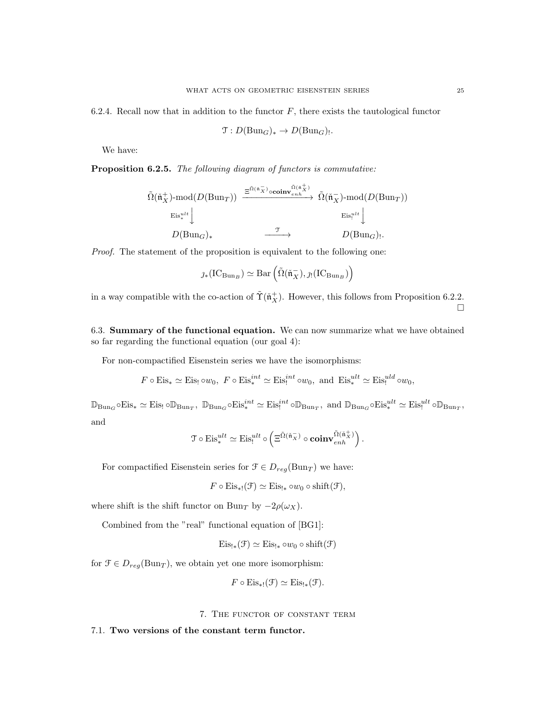6.2.4. Recall now that in addition to the functor  $F$ , there exists the tautological functor

$$
\mathfrak{T}: D(\mathrm{Bun}_G)_* \to D(\mathrm{Bun}_G)_!.
$$

We have:

Proposition 6.2.5. The following diagram of functors is commutative:

$$
\tilde{\Omega}(\tilde{\mathfrak{n}}_X^+) \text{-mod}(D(\text{Bun}_T)) \xrightarrow{\Xi^{\tilde{\Omega}(\tilde{\mathfrak{n}}_X^-)} \circ \mathbf{coinv}_{enh}^{\tilde{\Omega}(\tilde{\mathfrak{n}}_X^+)} } \tilde{\Omega}(\tilde{\mathfrak{n}}_X^-) \text{-mod}(D(\text{Bun}_T))
$$
\n
$$
\xrightarrow{\text{Eis}_*^{ult}} \downarrow
$$
\n
$$
D(\text{Bun}_G)_*
$$
\n
$$
\xrightarrow{\mathcal{T}} D(\text{Bun}_G)_!.
$$

Proof. The statement of the proposition is equivalent to the following one:

$$
\jmath_*\big(\mathrm{IC}_{\mathrm{Bun}_B}\big) \simeq \mathrm{Bar}\left(\tilde{\Omega}(\check{\mathfrak{n}}_X^-), \jmath_! \big(\mathrm{IC}_{\mathrm{Bun}_B}\big)\right)
$$

in a way compatible with the co-action of  $\tilde{\Upsilon}(\tilde{n}_X^+)$ . However, this follows from Proposition 6.2.2.  $\Box$ 

6.3. Summary of the functional equation. We can now summarize what we have obtained so far regarding the functional equation (our goal 4):

For non-compactified Eisenstein series we have the isomorphisms:

$$
F \circ Eis_* \simeq Eis_! \circ w_0
$$
,  $F \circ Eis_*^{int} \simeq Eis_!^{int} \circ w_0$ , and  $Eis_*^{ult} \simeq Eis_!^{uld} \circ w_0$ ,

 $\mathbb{D}_{\text{Bun}_G} \circ \text{Eis}_* \simeq \text{Eis}_! \circ \mathbb{D}_{\text{Bun}_T}, \ \mathbb{D}_{\text{Bun}_G} \circ \text{Eis}_*^{int} \simeq \text{Eis}_!^{int} \circ \mathbb{D}_{\text{Bun}_T}, \ \text{and} \ \mathbb{D}_{\text{Bun}_G} \circ \text{Eis}_*^{ult} \simeq \text{Eis}_!^{ult} \circ \mathbb{D}_{\text{Bun}_T},$ and

$$
\mathcal{T}\circ \mathrm{Eis}^{ult}_* \simeq \mathrm{Eis}^{ult}_! \circ \left( \Xi^{\tilde{\Omega}(\tilde{\mathfrak{n}}_X^-)} \circ \mathbf{coinv}_{enh}^{\tilde{\Omega}(\tilde{\mathfrak{n}}_X^+)} \right).
$$

For compactified Eisenstein series for  $\mathcal{F} \in D_{reg}(\text{Bun}_T)$  we have:

$$
F \circ Eis_{*!}(\mathcal{F}) \simeq Eis_{!*} \circ w_0 \circ shift(\mathcal{F}),
$$

where shift is the shift functor on Bun<sub>T</sub> by  $-2\rho(\omega_X)$ .

Combined from the "real" functional equation of [BG1]:

$$
Eis_{!*}(\mathcal{F}) \simeq Eis_{!*} \circ w_0 \circ shift(\mathcal{F})
$$

for  $\mathcal{F} \in D_{reg}(\text{Bun}_T)$ , we obtain yet one more isomorphism:

$$
F \circ \mathrm{Eis}_{\ast!}(\mathcal{F}) \simeq \mathrm{Eis}_{! \ast}(\mathcal{F}).
$$

7. The functor of constant term

7.1. Two versions of the constant term functor.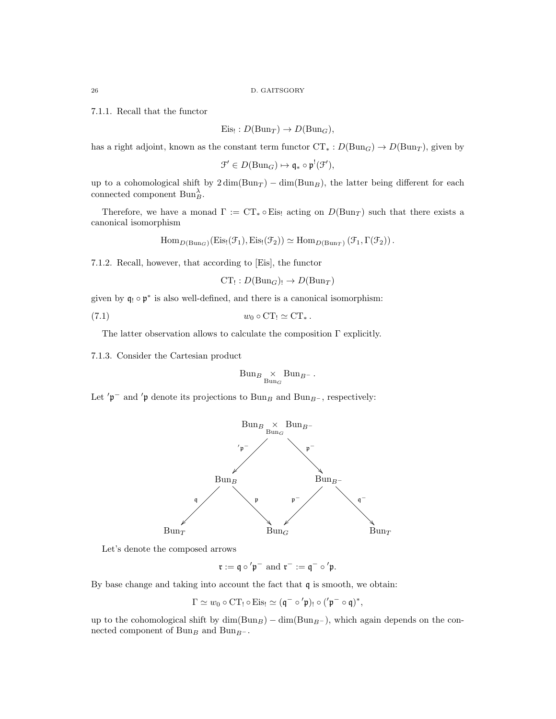7.1.1. Recall that the functor

$$
Eis_! : D(Bun_T) \to D(Bun_G),
$$

has a right adjoint, known as the constant term functor  $CT_* : D(Bun_G) \to D(Bun_T)$ , given by

$$
\mathfrak{F}' \in D(\mathrm{Bun}_G) \mapsto \mathfrak{q}_* \circ \mathfrak{p}^!(\mathfrak{F}'),
$$

up to a cohomological shift by  $2 \dim(Bun_T) - \dim(Bun_B)$ , the latter being different for each connected component  $\text{Bun}_B^{\lambda}$ .

Therefore, we have a monad  $\Gamma := CT_* \circ Eis_!$  acting on  $D(Bun<sub>T</sub>)$  such that there exists a canonical isomorphism

$$
\mathrm{Hom}_{D(\mathrm{Bun}_G)}(\mathrm{Eis}_{!}(\mathcal{F}_{1}), \mathrm{Eis}_{!}(\mathcal{F}_{2})) \simeq \mathrm{Hom}_{D(\mathrm{Bun}_T)}(\mathcal{F}_{1}, \Gamma(\mathcal{F}_{2})) .
$$

7.1.2. Recall, however, that according to [Eis], the functor

 $CT_! : D(Bun_G)_! \rightarrow D(Bun_T)$ 

given by  $\mathfrak{q}_! \circ \mathfrak{p}^*$  is also well-defined, and there is a canonical isomorphism:

$$
(7.1) \t\t w_0 \circ \mathrm{CT}_! \simeq \mathrm{CT}_*.
$$

The latter observation allows to calculate the composition  $\Gamma$  explicitly.

7.1.3. Consider the Cartesian product

$$
\text{Bun}_{B} \underset{\text{Bun}_G}{\times} \text{Bun}_{B^-}.
$$

Let 'p<sup>-</sup> and 'p denote its projections to Bun<sub>B</sub> and Bun<sub>B</sub>-, respectively:



Let's denote the composed arrows

$$
\mathfrak{r}:=\mathfrak{q}\circ'\mathfrak{p}^-\text{ and }\mathfrak{r}^-:=\mathfrak{q}^-\circ'\mathfrak{p}.
$$

By base change and taking into account the fact that q is smooth, we obtain:

$$
\Gamma \simeq w_0 \circ \mathrm{CT}_! \circ \mathrm{Eis}_! \simeq (\mathfrak{q}^- \circ' \mathfrak{p})_! \circ ('\mathfrak{p}^- \circ \mathfrak{q})^*,
$$

up to the cohomological shift by  $\dim(Bun_B) - \dim(Bun_{B-})$ , which again depends on the connected component of  $\operatorname{Bun}_B$  and  $\operatorname{Bun}_{B^-}.$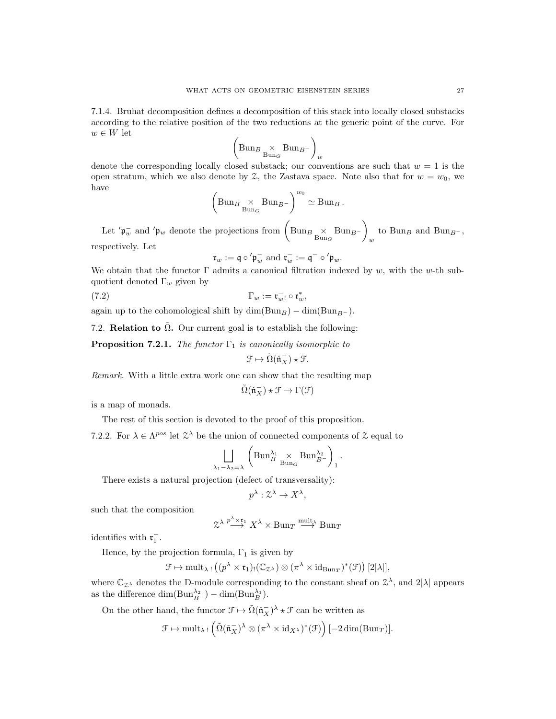7.1.4. Bruhat decomposition defines a decomposition of this stack into locally closed substacks according to the relative position of the two reductions at the generic point of the curve. For  $w \in W$  let

$$
\left(\text{Bun}_{B_{\text{un}_G}} \times \text{Bun}_{B^-}\right)_w
$$

denote the corresponding locally closed substack; our conventions are such that  $w = 1$  is the open stratum, which we also denote by  $\mathcal{Z}$ , the Zastava space. Note also that for  $w = w_0$ , we have

$$
\left(\text{Bun}_{B_{\text{Bun}_G}} \times \text{Bun}_{B^-}\right)^{w_0} \simeq \text{Bun}_B.
$$

Let  $'\mathfrak{p}_w^-$  and  $'\mathfrak{p}_w$  denote the projections from  $\left(\text{Bun}_B \underset{\text{Bun}_G}{\times} \text{Bun}_{B^-}\right)$ w to Bun<sub>B</sub> and Bun<sub>B</sub>-, respectively. Let

 $\mathfrak{r}_w := \mathfrak{q} \circ' \mathfrak{p}_w^-$  and  $\mathfrak{r}_w^- := \mathfrak{q}^- \circ' \mathfrak{p}_w$ .

We obtain that the functor  $\Gamma$  admits a canonical filtration indexed by w, with the w-th subquotient denoted  $\Gamma_w$  given by

$$
\Gamma_w := \mathfrak{r}_{w}^-! \circ \mathfrak{r}_{w}^*,
$$

again up to the cohomological shift by  $\dim(Bun_B) - \dim(Bun_{B-})$ .

7.2. **Relation to**  $\tilde{\Omega}$ **.** Our current goal is to establish the following:

**Proposition 7.2.1.** The functor  $\Gamma_1$  is canonically isomorphic to

$$
\mathcal{F} \mapsto \tilde{\Omega}(\check{\mathfrak{n}}_X^-)\star \mathcal{F}.
$$

Remark. With a little extra work one can show that the resulting map

$$
\tilde{\Omega}(\check{\mathfrak{n}}_X^-)\star \mathcal{F}\to \Gamma(\mathcal{F})
$$

is a map of monads.

The rest of this section is devoted to the proof of this proposition.

7.2.2. For  $\lambda \in \Lambda^{pos}$  let  $\mathcal{Z}^{\lambda}$  be the union of connected components of  $\mathcal{Z}$  equal to

$$
\bigsqcup_{\lambda_1 - \lambda_2 = \lambda} \left( \text{Bun}_B^{\lambda_1} \underset{\text{Bun}_G}{\times} \text{Bun}_{B^-}^{\lambda_2} \right)_1.
$$

There exists a natural projection (defect of transversality):

$$
p^{\lambda} : \mathcal{Z}^{\lambda} \to X^{\lambda},
$$

such that the composition

$$
\mathfrak{A} \overset{p^{\lambda} \times \mathfrak{r}_1}{\longrightarrow} X^{\lambda} \times \text{Bun}_{T} \overset{\text{mult}_{\lambda}}{\longrightarrow} \text{Bun}_{T}
$$

identifies with  $\mathfrak{r}_1^-$ .

Hence, by the projection formula,  $\Gamma_1$  is given by

$$
\mathcal{F} \mapsto \operatorname{mult}_{\lambda\, !}\left((p^\lambda \times \mathfrak{r}_1)_! (\mathbb{C}_{\mathcal{Z}^\lambda}) \otimes (\pi^\lambda \times \mathrm{id}_{\mathrm{Bun}_T})^*(\mathcal{F})\right)[2|\lambda|],
$$

where  $\mathbb{C}_{\mathbb{Z}^{\lambda}}$  denotes the D-module corresponding to the constant sheaf on  $\mathbb{Z}^{\lambda}$ , and  $2|\lambda|$  appears as the difference  $\dim(\text{Bun}_{B^-}^{\lambda_2}) - \dim(\text{Bun}_{B}^{\lambda_1}).$ 

On the other hand, the functor  $\mathcal{F} \mapsto \tilde{\Omega}(\tilde{\mathfrak{n}}_X^-)^\lambda \star \mathcal{F}$  can be written as

$$
\mathcal{F} \mapsto \mathrm{mult}_{\lambda\; !} \left( \tilde{\Omega} (\check{\mathfrak{n}}_X^-)^\lambda \otimes (\pi^\lambda \times \mathrm{id}_{X^\lambda})^*(\mathcal{F}) \right)[-2 \dim(\mathrm{Bun}_T)].
$$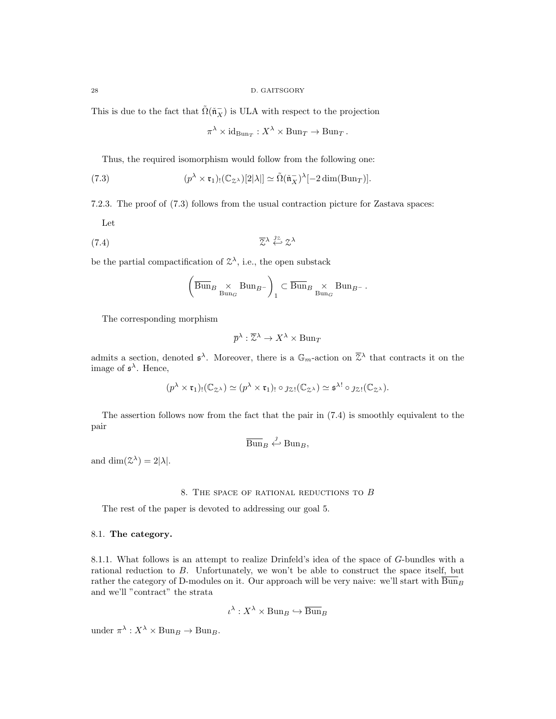This is due to the fact that  $\tilde{\Omega}(\tilde{\mathfrak{n}}_X^-)$  is ULA with respect to the projection

$$
\pi^{\lambda} \times \mathrm{id}_{\mathrm{Bun}_T} : X^{\lambda} \times \mathrm{Bun}_T \to \mathrm{Bun}_T.
$$

Thus, the required isomorphism would follow from the following one:

(7.3) 
$$
(p^{\lambda} \times \mathfrak{r}_1)_! (\mathbb{C}_{\mathfrak{Z}^{\lambda}}) [2|\lambda|] \simeq \tilde{\Omega}(\tilde{\mathfrak{n}}_X^-)^{\lambda} [-2 \dim(\mathrm{Bun}_T)].
$$

7.2.3. The proof of (7.3) follows from the usual contraction picture for Zastava spaces:

Let

$$
\overline{z}^{\lambda} \stackrel{jz}{\leftarrow} z^{\lambda}
$$

be the partial compactification of  $\mathcal{Z}^{\lambda}$ , i.e., the open substack

$$
\left(\overline{\operatorname{Bun}}_{B}\underset{\operatorname{Bun}}{\times}\operatorname{Bun}_{B^{-}}\right)_{1}\subset\overline{\operatorname{Bun}}_{B}\underset{\operatorname{Bun}}{\times}\operatorname{Bun}_{B^{-}}.
$$

The corresponding morphism

$$
\overline{p}^{\lambda} : \overline{\mathcal{Z}}^{\lambda} \to X^{\lambda} \times \text{Bun}_{T}
$$

admits a section, denoted  $\mathfrak{s}^{\lambda}$ . Moreover, there is a  $\mathbb{G}_m$ -action on  $\overline{Z}^{\lambda}$  that contracts it on the image of  $\mathfrak{s}^{\lambda}$ . Hence,

$$
(p^{\lambda} \times \mathfrak{r}_1)_! (\mathbb{C}_{\mathcal{Z}^{\lambda}}) \simeq (p^{\lambda} \times \mathfrak{r}_1)_! \circ \jmath_{\mathcal{Z}!} (\mathbb{C}_{\mathcal{Z}^{\lambda}}) \simeq \mathfrak{s}^{\lambda!} \circ \jmath_{\mathcal{Z}!} (\mathbb{C}_{\mathcal{Z}^{\lambda}}).
$$

The assertion follows now from the fact that the pair in (7.4) is smoothly equivalent to the pair

$$
\overline{\operatorname{Bun}}_B \xleftarrow{j} \operatorname{Bun}_B,
$$

and  $\dim(\mathcal{Z}^{\lambda}) = 2|\lambda|.$ 

## 8. The space of rational reductions to B

The rest of the paper is devoted to addressing our goal 5.

## 8.1. The category.

8.1.1. What follows is an attempt to realize Drinfeld's idea of the space of G-bundles with a rational reduction to B. Unfortunately, we won't be able to construct the space itself, but rather the category of D-modules on it. Our approach will be very naive: we'll start with  $\overline{Bun}_B$ and we'll "contract" the strata

$$
\iota^{\lambda}: X^{\lambda} \times \text{Bun}_B \hookrightarrow \overline{\text{Bun}}_B
$$

under  $\pi^{\lambda}: X^{\lambda} \times \text{Bun}_{B} \to \text{Bun}_{B}$ .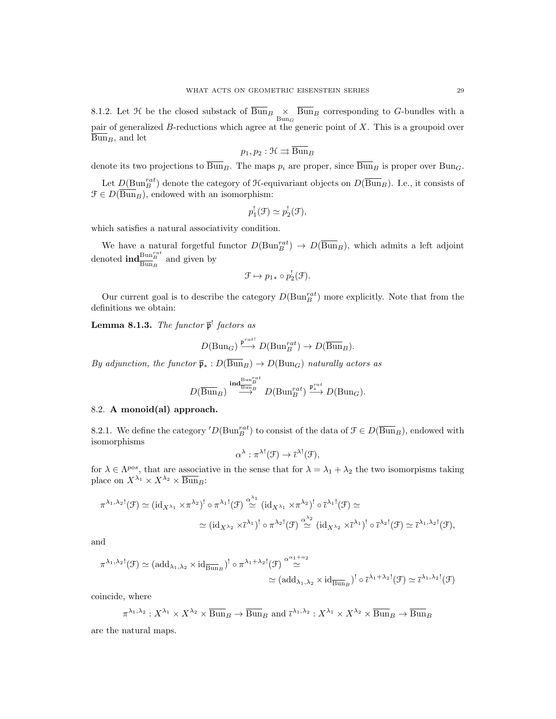8.1.2. Let  $\mathcal H$  be the closed substack of  $\overline{\text{Bun}}_B \times \overline{\text{Bun}}_B$  corresponding to G-bundles with a pair of generalized B-reductions which agree at the generic point of X. This is a groupoid over  $\overline{\text{Bun}}_B$ , and let

$$
p_1, p_2 : \mathfrak{H} \rightrightarrows \overline{\operatorname{Bun}}_B
$$

denote its two projections to  $\overline{Bun}_B$ . The maps  $p_i$  are proper, since  $\overline{Bun}_B$  is proper over Bun<sub>G</sub>.

Let  $D(\text{Bun}_B^{rat})$  denote the category of  $\text{H-equivariant objects on } D(\overline{\text{Bun}}_B)$ . I.e., it consists of  $\mathcal{F} \in D(\overline{\text{Bun}}_B)$ , endowed with an isomorphism:

$$
p_1^!(\mathcal{F}) \simeq p_2^!(\mathcal{F}),
$$

which satisfies a natural associativity condition.

We have a natural forgetful functor  $D(\text{Bun}_B^{rat}) \to D(\overline{\text{Bun}}_B)$ , which admits a left adjoint denoted  $\mathrm{ind}^{\mathrm{Bun}^{rat}_{B}}_{\overline{\mathrm{Bun}}_{B}}$  and given by

$$
\mathcal{F} \mapsto p_{1*} \circ p_2^! (\mathcal{F}).
$$

Our current goal is to describe the category  $D(\text{Bun}_B^{rat})$  more explicitly. Note that from the definitions we obtain:

**Lemma 8.1.3.** The functor  $\bar{\mathfrak{p}}^!$  factors as

$$
D(\mathrm{Bun}_G) \stackrel{\mathfrak{p}^{rat!}}{\longrightarrow} D(\mathrm{Bun}_B^{rat}) \to D(\overline{\mathrm{Bun}}_B).
$$

By adjunction, the functor  $\overline{\mathfrak{p}}_* : D(\overline{Bun}_B) \to D(Bun_G)$  naturally actors as

$$
D(\overline{\operatorname{Bun}}_B) \stackrel{\operatorname{ind}^{\operatorname{Bun}^{rat}_{\overline{B}}} }{\longrightarrow} D(\operatorname{Bun}^{rat}_B) \stackrel{\mathfrak{p}^{rat}_*}{\longrightarrow} D(\operatorname{Bun}_G).
$$

## 8.2. A monoid(al) approach.

8.2.1. We define the category  $'D(\text{Bun}_{B}^{rat})$  to consist of the data of  $\mathcal{F} \in D(\overline{\text{Bun}}_{B})$ , endowed with isomorphisms

$$
\alpha^{\lambda} : \pi^{\lambda!}(\mathfrak{F}) \to \overline{\iota}^{\lambda!}(\mathfrak{F}),
$$

for  $\lambda \in \Lambda^{pos}$ , that are associative in the sense that for  $\lambda = \lambda_1 + \lambda_2$  the two isomorpisms taking place on  $X^{\lambda_1} \times X^{\lambda_2} \times \overline{\mathrm{Bun}}_B$ :

$$
\pi^{\lambda_1,\lambda_2!}(\mathcal{F}) \simeq (\mathrm{id}_{X^{\lambda_1}} \times \pi^{\lambda_2})^! \circ \pi^{\lambda_1!}(\mathcal{F}) \stackrel{\alpha^{\lambda_1}}{\simeq} (\mathrm{id}_{X^{\lambda_1}} \times \pi^{\lambda_2})^! \circ \bar{\iota}^{\lambda_1!}(\mathcal{F}) \simeq
$$
  

$$
\simeq (\mathrm{id}_{X^{\lambda_2}} \times \bar{\iota}^{\lambda_1})^! \circ \pi^{\lambda_2!}(\mathcal{F}) \stackrel{\alpha^{\lambda_2}}{\simeq} (\mathrm{id}_{X^{\lambda_2}} \times \bar{\iota}^{\lambda_1})^! \circ \bar{\iota}^{\lambda_2!}(\mathcal{F}) \simeq \bar{\iota}^{\lambda_1,\lambda_2!}(\mathcal{F}),
$$

and

$$
\pi^{\lambda_1,\lambda_2!}(\mathcal{F}) \simeq (add_{\lambda_1,\lambda_2} \times id_{\overline{\text{Bun}}_B})^! \circ \pi^{\lambda_1+\lambda_2!}(\mathcal{F}) \stackrel{\alpha^{\alpha_1+\alpha_2}}{\simeq} \\ \simeq (add_{\lambda_1,\lambda_2} \times id_{\overline{\text{Bun}}_B})^! \circ \bar{\iota}^{\lambda_1+\lambda_2!}(\mathcal{F}) \simeq \bar{\iota}^{\lambda_1,\lambda_2!}(\mathcal{F})
$$

coincide, where

$$
\pi^{\lambda_1,\lambda_2}: X^{\lambda_1} \times X^{\lambda_2} \times \overline{\mathrm{Bun}}_B \to \overline{\mathrm{Bun}}_B \text{ and } \overline{\iota}^{\lambda_1,\lambda_2}: X^{\lambda_1} \times X^{\lambda_2} \times \overline{\mathrm{Bun}}_B \to \overline{\mathrm{Bun}}_B
$$

are the natural maps.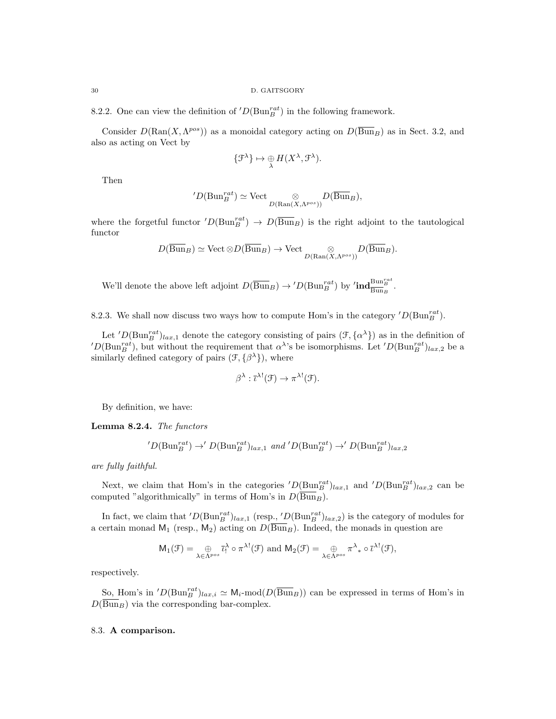8.2.2. One can view the definition of  $'D(\text{Bun}_{B}^{rat})$  in the following framework.

Consider  $D(\text{Ran}(X, \Lambda^{pos}))$  as a monoidal category acting on  $D(\overline{\text{Bun}}_B)$  as in Sect. 3.2, and also as acting on Vect by

$$
\{\mathcal{F}^{\lambda}\}\mapsto \mathcal{F}_{\lambda}H(X^{\lambda},\mathcal{F}^{\lambda}).
$$

Then

$$
{}'D(\mathrm{Bun}^{rat}_B)\simeq \mathrm{Vect}\underset{D(\mathrm{Ran}(X,\Lambda^{pos}))}{\otimes}D(\overline{\mathrm{Bun}}_B),
$$

where the forgetful functor  $'D(\text{Bun}_B^{rat}) \to D(\overline{\text{Bun}}_B)$  is the right adjoint to the tautological functor

$$
D(\overline{\operatorname{Bun}}_B) \simeq \operatorname{Vect} \otimes D(\overline{\operatorname{Bun}}_B) \to \operatorname{Vect} \underset{D(\operatorname{Ran}(X, \Lambda^{pos}))}{\otimes} D(\overline{\operatorname{Bun}}_B).
$$

We'll denote the above left adjoint  $D(\overline{Bun}_B) \to 'D(\text{Bun}_B^{rat})$  by  $'\text{ind}_{\overline{Bun}_B}^{\text{Bun}_B^{rat}}$ .

8.2.3. We shall now discuss two ways how to compute Hom's in the category  $'D(\text{Bun}_{B}^{rat})$ .

Let  $'D(\text{Bun}_{B}^{rat})_{lax,1}$  denote the category consisting of pairs  $(\mathcal{F}, {\alpha}^{\lambda})$  as in the definition of  $CD(\text{Bun}_B^{rat})$ , but without the requirement that  $\alpha^{\lambda}$ 's be isomorphisms. Let  $'D(\text{Bun}_B^{rat})_{lax,2}$  be a similarly defined category of pairs  $(\mathcal{F}, {\{\beta^{\lambda}\}})$ , where

$$
\beta^{\lambda} : \overline{\iota}^{\lambda!}(\mathfrak{F}) \to \pi^{\lambda!}(\mathfrak{F}).
$$

By definition, we have:

Lemma 8.2.4. The functors

$$
'D(\text{Bun}_B^{rat}) \to' D(\text{Bun}_B^{rat})_{lax,1}
$$
 and  $'D(\text{Bun}_B^{rat}) \to' D(\text{Bun}_B^{rat})_{lax,2}$ 

are fully faithful.

Next, we claim that Hom's in the categories  $'D(\text{Bun}_{B}^{rat})_{lax,1}$  and  $'D(\text{Bun}_{B}^{rat})_{lax,2}$  can be computed "algorithmically" in terms of Hom's in  $D(\overline{Bun}_B)$ .

In fact, we claim that  $'D(\text{Bun}_{B}^{rat})_{lax,1}$  (resp.,  $'D(\text{Bun}_{B}^{rat})_{lax,2})$  is the category of modules for a certain monad  $M_1$  (resp.,  $M_2$ ) acting on  $D(\overline{Bun}_B)$ . Indeed, the monads in question are

$$
\mathsf{M}_{1}(\mathcal{F})=\underset{\lambda \in \Lambda^{pos}}{\oplus} \overline{\iota}_{!}^{\lambda} \circ \pi^{\lambda !}(\mathcal{F}) \text{ and } \mathsf{M}_{2}(\mathcal{F})=\underset{\lambda \in \Lambda^{pos}}{\oplus} \pi^{\lambda}{}_{*} \circ \overline{\iota}^{\lambda !}(\mathcal{F}),
$$

respectively.

So, Hom's in  $'D(\text{Bun}_B^{rat})_{lax,i} \simeq \mathsf{M}_i\text{-mod}(D(\overline{\text{Bun}}_B))$  can be expressed in terms of Hom's in  $D(\overline{Bun}_B)$  via the corresponding bar-complex.

## 8.3. A comparison.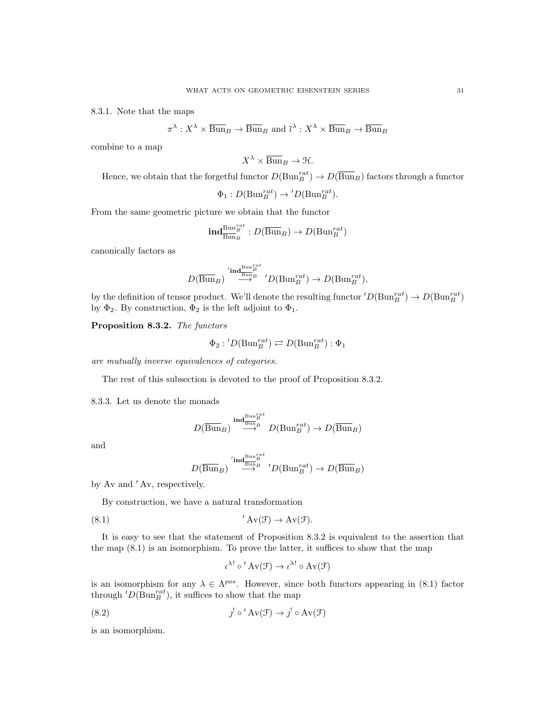8.3.1. Note that the maps

$$
\pi^{\lambda}: X^{\lambda} \times \overline{\text{Bun}}_B \to \overline{\text{Bun}}_B \text{ and } \overline{\iota}^{\lambda}: X^{\lambda} \times \overline{\text{Bun}}_B \to \overline{\text{Bun}}_B
$$

combine to a map

$$
X^{\lambda} \times \overline{\operatorname{Bun}}_B \to \mathfrak{H}.
$$

Hence, we obtain that the forgetful functor  $D(\text{Bun}_B^{rat}) \to D(\overline{\text{Bun}}_B)$  factors through a functor

$$
\Phi_1: D(\mathrm{Bun}_B^{rat}) \to 'D(\mathrm{Bun}_B^{rat}).
$$

From the same geometric picture we obtain that the functor

$$
\mathrm{ind}^{\mathrm{Bun}_B^{rat}}_{\overline{\mathrm{Bun}}_B} : D(\overline{\mathrm{Bun}}_B) \to D(\mathrm{Bun}_B^{rat})
$$

canonically factors as

$$
D(\overline{\operatorname{Bun}}_B) \overset{'\operatorname{ind}^{\operatorname{Bun}_B^{ran} } }{\longrightarrow} 'D(\operatorname{Bun}_B^{rat}) \to D(\operatorname{Bun}_B^{rat}),
$$

by the definition of tensor product. We'll denote the resulting functor  $'D(\text{Bun}_B^{rat}) \to D(\text{Bun}_B^{rat})$ by  $\Phi_2$ . By construction,  $\Phi_2$  is the left adjoint to  $\Phi_1$ .

Proposition 8.3.2. The functors

$$
\Phi_2 : 'D(\mathrm{Bun}_B^{rat}) \rightleftarrows D(\mathrm{Bun}_B^{rat}) : \Phi_1
$$

are mutually inverse equivalences of categories.

The rest of this subsection is devoted to the proof of Proposition 8.3.2.

8.3.3. Let us denote the monads

$$
D(\overline{\operatorname{Bun}}_B) \overset{\operatorname{ind}^{\operatorname{Bun}_B^{Part}}}{\longrightarrow} D(\operatorname{Bun}_B^{rat}) \to D(\overline{\operatorname{Bun}}_B)
$$

and

$$
D(\overline{\operatorname{Bun}}_B) \overset{'\operatorname{ind}^{\operatorname{Bun}_B^{ran} } }{\longrightarrow} 'D(\operatorname{Bun}_B^{rat}) \to D(\overline{\operatorname{Bun}}_B)
$$

by Av and 'Av, respectively.

By construction, we have a natural transformation

$$
(8.1) \t' Av(\mathcal{F}) \to Av(\mathcal{F}).
$$

It is easy to see that the statement of Proposition 8.3.2 is equivalent to the assertion that the map (8.1) is an isomorphism. To prove the latter, it suffices to show that the map

$$
\iota^{\lambda!} \circ' Av(\mathcal{F}) \to \iota^{\lambda!} \circ Av(\mathcal{F})
$$

is an isomorphism for any  $\lambda \in \Lambda^{pos}$ . However, since both functors appearing in (8.1) factor through  $'D(\text{Bun}_B^{rat})$ , it suffices to show that the map

(8.2) 
$$
j' \circ' Av(\mathcal{F}) \to j' \circ Av(\mathcal{F})
$$

is an isomorphism.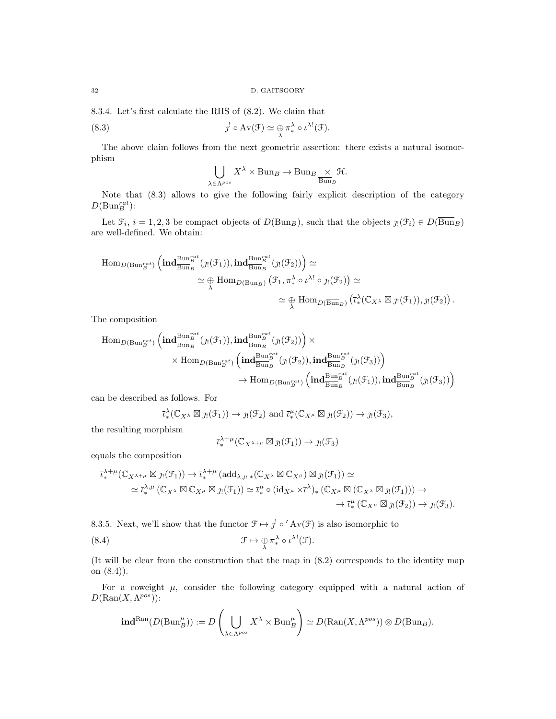8.3.4. Let's first calculate the RHS of (8.2). We claim that

(8.3) 
$$
j' \circ Av(\mathcal{F}) \simeq \bigoplus_{\lambda} \pi_{*}^{\lambda} \circ \iota^{\lambda!}(\mathcal{F}).
$$

The above claim follows from the next geometric assertion: there exists a natural isomorphism

$$
\bigcup_{\lambda \in \Lambda^{pos}} X^{\lambda} \times \text{Bun}_B \to \text{Bun}_B \underset{\text{Bun}_B}{\times} \mathcal{H}.
$$

Note that (8.3) allows to give the following fairly explicit description of the category  $D(\text{Bun}_B^{rat})$ :

Let  $\mathcal{F}_i$ ,  $i = 1, 2, 3$  be compact objects of  $D(\text{Bun}_B)$ , such that the objects  $\jmath_1(\mathcal{F}_i) \in D(\text{Bun}_B)$ are well-defined. We obtain:

$$
\begin{split} \operatorname{Hom}_{D(\operatorname{Bun}_B^{rat})}\left(\operatorname{ind}_{\overline{\operatorname{Bun}}_B}^{\operatorname{Bun}_B^{rat}}(\jmath_!(\mathfrak{F}_1)),\operatorname{ind}_{\overline{\operatorname{Bun}}_B}^{\operatorname{Bun}_B^{rat}}(\jmath_!(\mathfrak{F}_2))\right) &\simeq\\ &\simeq \underset{\lambda}{\oplus} \operatorname{Hom}_{D(\operatorname{Bun}_B)}\left(\mathfrak{F}_1,\pi^\lambda_*\circ \iota^{\lambda!}\circ \jmath_!(\mathfrak{F}_2)\right) &\simeq\\ &\simeq \underset{\lambda}{\oplus} \operatorname{Hom}_{D(\overline{\operatorname{Bun}}_B)}\left(\bar{\iota}^\lambda_*(\mathbb{C}_{X^\lambda}\boxtimes \jmath_!(\mathfrak{F}_1)),\jmath_!(\mathfrak{F}_2)\right). \end{split}
$$

The composition

$$
\begin{aligned} \mathrm{Hom}_{D(\mathrm{Bun}^{rat}_{B})}\left(\mathrm{\textbf{ind}}_{\overline{\mathrm{Bun}}_{B}^{B}}^{\mathrm{Bun}^{rat}_{B}}(\jmath_{!}(\mathcal{F}_{1})),\mathrm{\textbf{ind}}_{\overline{\mathrm{Bun}}_{B}^{Bun}^{T^{at}}}_{\overline{\mathrm{Bun}}_{B}}(\jmath_{!}(\mathcal{F}_{2}))\right) \times \\ & \times \mathrm{Hom}_{D(\mathrm{Bun}^{rat}_{B})}\left(\mathrm{\textbf{ind}}_{\overline{\mathrm{Bun}}_{B}^{Bun}^{T^{at}}}_{\overline{\mathrm{Bun}}_{B}}(\jmath_{!}(\mathcal{F}_{2})),\mathrm{\textbf{ind}}_{\overline{\mathrm{Bun}}_{B}^{Bun}^{T^{at}}}_{\overline{\mathrm{Bun}}_{B}}(\jmath_{!}(\mathcal{F}_{3}))\right) \\ & \to \mathrm{Hom}_{D(\mathrm{Bun}^{rat}_{B})}\left(\mathrm{\textbf{ind}}_{\overline{\mathrm{Bun}}_{B}^{Bun}^{T^{at}}}_{\overline{\mathrm{Bun}}_{B}}(\jmath_{!}(\mathcal{F}_{1})),\mathrm{\textbf{ind}}_{\overline{\mathrm{Bun}}_{B}^{Bun}^{T^{at}}}_{\overline{\mathrm{Bun}}_{B}}(\jmath_{!}(\mathcal{F}_{3}))\right) \end{aligned}
$$

can be described as follows. For

$$
\bar{\iota}_*^{\lambda}(\mathbb{C}_{X^{\lambda}} \boxtimes \jmath_!(\mathcal{F}_1)) \to \jmath_!(\mathcal{F}_2)
$$
 and  $\bar{\iota}_*^{\mu}(\mathbb{C}_{X^{\mu}} \boxtimes \jmath_!(\mathcal{F}_2)) \to \jmath_!(\mathcal{F}_3),$ 

the resulting morphism

$$
\overline{\iota}_*^{\lambda+\mu}(\mathbb{C}_{X^{\lambda+\mu}}\boxtimes j_!(\mathfrak{F}_1))\to j_!(\mathfrak{F}_3)
$$

equals the composition

$$
\overline{\iota}_*^{\lambda+\mu}(\mathbb{C}_{X^{\lambda+\mu}}\boxtimes g_!(\mathcal{F}_1))\to \overline{\iota}_*^{\lambda+\mu}(\mathrm{add}_{\lambda,\mu}*(\mathbb{C}_{X^{\lambda}}\boxtimes\mathbb{C}_{X^{\mu}})\boxtimes g_!(\mathcal{F}_1))\simeq\\ \simeq \overline{\iota}_*^{\lambda,\mu}(\mathbb{C}_{X^{\lambda}}\boxtimes\mathbb{C}_{X^{\mu}}\boxtimes g_!(\mathcal{F}_1))\simeq \overline{\iota}_*^{\mu}\circ(\mathrm{id}_{X^{\mu}}\times\overline{\iota}^{\lambda})_*\left(\mathbb{C}_{X^{\mu}}\boxtimes(\mathbb{C}_{X^{\lambda}}\boxtimes g_!(\mathcal{F}_1))\right)\to\\ \to \overline{\iota}_*^{\mu}(\mathbb{C}_{X^{\mu}}\boxtimes g_!(\mathcal{F}_2))\to g_!(\mathcal{F}_3).
$$

8.3.5. Next, we'll show that the functor  $\mathcal{F} \mapsto \int_{0}^{1} \circ' Av(\mathcal{F})$  is also isomorphic to

(8.4) 
$$
\mathcal{F} \mapsto \bigoplus_{\lambda} \pi^{\lambda}_{*} \circ \iota^{\lambda!}(\mathcal{F}).
$$

(It will be clear from the construction that the map in (8.2) corresponds to the identity map on (8.4)).

For a coweight  $\mu$ , consider the following category equipped with a natural action of  $D(\text{Ran}(X, \Lambda^{pos}))$ :

$$
\text{ind}^{\text{Ran}}(D(\text{Bun}_B^{\mu})) := D\left(\bigcup_{\lambda \in \Lambda^{pos}} X^{\lambda} \times \text{Bun}_B^{\mu}\right) \simeq D(\text{Ran}(X, \Lambda^{pos})) \otimes D(\text{Bun}_B).
$$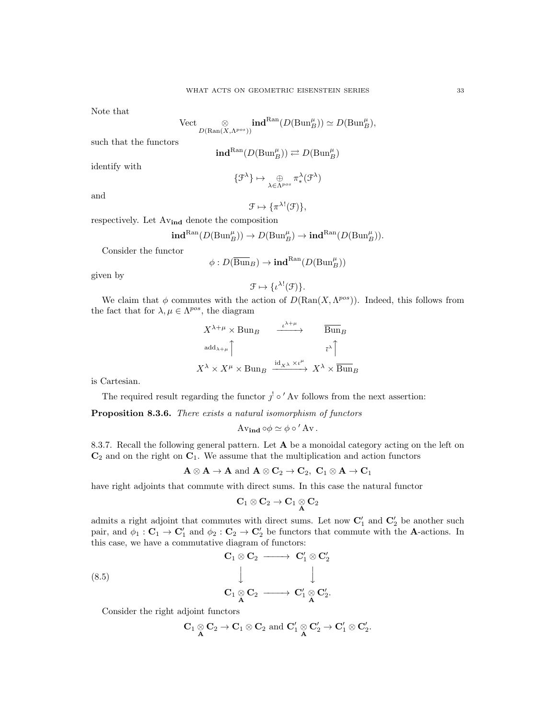Note that

$$
\text{Vect} \underset{D(\text{Ran}(X, \Lambda^{pos}))}{\otimes} \text{ind}^{\text{Ran}}(D(\text{Bun}_B^{\mu})) \simeq D(\text{Bun}_B^{\mu}),
$$

such that the functors

$$
\mathbf{ind}^{\mathrm{Ran}}(D(\mathrm{Bun}^{\mu}_B)) \rightleftarrows D(\mathrm{Bun}^{\mu}_B)
$$

identify with

and

$$
\{\mathcal{F}^{\lambda}\}\mapsto \bigoplus_{\lambda\in\Lambda^{pos}}\pi^{\lambda}_{*}(\mathcal{F}^{\lambda})
$$

$$
\mathcal{F} \mapsto \{\pi^{\lambda!}(\mathcal{F})\},\
$$

respectively. Let Avind denote the composition

$$
\mathbf{ind}^{\mathrm{Ran}}(D(\mathrm{Bun}^{\mu}_B)) \to D(\mathrm{Bun}^{\mu}_B) \to \mathbf{ind}^{\mathrm{Ran}}(D(\mathrm{Bun}^{\mu}_B)).
$$

Consider the functor

$$
\phi:D(\overline{\operatorname{Bun}}_B)\to \textbf{ind}^{\operatorname{Ran}}(D(\operatorname{Bun}_B^{\mu}))
$$

given by

$$
\mathcal{F} \mapsto \{\iota^{\lambda!}(\mathcal{F})\}.
$$

We claim that  $\phi$  commutes with the action of  $D(\text{Ran}(X, \Lambda^{pos}))$ . Indeed, this follows from the fact that for  $\lambda, \mu \in \Lambda^{pos}$ , the diagram

$$
X^{\lambda+\mu} \times \text{Bun}_B \xrightarrow{\iota^{\lambda+\mu}} \overline{\text{Bun}}_B
$$
\n
$$
\xrightarrow{\text{add}_{\lambda+\mu}} \uparrow \qquad \qquad \xrightarrow{\iota^{\lambda+\mu}} \qquad \qquad \downarrow \uparrow
$$
\n
$$
X^{\lambda} \times X^{\mu} \times \text{Bun}_B \xrightarrow{\text{id}_{X^{\lambda}} \times \iota^{\mu}} X^{\lambda} \times \overline{\text{Bun}}_B
$$

is Cartesian.

The required result regarding the functor  $j' \circ'$  Av follows from the next assertion:

Proposition 8.3.6. There exists a natural isomorphism of functors

Av<sub>ind</sub>  $\circ \phi \simeq \phi \circ '$  Av.

8.3.7. Recall the following general pattern. Let  $A$  be a monoidal category acting on the left on  $\mathbb{C}_2$  and on the right on  $\mathbb{C}_1$ . We assume that the multiplication and action functors

$$
\mathbf{A}\otimes\mathbf{A}\to\mathbf{A}\text{ and }\mathbf{A}\otimes\mathbf{C}_2\to\mathbf{C}_2,\ \mathbf{C}_1\otimes\mathbf{A}\to\mathbf{C}_1
$$

have right adjoints that commute with direct sums. In this case the natural functor

$$
\mathbf{C}_1\otimes\mathbf{C}_2\to\mathbf{C}_1\underset{\mathbf{A}}{\otimes}\mathbf{C}_2
$$

admits a right adjoint that commutes with direct sums. Let now  $\mathbf{C}'_1$  and  $\mathbf{C}'_2$  be another such pair, and  $\phi_1 : \mathbf{C}_1 \to \mathbf{C}'_1$  and  $\phi_2 : \mathbf{C}_2 \to \mathbf{C}'_2$  be functors that commute with the **A**-actions. In this case, we have a commutative diagram of functors:

(8.5)  
\n
$$
\begin{array}{c}\n\mathbf{C}_1 \otimes \mathbf{C}_2 \longrightarrow \mathbf{C}'_1 \otimes \mathbf{C}'_2 \\
\downarrow \qquad \qquad \downarrow \\
\mathbf{C}_1 \otimes \mathbf{C}_2 \longrightarrow \mathbf{C}'_1 \otimes \mathbf{C}'_2.\n\end{array}
$$

Consider the right adjoint functors

$$
\mathbf{C}_1 \underset{\mathbf{A}}{\otimes} \mathbf{C}_2 \rightarrow \mathbf{C}_1 \otimes \mathbf{C}_2 \text{ and } \mathbf{C}_1' \underset{\mathbf{A}}{\otimes} \mathbf{C}_2' \rightarrow \mathbf{C}_1' \otimes \mathbf{C}_2'.
$$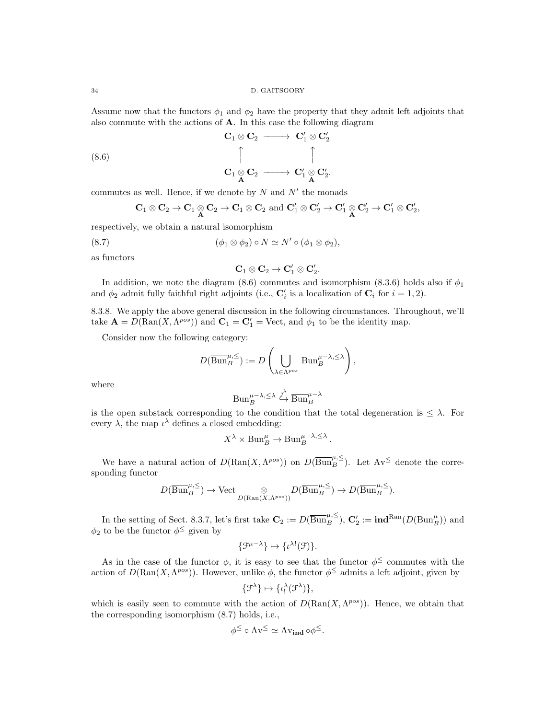Assume now that the functors  $\phi_1$  and  $\phi_2$  have the property that they admit left adjoints that also commute with the actions of A. In this case the following diagram

(8.6) 
$$
\begin{array}{ccccccc}\n & & & & & \mathbf{C}_1 \otimes \mathbf{C}_2 & \longrightarrow & \mathbf{C}_1' \otimes \mathbf{C}_2' \\
 & & & & & \uparrow & & & \uparrow & & \\
 & & & & & \mathbf{C}_1 \otimes \mathbf{C}_2 & \longrightarrow & \mathbf{C}_1' \otimes \mathbf{C}_2'.\n\end{array}
$$

commutes as well. Hence, if we denote by  $N$  and  $N'$  the monads

$$
\mathbf{C}_1 \otimes \mathbf{C}_2 \rightarrow \mathbf{C}_1 \otimes \mathbf{C}_2 \rightarrow \mathbf{C}_1 \otimes \mathbf{C}_2 \text{ and } \mathbf{C}_1' \otimes \mathbf{C}_2' \rightarrow \mathbf{C}_1' \otimes \mathbf{C}_2' \rightarrow \mathbf{C}_1' \otimes \mathbf{C}_2',
$$

respectively, we obtain a natural isomorphism

(8.7) 
$$
(\phi_1 \otimes \phi_2) \circ N \simeq N' \circ (\phi_1 \otimes \phi_2),
$$

as functors

$$
\mathbf{C}_1\otimes\mathbf{C}_2\to\mathbf{C}_1'\otimes\mathbf{C}_2'.
$$

In addition, we note the diagram (8.6) commutes and isomorphism (8.3.6) holds also if  $\phi_1$ and  $\phi_2$  admit fully faithful right adjoints (i.e.,  $\mathbf{C}'_i$  is a localization of  $\mathbf{C}_i$  for  $i = 1, 2$ ).

8.3.8. We apply the above general discussion in the following circumstances. Throughout, we'll take  $\mathbf{A} = D(\text{Ran}(X, \Lambda^{pos}))$  and  $\mathbf{C}_1 = \mathbf{C}'_1 = \text{Vect}$ , and  $\phi_1$  to be the identity map.

Consider now the following category:

$$
D(\overline{\operatorname{Bun}}_{B}^{\mu,\leq}):=D\left(\bigcup_{\lambda\in\Lambda^{pos}}\operatorname{Bun}_{B}^{\mu-\lambda,\leq\lambda}\right),
$$

where

$$
Bun_B^{\mu-\lambda,\leq\lambda} \xrightarrow{j^{\lambda}} \overline{Bun}_B^{\mu-\lambda}
$$

is the open substack corresponding to the condition that the total degeneration is  $\leq \lambda$ . For every  $\lambda$ , the map  $\iota^{\lambda}$  defines a closed embedding:

$$
X^{\lambda} \times \text{Bun}_{B}^{\mu} \to \text{Bun}_{B}^{\mu-\lambda,\leq\lambda}.
$$

We have a natural action of  $D(\text{Ran}(X, \Lambda^{pos}))$  on  $D(\overline{\text{Bun}}^{\mu, \leq}_{B})$ . Let  $\Lambda v^{\leq}$  denote the corresponding functor

$$
D(\overline{\mathrm{Bun}}_{B}^{\mu,\leq}) \to \mathrm{Vect}_{D(\mathrm{Ran}(X, \Lambda^{pos}))} D(\overline{\mathrm{Bun}}_{B}^{\mu,\leq}) \to D(\overline{\mathrm{Bun}}_{B}^{\mu,\leq}).
$$

In the setting of Sect. 8.3.7, let's first take  $\mathbf{C}_2 := D(\overline{\text{Bun}}_B^{\mu,\leq}), \mathbf{C}'_2 := \text{ind}^{\text{Ran}}(D(\text{Bun}_B^{\mu}))$  and  $\phi_2$  to be the functor  $\phi^{\leq}$  given by

$$
\{\mathcal{F}^{\mu-\lambda}\}\mapsto \{\iota^{\lambda!}(\mathcal{F})\}.
$$

As in the case of the functor  $\phi$ , it is easy to see that the functor  $\phi^{\leq}$  commutes with the action of  $D(\text{Ran}(X, \Lambda^{pos}))$ . However, unlike  $\phi$ , the functor  $\phi^{\leq}$  admits a left adjoint, given by

$$
\{\mathcal{F}^{\lambda}\}\mapsto \{\iota_!^{\lambda}(\mathcal{F}^{\lambda})\},
$$

which is easily seen to commute with the action of  $D(\text{Ran}(X, \Lambda^{pos}))$ . Hence, we obtain that the corresponding isomorphism (8.7) holds, i.e.,

$$
\phi^{\leq} \circ Av^{\leq} \simeq Av_{\mathbf{ind}} \circ \phi^{\leq}.
$$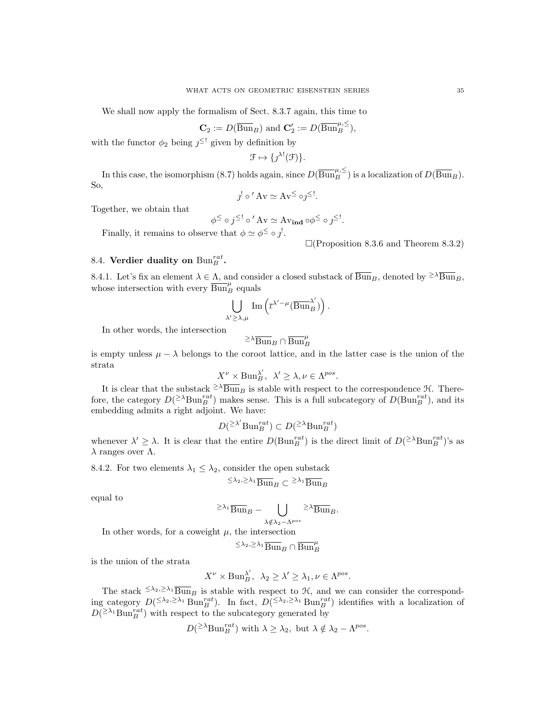We shall now apply the formalism of Sect. 8.3.7 again, this time to

$$
\mathbf{C}_2 := D(\overline{\operatorname{Bun}}_B) \text{ and } \mathbf{C}'_2 := D(\overline{\operatorname{Bun}}_B^{\mu,\leq}),
$$

with the functor  $\phi_2$  being  $j^{\leq}$ ! given by definition by

$$
\mathcal{F} \mapsto \{ \jmath^{\lambda!}(\mathcal{F}) \}.
$$

In this case, the isomorphism (8.7) holds again, since  $D(\overline{Bun}_B^{\mu,\leq})$  is a localization of  $D(\overline{Bun}_B)$ . So,

$$
j^! \circ ' Av \simeq Av \leq \circ j^{\leq !}.
$$

Together, we obtain that

$$
\phi^{\leq} \circ j^{\leq !} \circ' \mathbf{A} \mathbf{v} \simeq \mathbf{A} \mathbf{v}_{\mathbf{ind}} \circ \phi^{\leq} \circ j^{\leq !}.
$$

Finally, it remains to observe that  $\phi \simeq \phi^{\leq} \circ j'.$ 

 $\Box$ (Proposition 8.3.6 and Theorem 8.3.2)

# 8.4. Verdier duality on  $\text{Bun}_B^{rat}$ .

8.4.1. Let's fix an element  $\lambda \in \Lambda$ , and consider a closed substack of  $\overline{Bun}_B$ , denoted by  $\geq \lambda \overline{Bun}_B$ , whose intersection with every  $\overline{\text{Bun}}^{\mu}_B$  equals

$$
\bigcup_{\lambda' \geq \lambda, \mu} \text{Im}\left(\overline{\iota}^{\lambda' - \mu}(\overline{\text{Bun}}_{B}^{\lambda'})\right).
$$

In other words, the intersection

$$
\geq \lambda \overline{{\operatorname{Bun}}}_B \cap \overline{{\operatorname{Bun}}}_B^\mu
$$

is empty unless  $\mu - \lambda$  belongs to the coroot lattice, and in the latter case is the union of the strata

$$
X^{\nu} \times \text{Bun}_{B}^{\lambda'}, \ \lambda' \geq \lambda, \nu \in \Lambda^{pos}.
$$

It is clear that the substack  $\geq \lambda \overline{Bun}_B$  is stable with respect to the correspondence  $\mathcal{H}$ . Therefore, the category  $D({}^{\geq\lambda} Bun_B^{rat})$  makes sense. This is a full subcategory of  $D(Bun_B^{rat})$ , and its embedding admits a right adjoint. We have:

$$
D^{(\geq \lambda'} \text{Bun}_{B}^{rat}) \subset D^{(\geq \lambda} \text{Bun}_{B}^{rat})
$$

whenever  $\lambda' \geq \lambda$ . It is clear that the entire  $D(\text{Bun}_{B}^{rat})$  is the direct limit of  $D({}^{\geq \lambda}\text{Bun}_{B}^{rat})$ 's as  $λ$  ranges over  $Λ$ .

8.4.2. For two elements  $\lambda_1 \leq \lambda_2$ , consider the open substack

$$
\leq \lambda_2, \geq \lambda_1 \overline{\text{Bun}}_B \subset \geq \lambda_1 \overline{\text{Bun}}_B
$$

equal to

$$
\geq \lambda_1 \overline{\mathrm{Bun}}_B - \bigcup_{\lambda \notin \lambda_2 - \Lambda^{pos}} \geq \lambda \overline{\mathrm{Bun}}_B.
$$

In other words, for a coweight  $\mu$ , the intersection

$$
\leq \lambda_2, \geq \lambda_1 \overline{\operatorname{Bun}}_B \cap \overline{\operatorname{Bun}}_B^{\mu}
$$

is the union of the strata

$$
X^{\nu}\times \text{Bun}_{B}^{\lambda'},\ \ \lambda_{2}\geq \lambda'\geq \lambda_{1}, \nu\in \Lambda^{pos}.
$$

The stack  $\leq \lambda_2, \geq \lambda_1$   $\overline{Bun}_B$  is stable with respect to  $H$ , and we can consider the corresponding category  $D^{(\leq \lambda_2, \geq \lambda_1)}$  Bun<sup>rat</sup>). In fact,  $D^{(\leq \lambda_2, \geq \lambda_1)}$  Bun<sup>rat</sup>) identifies with a localization of  $D({}^{\geq \lambda_1}_{\mathbf{Bun}_B^{rat}})$  with respect to the subcategory generated by

 $D({}^{\geq \lambda} \text{Bun}_{B}^{rat})$  with  $\lambda \geq \lambda_2$ , but  $\lambda \notin \lambda_2 - \Lambda^{pos}$ .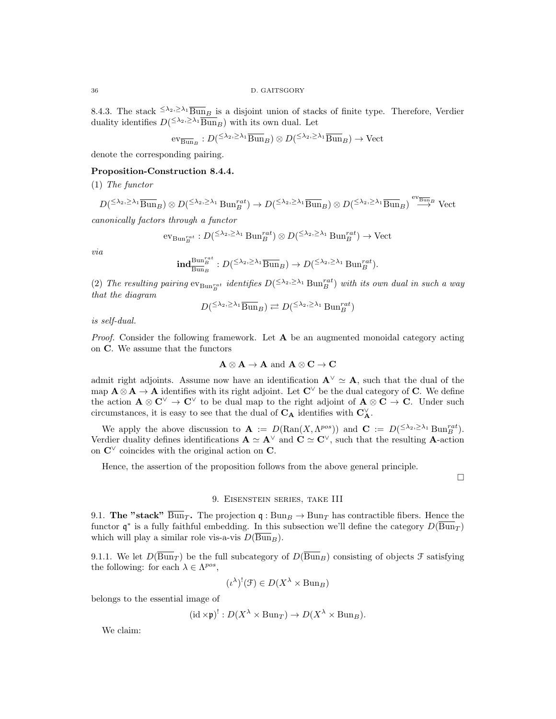8.4.3. The stack  $\leq \lambda_2, \geq \lambda_1$   $\overline{Bun}_B$  is a disjoint union of stacks of finite type. Therefore, Verdier duality identifies  $D^{(\leq \lambda_2, \geq \lambda_1)} \overline{\text{Bun}}_B$ ) with its own dual. Let

$$
\mathrm{ev}_{\overline{\mathrm{Bun}}_B}: D({}^{\leq \lambda_2,\geq \lambda_1} \overline{\mathrm{Bun}}_B) \otimes D({}^{\leq \lambda_2,\geq \lambda_1} \overline{\mathrm{Bun}}_B) \to \mathrm{Vect}
$$

denote the corresponding pairing.

# Proposition-Construction 8.4.4.

(1) The functor

$$
D^{\left(\leq \lambda_2,\geq \lambda_1 \text{Bun}_B\right)} \otimes D^{\left(\leq \lambda_2,\geq \lambda_1 \text{Bun}_B^{rat}\right)} \to D^{\left(\leq \lambda_2,\geq \lambda_1 \text{Bun}_B\right)} \otimes D^{\left(\leq \lambda_2,\geq \lambda_1 \text{Bun}_B\right)} \stackrel{\text{ev}_{\overline{\text{Bun}}_B}}{\longrightarrow} \text{Vect}
$$

canonically factors through a functor

$$
\mathrm{ev}_{\mathrm{Bun}_B^{rat}}: D({}^{\leq \lambda_2,\geq \lambda_1} \mathrm{Bun}_B^{rat}) \otimes D({}^{\leq \lambda_2,\geq \lambda_1} \mathrm{Bun}_B^{rat}) \to \mathrm{Vect}
$$

via

$$
\mathrm{ind}^{\mathrm{Bun}_B^{rat}}_{\overline{\mathrm{Bun}}_B} : D({}^{\leq \lambda_2, \geq \lambda_1} \overline{\mathrm{Bun}}_B) \to D({}^{\leq \lambda_2, \geq \lambda_1} \mathrm{Bun}_B^{rat}).
$$

(2) The resulting pairing  $ev_{\text{Bun}_B^{rat}}$  identifies  $D^{(\leq \lambda_2, \geq \lambda_1)}_{\text{Bun}_B^{rat}}$  with its own dual in such a way that the diagram

$$
D^{\left(\leq \lambda_2, \geq \lambda_1 \overline{\mathrm{Bun}}_B\right)} \rightleftarrows D^{\left(\leq \lambda_2, \geq \lambda_1 \right)} \mathrm{Bun}_B^{rat}
$$

is self-dual.

*Proof.* Consider the following framework. Let  $\bf{A}$  be an augmented monoidal category acting on C. We assume that the functors

$$
\mathbf{A} \otimes \mathbf{A} \to \mathbf{A} \text{ and } \mathbf{A} \otimes \mathbf{C} \to \mathbf{C}
$$

admit right adjoints. Assume now have an identification  $\mathbf{A}^{\vee} \simeq \mathbf{A}$ , such that the dual of the map  $\mathbf{A} \otimes \mathbf{A} \to \mathbf{A}$  identifies with its right adjoint. Let  $\mathbf{C}^{\vee}$  be the dual category of C. We define the action  $\mathbf{A} \otimes \mathbf{C}^{\vee} \to \mathbf{C}^{\vee}$  to be dual map to the right adjoint of  $\mathbf{A} \otimes \mathbf{C} \to \mathbf{C}$ . Under such circumstances, it is easy to see that the dual of  $\bf{C}_A$  identifies with  $\bf{C}_A^\vee$ .

We apply the above discussion to  $\mathbf{A} := D(\text{Ran}(X, \Lambda^{pos}))$  and  $\mathbf{C} := D^{(\leq \lambda_2, \geq \lambda_1)} \text{Bun}_B^{rat}$ . Verdier duality defines identifications  $\mathbf{A} \simeq \mathbf{A}^{\vee}$  and  $\mathbf{C} \simeq \mathbf{C}^{\vee}$ , such that the resulting **A**-action on  $\mathbb{C}^{\vee}$  coincides with the original action on  $\mathbb{C}$ .

Hence, the assertion of the proposition follows from the above general principle.

 $\Box$ 

## 9. Eisenstein series, take III

9.1. The "stack"  $\overline{\text{Bun}}_T$ . The projection q :  $\text{Bun}_B \to \text{Bun}_T$  has contractible fibers. Hence the functor  $\mathfrak{q}^*$  is a fully faithful embedding. In this subsection we'll define the category  $D(\overline{Bun}_T)$ which will play a similar role vis-a-vis  $D(\overline{Bun}_B)$ .

9.1.1. We let  $D(\overline{Bun}_T)$  be the full subcategory of  $D(\overline{Bun}_B)$  consisting of objects  $\mathcal F$  satisfying the following: for each  $\lambda \in \Lambda^{pos}$ ,

$$
(\iota^{\lambda})^!(\mathfrak{F}) \in D(X^{\lambda} \times \text{Bun}_B)
$$

belongs to the essential image of

$$
(\mathrm{id} \times \mathfrak{p})^! : D(X^{\lambda} \times \mathrm{Bun}_T) \to D(X^{\lambda} \times \mathrm{Bun}_B).
$$

We claim: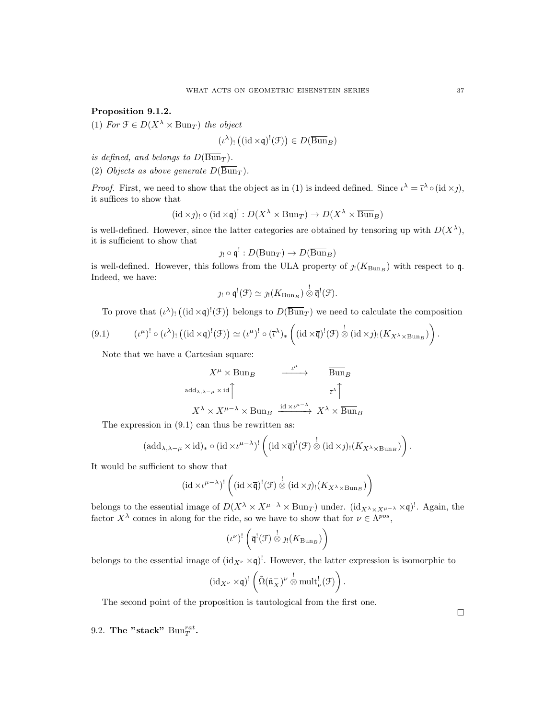Proposition 9.1.2.

(1) For  $\mathfrak{F} \in D(X^{\lambda} \times \text{Bun}_T)$  the object

$$
(\iota^{\lambda})_! \left( (\mathrm{id} \times \mathfrak{q})^!(\mathfrak{F}) \right) \in D(\overline{\operatorname{Bun}}_B)
$$

is defined, and belongs to  $D(\overline{\text{Bun}}_T)$ .

(2) Objects as above generate  $D(\overline{\text{Bun}}_T)$ .

*Proof.* First, we need to show that the object as in (1) is indeed defined. Since  $\iota^{\lambda} = \bar{\iota}^{\lambda} \circ (\mathrm{id} \times \jmath),$ it suffices to show that

$$
(\mathrm{id} \times \mathcal{Y})_! \circ (\mathrm{id} \times \mathfrak{q})^! : D(X^\lambda \times \mathrm{Bun}_T) \to D(X^\lambda \times \overline{\mathrm{Bun}}_B)
$$

is well-defined. However, since the latter categories are obtained by tensoring up with  $D(X^{\lambda})$ , it is sufficient to show that

$$
\jmath_! \circ \mathfrak{q}^! : D(\mathrm{Bun}_T) \to D(\overline{\mathrm{Bun}}_B)
$$

is well-defined. However, this follows from the ULA property of  $\jmath_!(K_{\text{Bun}_B})$  with respect to q. Indeed, we have:

$$
\jmath_! \circ \mathfrak{q}^! (\mathcal{F}) \simeq \jmath_! (K_{\mathrm{Bun}_B}) \overset{!}{\otimes} \overline{\mathfrak{q}}^! (\mathcal{F}).
$$

To prove that  $(\iota^{\lambda})_!$  ((id  $\times \mathfrak{q})^!(\mathfrak{F})$ ) belongs to  $D(\overline{Bun}_T)$  we need to calculate the composition

$$
(9.1) \qquad (\iota^{\mu})^! \circ (\iota^{\lambda})_! \left( (\mathrm{id} \times \mathfrak{q})^! (\mathcal{F}) \right) \simeq (\iota^{\mu})^! \circ (\bar{\iota}^{\lambda})_* \left( (\mathrm{id} \times \overline{\mathfrak{q}})^! (\mathcal{F}) \overset{!}{\otimes} (\mathrm{id} \times \mathfrak{z})_! (K_{X^{\lambda} \times \mathrm{Bun}_B}) \right)
$$

Note that we have a Cartesian square:

$$
X^{\mu} \times \text{Bun}_B \longrightarrow \overline{\text{Bun}}_B
$$
\n
$$
\text{add}_{\lambda,\lambda-\mu} \times \text{id} \uparrow \qquad \qquad \downarrow \mu \longrightarrow \overline{\text{Bun}}_B
$$
\n
$$
X^{\lambda} \times X^{\mu-\lambda} \times \text{Bun}_B \xrightarrow{\text{id} \times \iota^{\mu-\lambda}} X^{\lambda} \times \overline{\text{Bun}}_B
$$

The expression in (9.1) can thus be rewritten as:

$$
(\mathrm{add}_{\lambda,\lambda-\mu}\times\mathrm{id})_*\circ(\mathrm{id}\times\iota^{\mu-\lambda})^!\left((\mathrm{id}\times\overline{\mathfrak{q}})^!(\mathfrak{F})\overset{!}{\otimes}(\mathrm{id}\times\jmath)_!(K_{X^{\lambda}\times\mathrm{Bun}_B})\right).
$$

It would be sufficient to show that

$$
(\mathrm{id} \times \iota^{\mu-\lambda})^! \left( (\mathrm{id} \times \overline{\mathfrak{q}})^!(\mathcal{F}) \overset{!}{\otimes} (\mathrm{id} \times \mathfrak{z})_! (K_{X^{\lambda} \times \mathrm{Bun}_B}) \right)
$$

belongs to the essential image of  $D(X^{\lambda} \times X^{\mu-\lambda} \times Bun_T)$  under.  $(id_{X^{\lambda} \times X^{\mu-\lambda}} \times \mathfrak{q})^!$ . Again, the factor  $X^{\lambda}$  comes in along for the ride, so we have to show that for  $\nu \in \Lambda^{pos}$ ,

$$
(\iota^{\nu})^! \left( \overline{\mathfrak{q}}^! (\mathcal{F}) \overset{!}{\otimes} \jmath_! (K_{\mathrm{Bun}_B}) \right)
$$

belongs to the essential image of  $(id_{X^{\nu}} \times \mathfrak{q})^!$ . However, the latter expression is isomorphic to

$$
(\mathrm{id}_{X^{\nu}}\times\mathfrak{q})^{!}\left(\tilde{\Omega}(\check{\mathfrak{n}}_X^{-})^{\nu}\overset{!}{\otimes}\mathrm{mult}^!_{\nu}(\mathcal{F})\right).
$$

The second point of the proposition is tautological from the first one.

9.2. The "stack"  $\text{Bun}_T^{rat}$ .

 $\Box$ 

.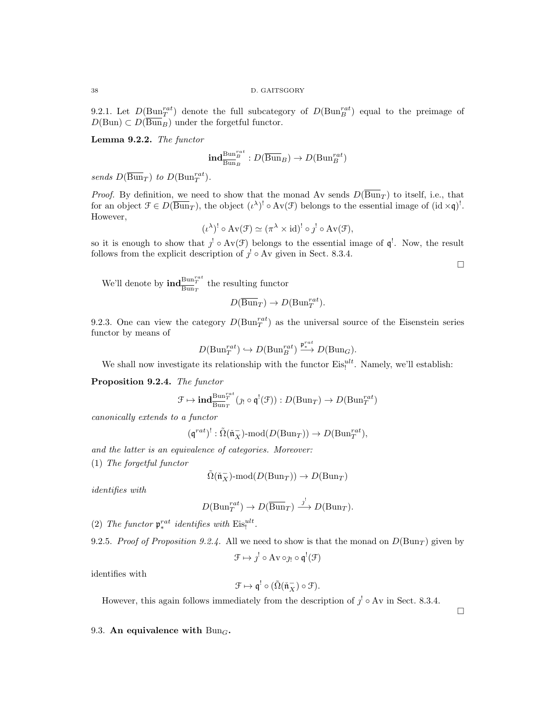9.2.1. Let  $D(\text{Bun}_T^{rat})$  denote the full subcategory of  $D(\text{Bun}_B^{rat})$  equal to the preimage of  $D(\text{Bun}) \subset D(\overline{\text{Bun}}_B)$  under the forgetful functor.

Lemma 9.2.2. The functor

$$
\mathbf{ind}_{\overline{\mathrm{Bun}}_B}^{\mathrm{Bun}_B^{rat}}: D(\overline{\mathrm{Bun}}_B) \to D(\mathrm{Bun}_B^{rat})
$$

sends  $D(\overline{\text{Bun}}_T)$  to  $D(\text{Bun}_T^{rat})$ .

*Proof.* By definition, we need to show that the monad Av sends  $D(\overline{Bun}_T)$  to itself, i.e., that for an object  $\mathcal{F} \in D(\overline{\text{Bun}}_T)$ , the object  $(\iota^{\lambda})^! \circ Av(\mathcal{F})$  belongs to the essential image of  $(id \times \mathfrak{q})^!$ . However,

$$
(\iota^{\lambda})^! \circ Av(\mathcal{F}) \simeq (\pi^{\lambda} \times id)^! \circ \jmath^! \circ Av(\mathcal{F}),
$$

so it is enough to show that  $j' \circ Av(\mathcal{F})$  belongs to the essential image of  $\mathfrak{q}^!$ . Now, the result follows from the explicit description of  $j^! \circ Av$  given in Sect. 8.3.4.

 $\Box$ 

We'll denote by  $\mathrm{ind}^{\mathrm{Bun}^{rat}_{T}}_{\overline{\mathrm{Bun}}_{T}}$  the resulting functor

$$
D(\overline{\operatorname{Bun}}_T) \to D(\operatorname{Bun}_T^{rat}).
$$

9.2.3. One can view the category  $D(\text{Bun}_T^{rat})$  as the universal source of the Eisenstein series functor by means of

$$
D(\mathrm{Bun}_T^{rat}) \hookrightarrow D(\mathrm{Bun}_B^{rat}) \xrightarrow{\mathfrak{p}_*^{rat}} D(\mathrm{Bun}_G).
$$

We shall now investigate its relationship with the functor  $Eis_i^{ult}$ . Namely, we'll establish:

Proposition 9.2.4. The functor

$$
\mathcal{F} \mapsto \mathrm{\mathbf{ind}}_{\overline{\mathrm{Bun}}_T}^{\mathrm{Bun}_T^{rat}}(\jmath_! \circ \mathfrak{q}^! (\mathcal{F})) : D(\mathrm{Bun}_T) \to D(\mathrm{Bun}_T^{rat})
$$

canonically extends to a functor

$$
(\mathfrak{q}^{rat})^!: \tilde{\Omega}(\check{\mathfrak{n}}_X^-)\text{-}\mathrm{mod}(D(\mathrm{Bun}_T))\rightarrow D(\mathrm{Bun}_T^{rat}),
$$

and the latter is an equivalence of categories. Moreover:

(1) The forgetful functor

$$
\tilde{\Omega}(\tilde{\mathfrak{n}}_X^-)\text{-mod}(D(\mathrm{Bun}_T))\to D(\mathrm{Bun}_T)
$$

identifies with

$$
D(\mathrm{Bun}_T^{rat}) \to D(\overline{\mathrm{Bun}}_T) \xrightarrow{j'} D(\mathrm{Bun}_T).
$$

(2) The functor  $\mathfrak{p}_*^{rat}$  identifies with  $Eis_i^{ult}$ .

9.2.5. Proof of Proposition 9.2.4. All we need to show is that the monad on  $D(\text{Bun}_T)$  given by

$$
\mathcal{F} \mapsto \jmath^{!} \circ \mathrm{Av} \circ \jmath_{!} \circ \mathfrak{q}^{!}(\mathcal{F})
$$

identifies with

$$
\mathcal{F} \mapsto \mathfrak{q}^! \circ (\tilde{\Omega}(\check{\mathfrak{n}}_X^-) \circ \mathcal{F}).
$$

However, this again follows immediately from the description of  $j^! \circ Av$  in Sect. 8.3.4.

 $\Box$ 

## 9.3. An equivalence with  $Bun_G$ .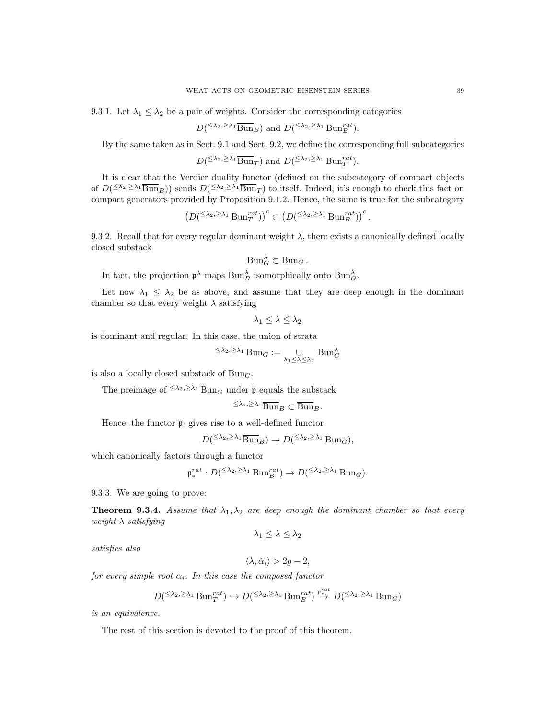9.3.1. Let  $\lambda_1 \leq \lambda_2$  be a pair of weights. Consider the corresponding categories

$$
D^{\left(\leq \lambda_2,\geq \lambda_1 \text{Bun}_B\right)}
$$
 and  $D^{\left(\leq \lambda_2,\geq \lambda_1 \text{Bun}_B^{rat}\right)}$ .

By the same taken as in Sect. 9.1 and Sect. 9.2, we define the corresponding full subcategories

$$
D^{\left(\leq \lambda_2,\geq \lambda_1 \text{Bun}_T\right)}
$$
 and  $D^{\left(\leq \lambda_2,\geq \lambda_1 \text{Bun}_T^{rat}\right)}$ .

It is clear that the Verdier duality functor (defined on the subcategory of compact objects of  $D^{(\leq \lambda_2,\geq \lambda_1} \overline{\text{Bun}}_B)$  sends  $D^{(\leq \lambda_2,\geq \lambda_1} \overline{\text{Bun}}_T)$  to itself. Indeed, it's enough to check this fact on compact generators provided by Proposition 9.1.2. Hence, the same is true for the subcategory

$$
\left(D^{(\leq \lambda_2,\geq \lambda_1} \operatorname{Bun}_T^{rat})\right)^c \subset \left(D^{(\leq \lambda_2,\geq \lambda_1} \operatorname{Bun}_B^{rat})\right)^c.
$$

9.3.2. Recall that for every regular dominant weight  $\lambda$ , there exists a canonically defined locally closed substack

$$
\text{Bun}_G^{\lambda} \subset \text{Bun}_G.
$$

In fact, the projection  $\mathfrak{p}^{\lambda}$  maps  $\text{Bun}_{B}^{\lambda}$  isomorphically onto  $\text{Bun}_{G}^{\lambda}$ .

Let now  $\lambda_1 \leq \lambda_2$  be as above, and assume that they are deep enough in the dominant chamber so that every weight  $\lambda$  satisfying

$$
\lambda_1\leq \lambda\leq \lambda_2
$$

is dominant and regular. In this case, the union of strata

$$
\leq \lambda_2, \geq \lambda_1 \operatorname{Bun}_G := \bigcup_{\lambda_1 \leq \lambda \leq \lambda_2} \operatorname{Bun}_G^{\lambda}
$$

is also a locally closed substack of  $Bun_G$ .

The preimage of  $\leq \lambda_2, \geq \lambda_1$  Bun<sub>G</sub> under  $\bar{p}$  equals the substack

$$
\leq \lambda_2, \geq \lambda_1 \overline{\text{Bun}}_B \subset \overline{\text{Bun}}_B.
$$

Hence, the functor  $\bar{p}_!$  gives rise to a well-defined functor

$$
D^{\left(\leq \lambda_2,\geq \lambda_1 \overline{\mathrm{Bun}}_B\right)} \to D^{\left(\leq \lambda_2,\geq \lambda_1 \right)}_{\varepsilon_1} \mathrm{Bun}_G,
$$

which canonically factors through a functor

$$
\mathfrak{p}_{*}^{rat}: D({}^{\leq \lambda_2,\geq \lambda_1} \operatorname{Bun}_{B}^{rat}) \to D({}^{\leq \lambda_2,\geq \lambda_1} \operatorname{Bun}_{G}).
$$

9.3.3. We are going to prove:

**Theorem 9.3.4.** Assume that  $\lambda_1, \lambda_2$  are deep enough the dominant chamber so that every weight  $\lambda$  satisfying

$$
\lambda_1 \leq \lambda \leq \lambda_2
$$

satisfies also

$$
\langle \lambda, \check{\alpha}_i \rangle > 2g - 2,
$$

for every simple root  $\alpha_i$ . In this case the composed functor

$$
D^{\left(\leq\lambda_2,\geq\lambda_1\mathrm{Bun}_T^{rat}\right)}\hookrightarrow D^{\left(\leq\lambda_2,\geq\lambda_1\mathrm{Bun}_B^{rat}\right)}\overset{\mathfrak{p}_s^{rat}}{\to} D^{\left(\leq\lambda_2,\geq\lambda_1\mathrm{Bun}_G\right)}
$$

is an equivalence.

The rest of this section is devoted to the proof of this theorem.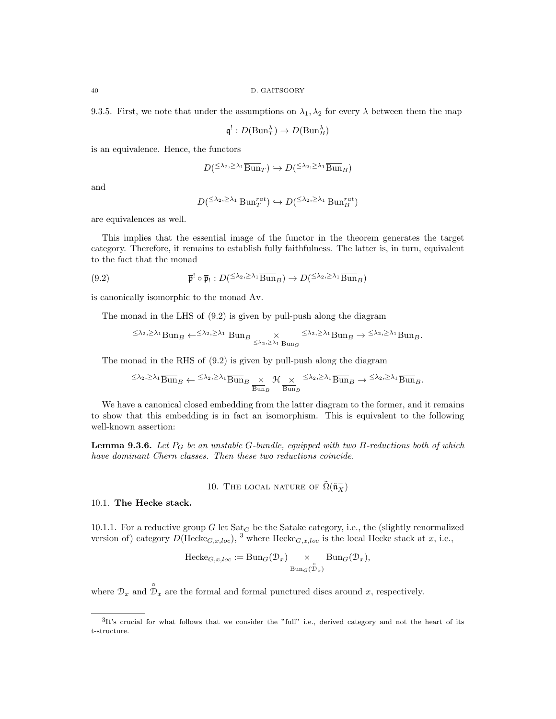9.3.5. First, we note that under the assumptions on  $\lambda_1, \lambda_2$  for every  $\lambda$  between them the map

$$
\mathfrak{q}^! : D(\mathrm{Bun}_T^{\lambda}) \to D(\mathrm{Bun}_B^{\lambda})
$$

is an equivalence. Hence, the functors

$$
D^{(\leq \lambda_2, \geq \lambda_1} \overline{\operatorname{Bun}}_T) \hookrightarrow D^{(\leq \lambda_2, \geq \lambda_1} \overline{\operatorname{Bun}}_B)
$$

and

$$
D^{\left(\leq \lambda_2, \geq \lambda_1 \text{ Bun}_T^{rat}\right)} \hookrightarrow D^{\left(\leq \lambda_2, \geq \lambda_1 \text{Bun}_B^{rat}\right)}
$$

are equivalences as well.

This implies that the essential image of the functor in the theorem generates the target category. Therefore, it remains to establish fully faithfulness. The latter is, in turn, equivalent to the fact that the monad

(9.2) 
$$
\overline{\mathfrak{p}}^! \circ \overline{\mathfrak{p}}_! : D({}^{\leq \lambda_2, \geq \lambda_1} \overline{\text{Bun}}_B) \to D({}^{\leq \lambda_2, \geq \lambda_1} \overline{\text{Bun}}_B)
$$

is canonically isomorphic to the monad Av.

The monad in the LHS of (9.2) is given by pull-push along the diagram

$$
\leq \lambda_2, \geq \lambda_1 \overline{\text{Bun}}_B \leftarrow \leq \lambda_2, \geq \lambda_1 \overline{\text{Bun}}_B \times \leq \lambda_2, \geq \lambda_1 \overline{\text{Bun}}_B \rightarrow \leq \lambda_2, \geq \lambda_1 \overline{\text{Bun}}_B.
$$

The monad in the RHS of (9.2) is given by pull-push along the diagram

$$
\leq \lambda_2, \geq \lambda_1 \overline{\text{Bun}}_B \leftarrow \leq \lambda_2, \geq \lambda_1 \overline{\text{Bun}}_B \underset{\overline{\text{Bun}}_B}{\times} \mathcal{H} \underset{\overline{\text{Bun}}_B}{\times} \leq \lambda_2, \geq \lambda_1 \overline{\text{Bun}}_B \rightarrow \leq \lambda_2, \geq \lambda_1 \overline{\text{Bun}}_B.
$$

We have a canonical closed embedding from the latter diagram to the former, and it remains to show that this embedding is in fact an isomorphism. This is equivalent to the following well-known assertion:

**Lemma 9.3.6.** Let  $P_G$  be an unstable G-bundle, equipped with two B-reductions both of which have dominant Chern classes. Then these two reductions coincide.

# 10. THE LOCAL NATURE OF  $\tilde{\Omega}(\tilde{\mathfrak{n}}_X^-)$

## 10.1. The Hecke stack.

10.1.1. For a reductive group G let  $\text{Sat}_G$  be the Satake category, i.e., the (slightly renormalized version of) category  $D(\text{Hecke}_{G,x,loc})$ , <sup>3</sup> where  $\text{Hecke}_{G,x,loc}$  is the local Hecke stack at x, i.e.,

$$
\text{Hecke}_{G,x,loc} := \text{Bun}_G(\mathcal{D}_x) \underset{\text{Bun}_G(\mathcal{D}_x)}{\times} \text{Bun}_G(\mathcal{D}_x),
$$

where  $\mathcal{D}_x$  and  $\mathcal{D}_x$  are the formal and formal punctured discs around x, respectively.

 ${}^{3}$ It's crucial for what follows that we consider the "full" i.e., derived category and not the heart of its t-structure.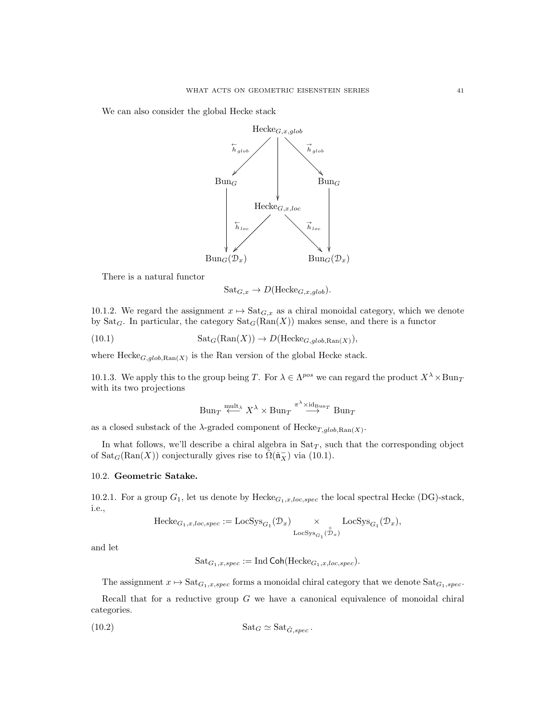We can also consider the global Hecke stack



There is a natural functor

$$
Sat_{G,x} \to D(Hecke_{G,x,glob}).
$$

10.1.2. We regard the assignment  $x \mapsto$  Sat $_{G,x}$  as a chiral monoidal category, which we denote by Sat<sub>G</sub>. In particular, the category  $\text{Sat}_G(\text{Ran}(X))$  makes sense, and there is a functor

(10.1) 
$$
Sat_G(\text{Ran}(X)) \to D(\text{Hecke}_{G,glob, \text{Ran}(X)}),
$$

where  $\text{Hecke}_{G,glob, Ran(X)}$  is the Ran version of the global Hecke stack.

10.1.3. We apply this to the group being T. For  $\lambda \in \Lambda^{pos}$  we can regard the product  $X^{\lambda} \times \text{Bun}_T$ with its two projections

$$
\mathrm{Bun}_T \stackrel{\mathrm{mult}_\lambda}{\longleftarrow} X^\lambda \times \mathrm{Bun}_T \stackrel{\pi^\lambda \times \mathrm{id}_{\mathrm{Bun}_T}}{\longrightarrow} \mathrm{Bun}_T
$$

as a closed substack of the  $\lambda$ -graded component of  $\text{Hecke}_{T, glob, Ran(X)}$ .

In what follows, we'll describe a chiral algebra in  $\text{Sat}_T$ , such that the corresponding object of  $\text{Sat}_G(\text{Ran}(X))$  conjecturally gives rise to  $\tilde{\Omega}(\tilde{\mathfrak{n}}_X^-)$  via (10.1).

## 10.2. Geometric Satake.

10.2.1. For a group  $G_1$ , let us denote by  $\text{Hecke}_{G_1,x,loc,spec}$  the local spectral Hecke (DG)-stack, i.e.,

$$
\mathrm{Hecke}_{G_1,x,loc,spec}:=\mathrm{LocSys}_{G_1}(\mathcal{D}_x)\underset{\mathrm{LocSys}_{G_1}(\overset{\circ}{\mathcal{D}}_x)}{\times}\mathrm{LocSys}_{G_1}(\mathcal{D}_x),
$$

and let

$$
Sat_{G_1,x,spec} := Ind\text{Coh}(\text{Hecke}_{G_1,x,loc,spec}).
$$

The assignment  $x \mapsto \text{Sat}_{G_1,x,spec}$  forms a monoidal chiral category that we denote  $\text{Sat}_{G_1,spec}$ .

Recall that for a reductive group  $G$  we have a canonical equivalence of monoidal chiral categories.

(10.2) 
$$
\text{Sat}_G \simeq \text{Sat}_{\tilde{G},spec}.
$$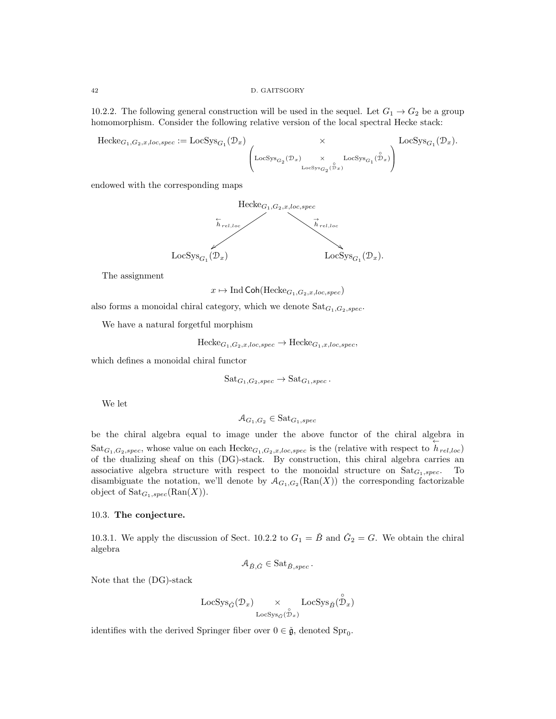10.2.2. The following general construction will be used in the sequel. Let  $G_1 \rightarrow G_2$  be a group homomorphism. Consider the following relative version of the local spectral Hecke stack:

 $Hecke_{G_1,G_2,x,loc,spec} := \text{LocS}$ 

$$
\mathrm{ysg}_{G_1}(\mathcal{D}_x) \underset{\mathrm{LocSys}_{G_2}(\mathcal{D}_x) \xrightarrow{\times} \mathrm{LocSys}_{G_1}(\overset{\circ}{\mathcal{D}}_x)}{\times} \mathrm{LocSys}_{G_1}(\overset{\circ}{\mathcal{D}}_x).
$$

endowed with the corresponding maps



The assignment

 $x \mapsto \text{Ind}$  Coh(Hecke<sub>G<sub>1</sub>,G<sub>2</sub>,x,loc,spec)</sub>

also forms a monoidal chiral category, which we denote  $Sat_{G_1,G_2,spec}$ .

We have a natural forgetful morphism

 $\text{Hecke}_{G_1,G_2,x,loc,spec} \to \text{Hecke}_{G_1,x,loc,spec},$ 

which defines a monoidal chiral functor

$$
Sat_{G_1,G_2,spec} \to Sat_{G_1,spec}.
$$

We let

$$
\mathcal{A}_{G_1,G_2} \in \text{Sat}_{G_1,spec}
$$

be the chiral algebra equal to image under the above functor of the chiral algebra in  $\text{Sat}_{G_1,G_2,spec}$ , whose value on each  $\text{Hecke}_{G_1,G_2,x,loc,spec}$  is the (relative with respect to  $h_{rel,loc}$ ) of the dualizing sheaf on this (DG)-stack. By construction, this chiral algebra carries an associative algebra structure with respect to the monoidal structure on  $\text{Sat}_{G_1,spec}$ . To disambiguate the notation, we'll denote by  $\mathcal{A}_{G_1,G_2}(\text{Ran}(X))$  the corresponding factorizable object of  $\text{Sat}_{G_1,spec}(\text{Ran}(X)).$ 

## 10.3. The conjecture.

10.3.1. We apply the discussion of Sect. 10.2.2 to  $G_1 = \check{B}$  and  $\check{G}_2 = G$ . We obtain the chiral algebra

$$
\mathcal{A}_{\check{B},\check{G}} \in \text{Sat}_{\check{B},spec} \, .
$$

Note that the (DG)-stack

$$
\operatorname{LocSys}_{\check G}(\mathcal D_x) \underset{\operatorname{LocSys}_{\check G}(\overset{\circ}{\mathcal D}_x)}{\times} \operatorname{LocSys}_{\check B}(\overset{\circ}{\mathcal D}_x)
$$

identifies with the derived Springer fiber over  $0 \in \check{\mathfrak{g}}$ , denoted Spr<sub>0</sub>.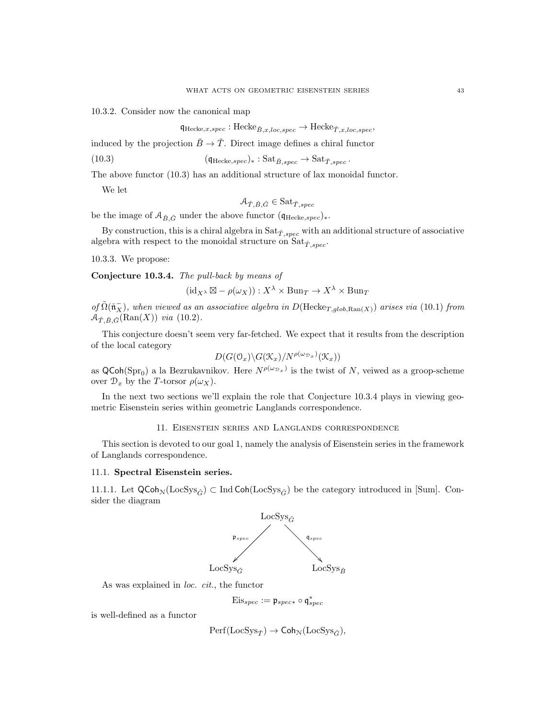10.3.2. Consider now the canonical map

$$
\mathfrak{q}_{\text{Hecke},x,spec} : \text{Hecke}_{\tilde{B},x,loc,spec} \to \text{Hecke}_{\tilde{T},x,loc,spec},
$$

induced by the projection  $\check{B} \to \check{T}$ . Direct image defines a chiral functor

(10.3) 
$$
(\mathfrak{q}_{\text{Hecke},spec})_* : \text{Sat}_{\check{B},spec} \to \text{Sat}_{\check{T},spec}.
$$

The above functor (10.3) has an additional structure of lax monoidal functor.

We let

$$
\mathcal{A}_{\check{T},\check{B},\check{G}} \in \text{Sat}_{\check{T},spec}
$$

be the image of  $\mathcal{A}_{\check{B},\check{G}}$  under the above functor  $(\mathfrak{q}_{\text{Hecke},spec})_*$ .

By construction, this is a chiral algebra in  $Sat_{\check{T},spec}$  with an additional structure of associative algebra with respect to the monoidal structure on  $\text{Sat}_{\check{T},spec}$ .

10.3.3. We propose:

Conjecture 10.3.4. The pull-back by means of

$$
(\mathrm{id}_{X^{\lambda}} \boxtimes - \rho(\omega_X)) : X^{\lambda} \times \mathrm{Bun}_T \to X^{\lambda} \times \mathrm{Bun}_T
$$

of  $\tilde{\Omega}(\tilde{\mathbf{n}}_X^-)$ , when viewed as an associative algebra in D(Hecke<sub>T,glob,Ran(X)</sub>) arises via (10.1) from  $\mathcal{A}_{\check{T},\check{B},\check{G}}(\text{Ran}(X))$  via (10.2).

This conjecture doesn't seem very far-fetched. We expect that it results from the description of the local category

$$
D(G(\mathbb{O}_x)\backslash G(\mathfrak{X}_x)/N^{\rho(\omega_{\mathbb{D}_x})}(\mathfrak{X}_x))
$$

as  $\mathsf{QCoh}(\mathrm{Spr}_0)$  a la Bezrukavnikov. Here  $N^{\rho(\omega_{\mathcal{D}_x})}$  is the twist of N, veiwed as a groop-scheme over  $\mathcal{D}_x$  by the T-torsor  $\rho(\omega_X)$ .

In the next two sections we'll explain the role that Conjecture 10.3.4 plays in viewing geometric Eisenstein series within geometric Langlands correspondence.

## 11. Eisenstein series and Langlands correspondence

This section is devoted to our goal 1, namely the analysis of Eisenstein series in the framework of Langlands correspondence.

## 11.1. Spectral Eisenstein series.

11.1.1. Let  $\mathsf{QCoh}_{\mathbb{N}}(\mathrm{LocSys}_{\check{G}}) \subset \mathrm{Ind}\,\mathsf{Coh}(\mathrm{LocSys}_{\check{G}})$  be the category introduced in [Sum]. Consider the diagram



As was explained in loc. cit., the functor

 $\mathrm{Eis}_{spec} := \mathfrak{p}_{spec*} \circ \mathfrak{q}_{spec}^*$ 

is well-defined as a functor

$$
\operatorname{Perf}(\operatorname{LocSys}_{\check{T}}) \to \operatorname{Coh}_{\mathcal{N}}(\operatorname{LocSys}_{\check{G}}),
$$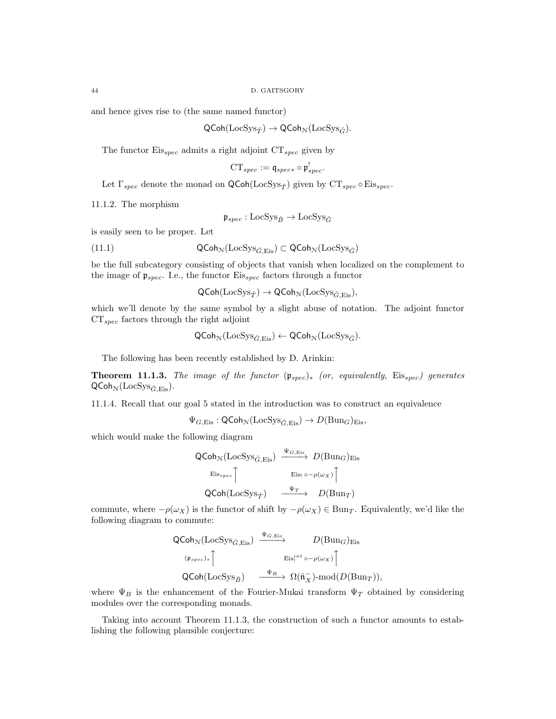and hence gives rise to (the same named functor)

$$
\mathsf{QCoh}(\mathrm{LocSys}_{\check{T}}) \to \mathsf{QCoh}_{\mathcal{N}}(\mathrm{LocSys}_{\check{G}}).
$$

The functor  $Eis_{spec}$  admits a right adjoint  $CT_{spec}$  given by

$$
\mathrm{CT}_{spec}:=\mathfrak{q}_{spec*}\circ\mathfrak{p}_{spec}^!
$$

Let  $\Gamma_{spec}$  denote the monad on QCoh(LocSys<sub>T<sup>†</sup>)</sub> given by  $CT_{spec} \circ Eis_{spec}$ .

11.1.2. The morphism

 $\mathfrak{p}_{spec}: \text{LocSys}_{\check{B}} \to \text{LocSys}_{\check{G}}$ 

is easily seen to be proper. Let

(11.1) 
$$
\mathsf{QCoh}_{\mathcal{N}}(\mathrm{LocSys}_{\check{G}, \mathrm{Eis}}) \subset \mathsf{QCoh}_{\mathcal{N}}(\mathrm{LocSys}_{\check{G}})
$$

be the full subcategory consisting of objects that vanish when localized on the complement to the image of  $\mathfrak{p}_{spec}$ . I.e., the functor  $Eis_{spec}$  factors through a functor

 $\mathsf{QCoh}(\mathrm{LocSys}_{\check{\mathcal{T}}}) \to \mathsf{QCoh}_{\mathcal{N}}(\mathrm{LocSys}_{\check{\mathcal{C}}, \mathrm{Eis}}),$ 

which we'll denote by the same symbol by a slight abuse of notation. The adjoint functor  $CT_{spec}$  factors through the right adjoint

$$
\mathsf{QCoh}_{\mathcal{N}}(\mathsf{LocSys}_{\check{G}, \mathsf{Eis}}) \leftarrow \mathsf{QCoh}_{\mathcal{N}}(\mathsf{LocSys}_{\check{G}}).
$$

The following has been recently established by D. Arinkin:

**Theorem 11.1.3.** The image of the functor  $(\mathfrak{p}_{spec})_*$  (or, equivalently, Eis<sub>spec</sub>) generates  $\mathsf{QCoh}_{\mathcal{N}}(\mathrm{LocSys}_{\check{G}, \mathrm{Eis}}).$ 

11.1.4. Recall that our goal 5 stated in the introduction was to construct an equivalence

$$
\Psi_{G,\mathrm{Eis}} : \mathsf{QCoh}_{\mathcal{N}}(\mathrm{LocSys}_{\check{G},\mathrm{Eis}}) \to D(\mathrm{Bun}_G)_{\mathrm{Eis}},
$$

which would make the following diagram

$$
\begin{array}{ccc}\n\text{QCoh}_{\mathcal{N}}(\text{LocSys}_{\check{G}, \text{Eis}}) & \xrightarrow{\Psi_{G, \text{Eis}}} & D(\text{Bun}_G)_{\text{Eis}} \\
\text{Eis}_{spec} \uparrow & & \text{Eis}_{!} \circ \text{--} \rho(\omega_{X}) \uparrow \\
\text{QCoh}(\text{LocSys}_{\check{T}}) & \xrightarrow{\Psi_{T}} & D(\text{Bun}_T)\n\end{array}
$$

commute, where  $-\rho(\omega_X)$  is the functor of shift by  $-\rho(\omega_X) \in \text{Bun}_T$ . Equivalently, we'd like the following diagram to commute:

$$
\begin{array}{ccc}\n\mathsf{QCoh}_{\mathcal{N}}(\mathsf{Loc} \mathsf{Sys}_{\check{G}, \mathsf{Eis}}) & \xrightarrow{\Psi_{G, \mathsf{Eis}}} & D(\mathsf{Bun}_G)_{\mathsf{Eis}} \\
(\mathfrak{p}_{spec})_* \upharpoonright & & \mathsf{Eis}_1^{int} \circ -\rho(\omega_X) \upharpoonright \\
\mathsf{QCoh}(\mathsf{Loc} \mathsf{Sys}_{\check{B}}) & \xrightarrow{\Psi_B} \Omega(\check{\mathfrak{n}}_X^-) \text{-mod}(D(\mathsf{Bun}_T)),\n\end{array}
$$

where  $\Psi_B$  is the enhancement of the Fourier-Mukai transform  $\Psi_T$  obtained by considering modules over the corresponding monads.

Taking into account Theorem 11.1.3, the construction of such a functor amounts to establishing the following plausible conjecture: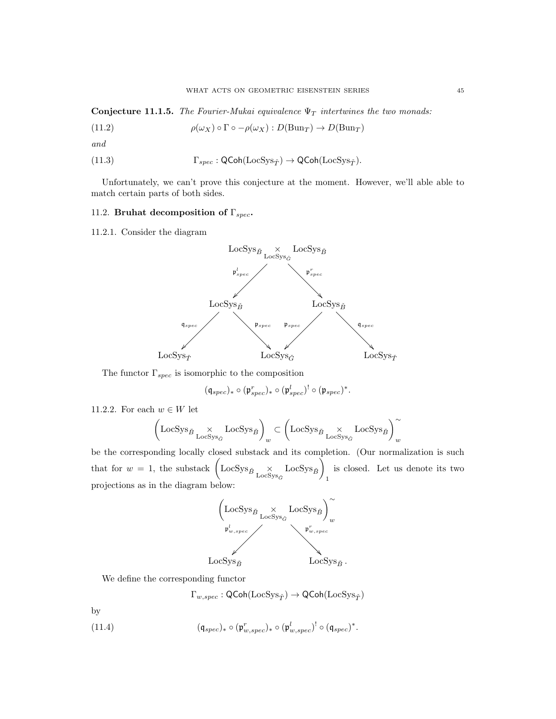Conjecture 11.1.5. The Fourier-Mukai equivalence  $\Psi_T$  intertwines the two monads:

(11.2) 
$$
\rho(\omega_X) \circ \Gamma \circ -\rho(\omega_X) : D(\text{Bun}_T) \to D(\text{Bun}_T)
$$

and

(11.3) 
$$
\Gamma_{spec} : \mathsf{QCoh}(\mathrm{LocSys}_{\check{T}}) \to \mathsf{QCoh}(\mathrm{LocSys}_{\check{T}}).
$$

Unfortunately, we can't prove this conjecture at the moment. However, we'll able able to match certain parts of both sides.

# 11.2. Bruhat decomposition of  $\Gamma_{spec}$ .

11.2.1. Consider the diagram



The functor  $\Gamma_{spec}$  is isomorphic to the composition

$$
(\mathfrak{q}_{spec})_* \circ (\mathfrak{p}_{spec}^r)_* \circ (\mathfrak{p}_{spec}^l)^! \circ (\mathfrak{p}_{spec})^*.
$$

11.2.2. For each  $w \in W$  let

$$
\left(\text{LocSys}_{\check{B}} \underset{\text{LocSys}_{\check{G}}}{\times} \text{LocSys}_{\check{B}} \right)_w \subset \left(\text{LocSys}_{\check{B}} \underset{\text{LocSys}_{\check{G}}}{\times} \text{LocSys}_{\check{B}} \right)_w^{\sim}
$$

be the corresponding locally closed substack and its completion. (Our normalization is such that for  $w = 1$ , the substack  $\left($ LocSys<sub> $\check{B}$ </sup><sub>LocSys<sub> $\check{\alpha}$ </sub> LocSys<sub> $\check{\alpha}$ </sub></sub></sub> 1 is closed. Let us denote its two projections as in the diagram below:



We define the corresponding functor

$$
\Gamma_{w,spec}:\mathsf{QCoh}(\mathrm{LocSys}_{\check{T}})\rightarrow\mathsf{QCoh}(\mathrm{LocSys}_{\check{T}})
$$

by

(11.4) 
$$
(\mathfrak{q}_{spec})_* \circ (\mathfrak{p}^r_{w,spec})_* \circ (\mathfrak{p}^l_{w,spec})^! \circ (\mathfrak{q}_{spec})^*.
$$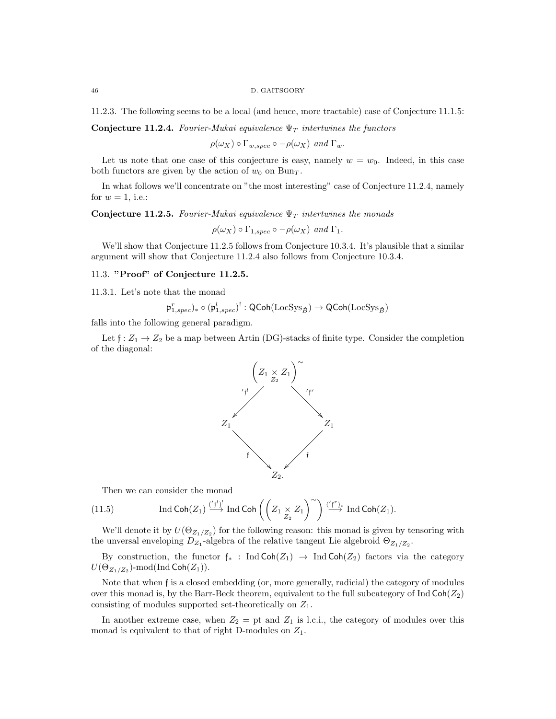#### 46 D. GAITSGORY

11.2.3. The following seems to be a local (and hence, more tractable) case of Conjecture 11.1.5:

Conjecture 11.2.4. Fourier-Mukai equivalence  $\Psi_T$  intertwines the functors

 $\rho(\omega_X) \circ \Gamma_{w,spec} \circ -\rho(\omega_X)$  and  $\Gamma_w$ .

Let us note that one case of this conjecture is easy, namely  $w = w_0$ . Indeed, in this case both functors are given by the action of  $w_0$  on Bun $_T$ .

In what follows we'll concentrate on "the most interesting" case of Conjecture 11.2.4, namely for  $w = 1$ , i.e.:

Conjecture 11.2.5. Fourier-Mukai equivalence  $\Psi_T$  intertwines the monads

 $\rho(\omega_X) \circ \Gamma_{1,spec} \circ -\rho(\omega_X)$  and  $\Gamma_1$ .

We'll show that Conjecture 11.2.5 follows from Conjecture 10.3.4. It's plausible that a similar argument will show that Conjecture 11.2.4 also follows from Conjecture 10.3.4.

## 11.3. "Proof" of Conjecture 11.2.5.

11.3.1. Let's note that the monad

 $\mathfrak{p}^r_{1,spec})_* \circ (\mathfrak{p}^l_{1,spec})^! : {\sf QCoh}({\rm LocSys}_{\check B}) \to {\sf QCoh}({\rm LocSys}_{\check B})$ 

falls into the following general paradigm.

Let  $f: Z_1 \to Z_2$  be a map between Artin (DG)-stacks of finite type. Consider the completion of the diagonal:



Then we can consider the monad

(11.5) Ind Coh
$$
(Z_1) \xrightarrow{('f^1)} \text{Ind Coh}\left(\left(Z_1 \underset{Z_2}{\times} Z_1\right)^{\sim}\right) \xrightarrow{('f^r)_*} \text{Ind Coh}(Z_1).
$$

We'll denote it by  $U(\Theta_{Z_1/Z_2})$  for the following reason: this monad is given by tensoring with the unversal enveloping  $D_{Z_1}$ -algebra of the relative tangent Lie algebroid  $\Theta_{Z_1/Z_2}$ .

By construction, the functor  $f_*$ : Ind Coh( $Z_1$ )  $\rightarrow$  Ind Coh( $Z_2$ ) factors via the category  $U(\Theta_{Z_1/Z_2})$ -mod $(\operatorname{Ind}\operatorname{\mathsf{Coh}}(Z_1)).$ 

Note that when f is a closed embedding (or, more generally, radicial) the category of modules over this monad is, by the Barr-Beck theorem, equivalent to the full subcategory of Ind  $\text{Coh}(Z_2)$ consisting of modules supported set-theoretically on  $Z_1$ .

In another extreme case, when  $Z_2 =$  pt and  $Z_1$  is l.c.i., the category of modules over this monad is equivalent to that of right D-modules on  $Z_1$ .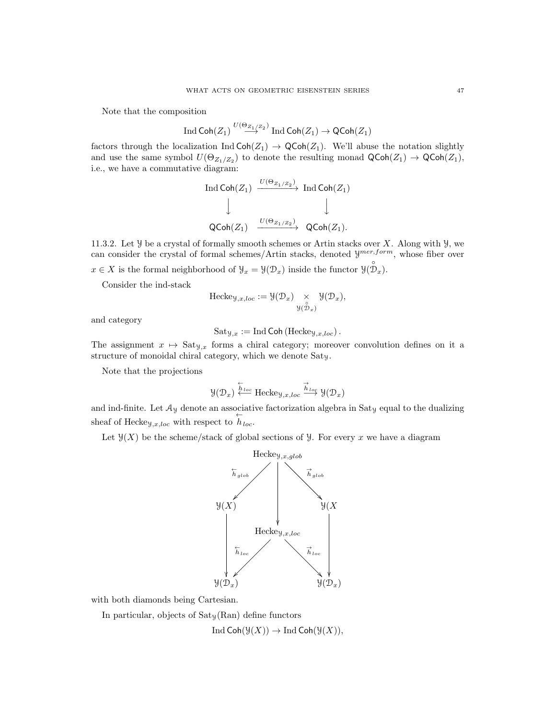Note that the composition

$$
\operatorname{Ind}\nolimits\operatorname{\mathsf{Coh}}\nolimits(Z_1) \stackrel{U(\Theta_{Z_1}/Z_2)}{\longrightarrow} \operatorname{Ind}\nolimits\operatorname{\mathsf{Coh}}\nolimits(Z_1) \to \operatorname{\mathsf{QCoh}}\nolimits(Z_1)
$$

factors through the localization Ind  $\text{Coh}(Z_1) \to \text{QCoh}(Z_1)$ . We'll abuse the notation slightly and use the same symbol  $U(\Theta_{Z_1/Z_2})$  to denote the resulting monad  $\mathsf{QCoh}(Z_1) \to \mathsf{QCoh}(Z_1)$ , i.e., we have a commutative diagram:

$$
\begin{array}{ccc}\n\text{Ind}\,\text{Coh}(Z_1) & \xrightarrow{U(\Theta_{Z_1/Z_2})} & \text{Ind}\,\text{Coh}(Z_1) \\
\downarrow & & \downarrow \\
\text{QCoh}(Z_1) & \xrightarrow{U(\Theta_{Z_1/Z_2})} & \text{QCoh}(Z_1).\n\end{array}
$$

11.3.2. Let  $\mathcal Y$  be a crystal of formally smooth schemes or Artin stacks over X. Along with  $\mathcal Y$ , we can consider the crystal of formal schemes/Artin stacks, denoted  $\mathcal{Y}^{mer, form}$ , whose fiber over  $x \in X$  is the formal neighborhood of  $\mathcal{Y}_x = \mathcal{Y}(\mathcal{D}_x)$  inside the functor  $\mathcal{Y}(\mathcal{D}_x)$ .

Consider the ind-stack

$$
\text{Hecke}_{\mathcal{Y},x,loc} := \mathcal{Y}(\mathcal{D}_x) \underset{\mathcal{Y}(\overset{\circ}{\mathcal{D}}_x)}{\times} \mathcal{Y}(\mathcal{D}_x),
$$

and category

$$
Sat_{\mathcal{Y},x} := \text{Ind}\,\text{Coh}\left(\text{Hecke}_{\mathcal{Y},x,loc}\right).
$$

The assignment  $x \mapsto$  Sat<sub>Y,x</sub> forms a chiral category; moreover convolution defines on it a structure of monoidal chiral category, which we denote Saty.

Note that the projections

$$
\mathcal{Y}(\mathcal{D}_x) \overset{\leftarrow}{\longleftarrow} \text{Hecke}_{\mathcal{Y},x,loc} \overset{\rightarrow}{\xrightarrow{h_{loc}}} \mathcal{Y}(\mathcal{D}_x)
$$

and ind-finite. Let  $\mathcal{A}_y$  denote an associative factorization algebra in Sat<sub>y</sub> equal to the dualizing sheaf of Hecke<sub>y,x,loc</sub> with respect to  $h_{loc}$ .

Let  $\mathcal{Y}(X)$  be the scheme/stack of global sections of  $\mathcal{Y}$ . For every x we have a diagram



with both diamonds being Cartesian.

In particular, objects of  $Sat_y(Ran)$  define functors

Ind  $\text{Coh}(\mathcal{Y}(X)) \to \text{Ind } \text{Coh}(\mathcal{Y}(X)),$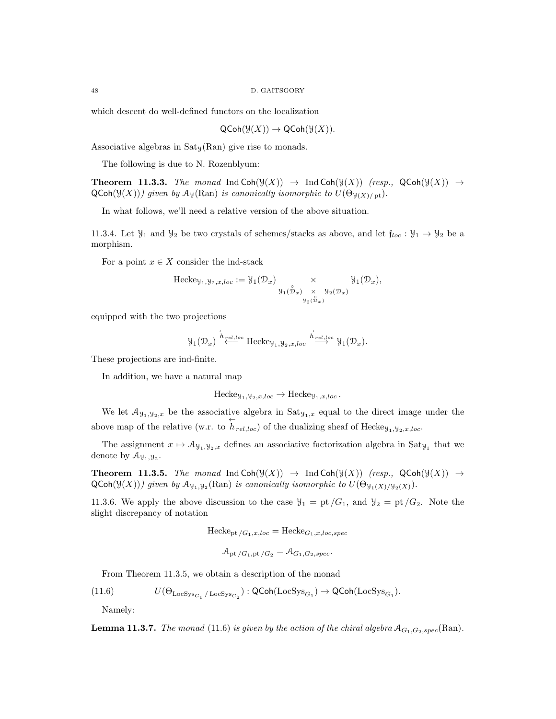which descent do well-defined functors on the localization

$$
\mathsf{QCoh}(\mathcal{Y}(X)) \to \mathsf{QCoh}(\mathcal{Y}(X)).
$$

Associative algebras in  $Sat<sub>y</sub>(\mathrm{Ran})$  give rise to monads.

The following is due to N. Rozenblyum:

**Theorem 11.3.3.** The monad Ind  $\text{Coh}(\mathcal{Y}(X)) \rightarrow \text{Ind } \text{Coh}(\mathcal{Y}(X))$  (resp.,  $\text{QCoh}(\mathcal{Y}(X)) \rightarrow$  $QCoh(\mathcal{Y}(X)))$  given by  $\mathcal{A}_{\mathcal{Y}}(Ran)$  is canonically isomorphic to  $U(\Theta_{\mathcal{Y}(X)/pt})$ .

In what follows, we'll need a relative version of the above situation.

11.3.4. Let  $\mathcal{Y}_1$  and  $\mathcal{Y}_2$  be two crystals of schemes/stacks as above, and let  $\mathfrak{f}_{loc} : \mathcal{Y}_1 \to \mathcal{Y}_2$  be a morphism.

For a point  $x \in X$  consider the ind-stack

$$
\text{Heckey}_{1,\mathcal{Y}_2,x,loc} := \mathcal{Y}_1(\mathcal{D}_x) \times \mathcal{Y}_1(\mathcal{D}_x),
$$
  

$$
\mathcal{Y}_1(\mathcal{D}_x) \times \mathcal{Y}_2(\mathcal{D}_x) \times \mathcal{Y}_1(\mathcal{D}_x),
$$

equipped with the two projections

$$
\text{Var}(D_x) \overset{\leftarrow}{\longleftarrow} \text{Hecke}_{\text{y}_1,\text{y}_2,x,loc} \overset{\rightarrow}{\longrightarrow} \text{Var}(D_x).
$$

These projections are ind-finite.

In addition, we have a natural map

$$
\text{Hecke}_{\mathcal{Y}_1, \mathcal{Y}_2, x, loc} \to \text{Hecke}_{\mathcal{Y}_1, x, loc}.
$$

We let  $\mathcal{A}_{y_1,y_2,x}$  be the associative algebra in  $Sat_{y_1,x}$  equal to the direct image under the above map of the relative (w.r. to  $\overleftarrow{h}_{rel,loc}$ ) of the dualizing sheaf of Hecke<sub>Y<sub>1</sub>, y<sub>2</sub>,*x*,loc.</sub>

The assignment  $x \mapsto \mathcal{A}_{y_1,y_2,x}$  defines an associative factorization algebra in Sat<sub>Y<sub>1</sub></sub> that we denote by  $\mathcal{A}_{\mathcal{Y}_1,\mathcal{Y}_2}$ .

**Theorem 11.3.5.** The monad Ind  $\text{Coh}(\mathcal{Y}(X)) \to \text{Ind } \text{Coh}(\mathcal{Y}(X))$  (resp.,  $\text{QCoh}(\mathcal{Y}(X)) \to$  $Q\text{Coh}(\mathcal{Y}(X)))$  given by  $\mathcal{A}_{\mathcal{Y}_1,\mathcal{Y}_2}(\text{Ran})$  is canonically isomorphic to  $U(\Theta_{\mathcal{Y}_1(X)/\mathcal{Y}_2(X)})$ .

11.3.6. We apply the above discussion to the case  $\mathcal{Y}_1 = \text{pt }/G_1$ , and  $\mathcal{Y}_2 = \text{pt }/G_2$ . Note the slight discrepancy of notation

$$
\text{Hecke}_{\text{pt}}/G_1, x, loc = \text{Hecke}_{G_1, x, loc, spec}
$$

$$
\mathcal{A}_{\mathrm{pt}}/G_{1,\mathrm{pt}}/G_{2}=\mathcal{A}_{G_{1},G_{2},spec}.
$$

From Theorem 11.3.5, we obtain a description of the monad

$$
(11.6) \tU(\Theta_{\text{LocSys}_{G_1}/\text{LocSys}_{G_2}}): \text{QCoh}(\text{LocSys}_{G_1}) \to \text{QCoh}(\text{LocSys}_{G_1}).
$$

Namely:

**Lemma 11.3.7.** The monad (11.6) is given by the action of the chiral algebra  $A_{G_1,G_2,spec}(\text{Ran})$ .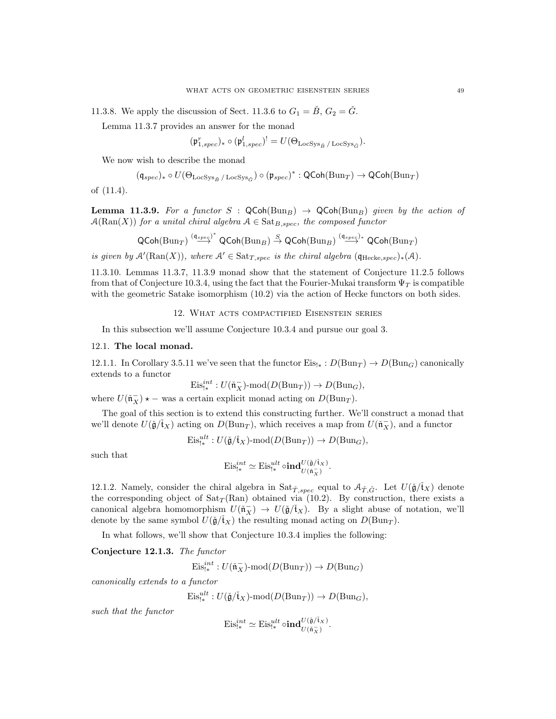11.3.8. We apply the discussion of Sect. 11.3.6 to  $G_1 = B$ ,  $G_2 = G$ .

Lemma 11.3.7 provides an answer for the monad

$$
(\mathfrak{p}_{1,spec}^r)_*\circ(\mathfrak{p}_{1,spec}^l)^!=U(\Theta_{\mathrm{LocSys}_{\check{B}}/\mathrm{LocSys}_{\check{G}}}).
$$

We now wish to describe the monad

$$
(\mathfrak{q}_{spec})_* \circ U(\Theta_{\operatorname{LocSys}_{\check{B}}/ \operatorname{LocSys}_{\check{G}}}) \circ (\mathfrak{p}_{spec})^* : \operatorname{QCoh}(\operatorname{Bun}_T) \to \operatorname{QCoh}(\operatorname{Bun}_T)
$$

of (11.4).

**Lemma 11.3.9.** For a functor S :  $QCoh(Bun_B) \rightarrow QCoh(Bun_B)$  given by the action of  $\mathcal{A}(\text{Ran}(X))$  for a unital chiral algebra  $\mathcal{A} \in \text{Sat}_{B,spec}$ , the composed functor

$$
\operatorname{\mathsf{QCoh}}\nolimits(\operatorname{Bun}_T) \stackrel{(\mathfrak{q}_{spec})^*}{\longrightarrow} \operatorname{\mathsf{QCoh}}\nolimits(\operatorname{Bun}_B) \stackrel{S}{\to} \operatorname{\mathsf{QCoh}}\nolimits(\operatorname{Bun}_B) \stackrel{(\mathfrak{q}_{spec})_*}{\longrightarrow} \operatorname{\mathsf{QCoh}}\nolimits(\operatorname{Bun}_T)
$$

is given by  $\mathcal{A}'(\text{Ran}(X))$ , where  $\mathcal{A}' \in \text{Sat}_{T,spec}$  is the chiral algebra  $(\mathfrak{q}_{\text{Hecke},spec})_*(\mathcal{A})$ .

11.3.10. Lemmas 11.3.7, 11.3.9 monad show that the statement of Conjecture 11.2.5 follows from that of Conjecture 10.3.4, using the fact that the Fourier-Mukai transform  $\Psi_T$  is compatible with the geometric Satake isomorphism  $(10.2)$  via the action of Hecke functors on both sides.

## 12. What acts compactified Eisenstein series

In this subsection we'll assume Conjecture 10.3.4 and pursue our goal 3.

#### 12.1. The local monad.

12.1.1. In Corollary 3.5.11 we've seen that the functor  $Eis_{!*}: D(Bun_T) \to D(Bun_G)$  canonically extends to a functor

$$
\mathrm{Eis}_{!*}^{int}:U(\tilde{\mathfrak{n}}_X^-)\text{-}\mathrm{mod}(D(\mathrm{Bun}_T))\to D(\mathrm{Bun}_G),
$$

where  $U(\tilde{\mathfrak{n}}_X^-) \star -$  was a certain explicit monad acting on  $D(\text{Bun}_T)$ .

The goal of this section is to extend this constructing further. We'll construct a monad that we'll denote  $U(\check{\mathfrak{g}}/\check{\mathfrak{t}}_X)$  acting on  $D(\text{Bun}_T)$ , which receives a map from  $U(\check{\mathfrak{n}}_X^-)$ , and a functor

$$
\mathrm{Eis}_{!*}^{ult}: U(\check{\mathfrak{g}}/\check{\mathfrak{t}}_X) \text{-}\mathrm{mod}(D(\mathrm{Bun}_T)) \to D(\mathrm{Bun}_G),
$$

such that

$$
\mathrm{Eis}_{!*}^{int}\simeq \mathrm{Eis}_{!*}^{ult}\circ \mathrm{\bf ind}^{U(\check{\mathfrak g}/\check{\mathfrak t}_X)}_{U(\check{\mathfrak n}_X)}.
$$

12.1.2. Namely, consider the chiral algebra in  $\text{Sat}_{\tilde{T},spec}$  equal to  $\mathcal{A}_{\tilde{T},\tilde{G}}$ . Let  $U(\tilde{\mathfrak{g}}/\mathfrak{t}_X)$  denote the corresponding object of  $Sat_T(Ran)$  obtained via (10.2). By construction, there exists a canonical algebra homomorphism  $U(\tilde{\mathfrak{n}}_X^-) \to U(\tilde{\mathfrak{g}}/\tilde{\mathfrak{t}}_X)$ . By a slight abuse of notation, we'll denote by the same symbol  $U(\check{g}/\check{t}_X)$  the resulting monad acting on  $D(\text{Bun}_T)$ .

In what follows, we'll show that Conjecture 10.3.4 implies the following:

Conjecture 12.1.3. The functor

$$
\mathrm{Eis}_{!*}^{int}: U(\mathfrak{n}_X^-)\text{-mod}(D(\mathrm{Bun}_T))\to D(\mathrm{Bun}_G)
$$

canonically extends to a functor

$$
\mathrm{Eis}_{!*}^{ult}: U(\check{\mathfrak{g}}/\check{\mathfrak{t}}_X) \text{-}\mathrm{mod}(D(\mathrm{Bun}_T)) \to D(\mathrm{Bun}_G),
$$

such that the functor

$$
\mathrm{Eis}_{!*}^{int} \simeq \mathrm{Eis}_{!*}^{ult} \circ \mathrm{ind}_{U(\tilde{\mathfrak{n}}_X)}^{U(\tilde{\mathfrak{g}}/\mathfrak{k}_X)}.
$$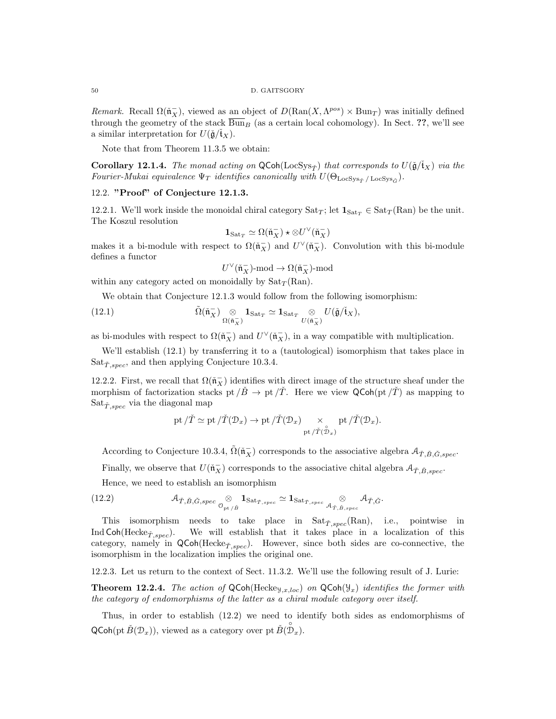Remark. Recall  $\Omega(\tilde{\mathfrak{n}}_X^-)$ , viewed as an object of  $D(\text{Ran}(X, \Lambda^{pos}) \times \text{Bun}_T)$  was initially defined through the geometry of the stack  $\overline{Bun}_B$  (as a certain local cohomology). In Sect. ??, we'll see a similar interpretation for  $U(\check{\mathfrak{g}}/\check{\mathfrak{t}}_X)$ .

Note that from Theorem 11.3.5 we obtain:

**Corollary 12.1.4.** The monad acting on  $QCoh(LocSys_T)$  that corresponds to  $U(\check{q}/\check{t}_X)$  via the Fourier-Mukai equivalence  $\Psi_T$  identifies canonically with  $U(\Theta_{\text{LocSys}_{\tilde{T}} / \text{LocSys}_{\tilde{G}}}).$ 

## 12.2. "Proof" of Conjecture 12.1.3.

12.2.1. We'll work inside the monoidal chiral category  $\text{Sat}_T$ ; let  $\mathbf{1}_{\text{Sat}_T} \in \text{Sat}_T(\text{Ran})$  be the unit. The Koszul resolution

$$
\mathbf{1}_{\mathrm{Sat}_T} \simeq \Omega(\check{\mathfrak{n}}_X^-) \star \otimes U^\vee(\check{\mathfrak{n}}_X^-)
$$

makes it a bi-module with respect to  $\Omega(\tilde{\mathfrak{n}}_X^-)$  and  $U^{\vee}(\tilde{\mathfrak{n}}_X^-)$ . Convolution with this bi-module defines a functor

$$
U^{\vee}(\check{\mathfrak{n}}_X^-)\text{-mod} \to \Omega(\check{\mathfrak{n}}_X^-)\text{-mod}
$$

within any category acted on monoidally by  $\text{Sat}_{\mathcal{T}}(\text{Ran})$ .

We obtain that Conjecture 12.1.3 would follow from the following isomorphism:

(12.1) 
$$
\tilde{\Omega}(\tilde{\mathfrak{n}}_X^-) \underset{\Omega(\tilde{\mathfrak{n}}_X^-)}{\otimes} \mathbf{1}_{\text{Sat}_T} \simeq \mathbf{1}_{\text{Sat}_T} \underset{U(\tilde{\mathfrak{n}}_X^-)}{\otimes} U(\tilde{\mathfrak{g}}/\tilde{\mathfrak{t}}_X),
$$

as bi-modules with respect to  $\Omega(\tilde{\mathfrak{n}}_X^-)$  and  $U^{\vee}(\tilde{\mathfrak{n}}_X^-)$ , in a way compatible with multiplication.

We'll establish (12.1) by transferring it to a (tautological) isomorphism that takes place in  $Sat_{\check{T},spec}$ , and then applying Conjecture 10.3.4.

12.2.2. First, we recall that  $\Omega(\tilde{\mathfrak{n}}_X^-)$  identifies with direct image of the structure sheaf under the morphism of factorization stacks pt  $/\check{B} \to \text{pt}/\check{T}$ . Here we view QCoh(pt  $/\check{T}$ ) as mapping to  $Sat_{\check{T},spec}$  via the diagonal map

$$
\text{pt}/\check{T} \simeq \text{pt}/\check{T}(\mathcal{D}_x) \to \text{pt}/\check{T}(\mathcal{D}_x) \times \text{pt}/\check{T}(\mathcal{D}_x).
$$
  

$$
\text{pt}/\check{T}(\mathcal{D}_x).
$$

According to Conjecture 10.3.4,  $\tilde{\Omega}(\tilde{n}_X^-)$  corresponds to the associative algebra  $\mathcal{A}_{\tilde{T},\tilde{B},\tilde{G},spec}$ .

Finally, we observe that  $U(\tilde{\mathfrak{n}}_X^-)$  corresponds to the associative chital algebra  $\mathcal{A}_{\tilde{T}, \tilde{B}, spec}$ .

Hence, we need to establish an isomorphism

(12.2) 
$$
\mathcal{A}_{\check{T},\check{B},\check{G},spec} \underset{\mathcal{O}_{\mathrm{pt}/\check{B}}}{\otimes} \mathbf{1}_{\mathrm{Sat}_{\check{T},spec}} \simeq \mathbf{1}_{\mathrm{Sat}_{\check{T},spec}} \underset{\mathcal{A}_{\check{T},\check{B},spec}}{\otimes} \mathcal{A}_{\check{T},\check{G}}.
$$

This isomorphism needs to take place in  $Sat_{\check{T},spec}(\mathrm{Ran})$ , i.e., pointwise in Ind Coh(Hecke<sub>T,spec</sub>). We will establish that it takes place in a localization of this category, namely in  $\mathsf{QCoh}(\mathrm{Hecke}_{\tilde{T},spec})$ . However, since both sides are co-connective, the isomorphism in the localization implies the original one.

12.2.3. Let us return to the context of Sect. 11.3.2. We'll use the following result of J. Lurie:

**Theorem 12.2.4.** The action of  $QCoh(Hecke_{\mathcal{Y},x,loc})$  on  $QCoh(\mathcal{Y}_x)$  identifies the former with the category of endomorphisms of the latter as a chiral module category over itself.

Thus, in order to establish (12.2) we need to identify both sides as endomorphisms of  $\mathsf{QCoh}(\mathrm{pt}\,\check{B}(\mathcal{D}_x)),$  viewed as a category over pt  $\check{B}(\overset{\circ}{\mathcal{D}}_x)$ .